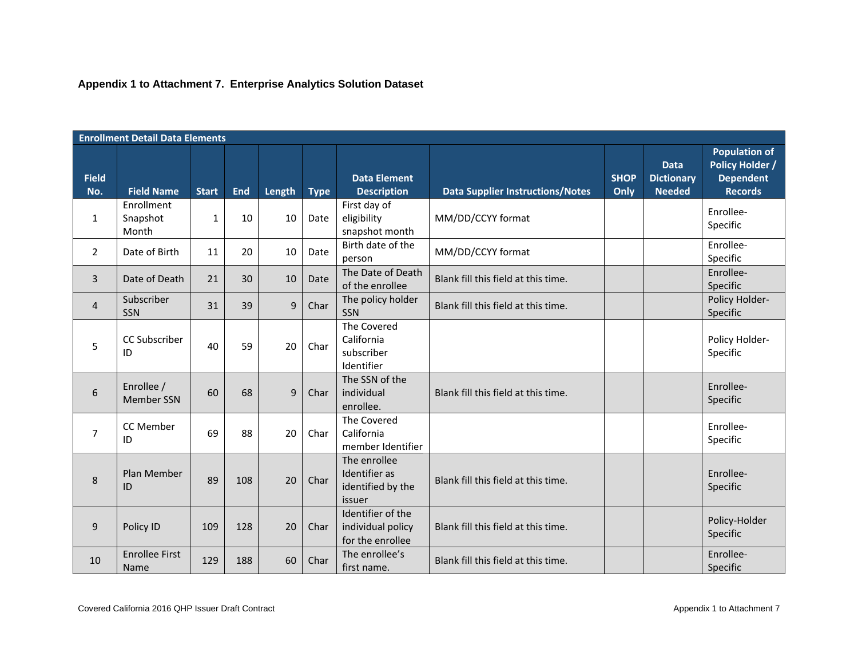## **Appendix 1 to Attachment 7. Enterprise Analytics Solution Dataset**

|                     | <b>Enrollment Detail Data Elements</b> |              |            |        |             |                                                              |                                         |                     |                                                   |                                                                                      |
|---------------------|----------------------------------------|--------------|------------|--------|-------------|--------------------------------------------------------------|-----------------------------------------|---------------------|---------------------------------------------------|--------------------------------------------------------------------------------------|
| <b>Field</b><br>No. | <b>Field Name</b>                      | <b>Start</b> | <b>End</b> | Length | <b>Type</b> | <b>Data Element</b><br><b>Description</b>                    | <b>Data Supplier Instructions/Notes</b> | <b>SHOP</b><br>Only | <b>Data</b><br><b>Dictionary</b><br><b>Needed</b> | <b>Population of</b><br><b>Policy Holder /</b><br><b>Dependent</b><br><b>Records</b> |
| 1                   | Enrollment<br>Snapshot<br>Month        | 1            | 10         | 10     | Date        | First day of<br>eligibility<br>snapshot month                | MM/DD/CCYY format                       |                     |                                                   | Enrollee-<br>Specific                                                                |
| $\overline{2}$      | Date of Birth                          | 11           | 20         | 10     | Date        | Birth date of the<br>person                                  | MM/DD/CCYY format                       |                     |                                                   | Enrollee-<br>Specific                                                                |
| 3                   | Date of Death                          | 21           | 30         | 10     | Date        | The Date of Death<br>of the enrollee                         | Blank fill this field at this time.     |                     |                                                   | Enrollee-<br>Specific                                                                |
| 4                   | Subscriber<br><b>SSN</b>               | 31           | 39         | 9      | Char        | The policy holder<br><b>SSN</b>                              | Blank fill this field at this time.     |                     |                                                   | Policy Holder-<br>Specific                                                           |
| 5                   | CC Subscriber<br>ID                    | 40           | 59         | 20     | Char        | The Covered<br>California<br>subscriber<br>Identifier        |                                         |                     |                                                   | Policy Holder-<br>Specific                                                           |
| 6                   | Enrollee /<br><b>Member SSN</b>        | 60           | 68         | 9      | Char        | The SSN of the<br>individual<br>enrollee.                    | Blank fill this field at this time.     |                     |                                                   | Enrollee-<br>Specific                                                                |
| $\overline{7}$      | CC Member<br>ID                        | 69           | 88         | 20     | Char        | The Covered<br>California<br>member Identifier               |                                         |                     |                                                   | Enrollee-<br>Specific                                                                |
| 8                   | Plan Member<br>ID                      | 89           | 108        | 20     | Char        | The enrollee<br>Identifier as<br>identified by the<br>issuer | Blank fill this field at this time.     |                     |                                                   | Enrollee-<br>Specific                                                                |
| 9                   | Policy ID                              | 109          | 128        | 20     | Char        | Identifier of the<br>individual policy<br>for the enrollee   | Blank fill this field at this time.     |                     |                                                   | Policy-Holder<br>Specific                                                            |
| 10                  | <b>Enrollee First</b><br>Name          | 129          | 188        | 60     | Char        | The enrollee's<br>first name.                                | Blank fill this field at this time.     |                     |                                                   | Enrollee-<br>Specific                                                                |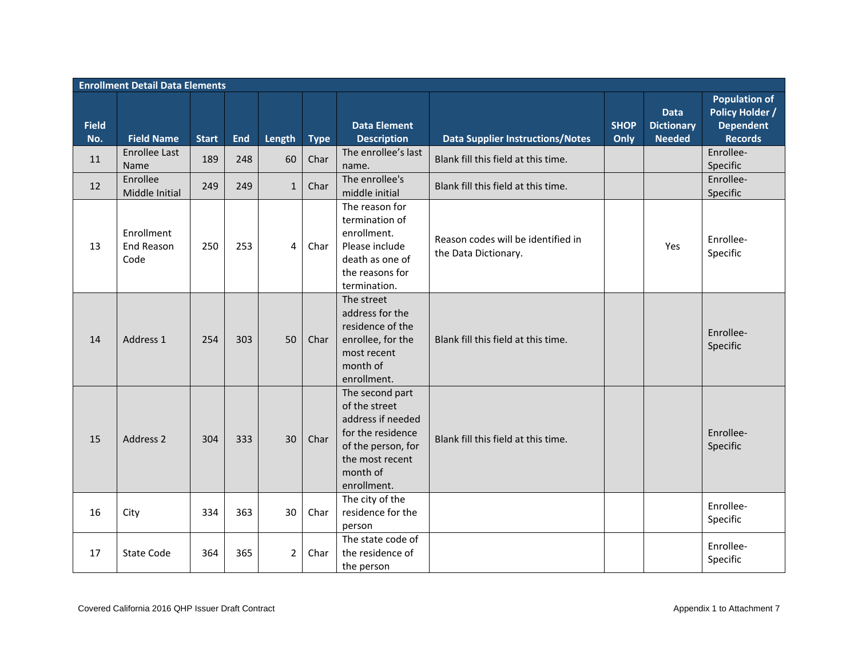|                     | <b>Enrollment Detail Data Elements</b> |              |            |                |             |                                                                                                                                                |                                                            |                     |                                                   |                                                                                      |
|---------------------|----------------------------------------|--------------|------------|----------------|-------------|------------------------------------------------------------------------------------------------------------------------------------------------|------------------------------------------------------------|---------------------|---------------------------------------------------|--------------------------------------------------------------------------------------|
| <b>Field</b><br>No. | <b>Field Name</b>                      | <b>Start</b> | <b>End</b> | Length         | <b>Type</b> | <b>Data Element</b><br><b>Description</b><br><b>Data Supplier Instructions/Notes</b>                                                           |                                                            | <b>SHOP</b><br>Only | <b>Data</b><br><b>Dictionary</b><br><b>Needed</b> | <b>Population of</b><br><b>Policy Holder /</b><br><b>Dependent</b><br><b>Records</b> |
| 11                  | <b>Enrollee Last</b><br><b>Name</b>    | 189          | 248        | 60             | Char        | The enrollee's last<br>name.                                                                                                                   | Blank fill this field at this time.                        |                     |                                                   | Enrollee-<br>Specific                                                                |
| 12                  | Enrollee<br>Middle Initial             | 249          | 249        | $\mathbf{1}$   | Char        | The enrollee's<br>Blank fill this field at this time.<br>middle initial                                                                        |                                                            |                     |                                                   | Enrollee-<br>Specific                                                                |
| 13                  | Enrollment<br>End Reason<br>Code       | 250          | 253        | 4              | Char        | The reason for<br>termination of<br>enrollment.<br>Please include<br>death as one of<br>the reasons for<br>termination.                        | Reason codes will be identified in<br>the Data Dictionary. |                     | Yes                                               | Enrollee-<br>Specific                                                                |
| 14                  | Address 1                              | 254          | 303        | 50             | Char        | The street<br>address for the<br>residence of the<br>enrollee, for the<br>most recent<br>month of<br>enrollment.                               | Blank fill this field at this time.                        |                     |                                                   | Enrollee-<br>Specific                                                                |
| 15                  | Address 2                              | 304          | 333        | 30             | Char        | The second part<br>of the street<br>address if needed<br>for the residence<br>of the person, for<br>the most recent<br>month of<br>enrollment. | Blank fill this field at this time.                        |                     |                                                   | Enrollee-<br>Specific                                                                |
| 16                  | City                                   | 334          | 363        | 30             | Char        | The city of the<br>residence for the<br>person                                                                                                 |                                                            |                     |                                                   | Enrollee-<br>Specific                                                                |
| 17                  | <b>State Code</b>                      | 364          | 365        | $\overline{2}$ | Char        | The state code of<br>the residence of<br>the person                                                                                            |                                                            |                     |                                                   | Enrollee-<br>Specific                                                                |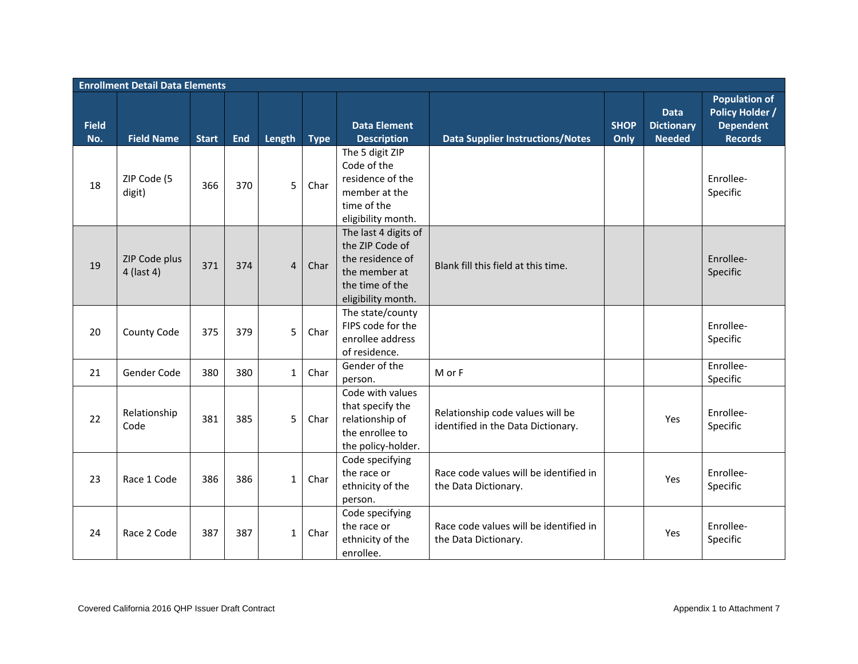|                     | <b>Enrollment Detail Data Elements</b> |              |            |                |             |                                                                                                                       |                                                                        |                     |                                                   |                                                                                      |  |
|---------------------|----------------------------------------|--------------|------------|----------------|-------------|-----------------------------------------------------------------------------------------------------------------------|------------------------------------------------------------------------|---------------------|---------------------------------------------------|--------------------------------------------------------------------------------------|--|
| <b>Field</b><br>No. | <b>Field Name</b>                      | <b>Start</b> | <b>End</b> | Length         | <b>Type</b> | <b>Data Element</b><br><b>Description</b>                                                                             | <b>Data Supplier Instructions/Notes</b>                                | <b>SHOP</b><br>Only | <b>Data</b><br><b>Dictionary</b><br><b>Needed</b> | <b>Population of</b><br><b>Policy Holder /</b><br><b>Dependent</b><br><b>Records</b> |  |
| 18                  | ZIP Code (5<br>digit)                  | 366          | 370        | 5              | Char        | The 5 digit ZIP<br>Code of the<br>residence of the<br>member at the<br>time of the<br>eligibility month.              |                                                                        |                     |                                                   | Enrollee-<br>Specific                                                                |  |
| 19                  | ZIP Code plus<br>4 (last 4)            | 371          | 374        | $\overline{4}$ | Char        | The last 4 digits of<br>the ZIP Code of<br>the residence of<br>the member at<br>the time of the<br>eligibility month. | Blank fill this field at this time.                                    |                     |                                                   | Enrollee-<br>Specific                                                                |  |
| 20                  | County Code                            | 375          | 379        | 5              | Char        | The state/county<br>FIPS code for the<br>enrollee address<br>of residence.                                            |                                                                        |                     |                                                   | Enrollee-<br>Specific                                                                |  |
| 21                  | Gender Code                            | 380          | 380        | $\mathbf{1}$   | Char        | Gender of the<br>person.                                                                                              | M or F                                                                 |                     |                                                   | Enrollee-<br>Specific                                                                |  |
| 22                  | Relationship<br>Code                   | 381          | 385        | 5              | Char        | Code with values<br>that specify the<br>relationship of<br>the enrollee to<br>the policy-holder.                      | Relationship code values will be<br>identified in the Data Dictionary. |                     | Yes                                               | Enrollee-<br>Specific                                                                |  |
| 23                  | Race 1 Code                            | 386          | 386        | $\mathbf{1}$   | Char        | Code specifying<br>the race or<br>ethnicity of the<br>person.                                                         | Race code values will be identified in<br>the Data Dictionary.         |                     | Yes                                               | Enrollee-<br>Specific                                                                |  |
| 24                  | Race 2 Code                            | 387          | 387        | $\mathbf{1}$   | Char        | Code specifying<br>the race or<br>ethnicity of the<br>enrollee.                                                       | Race code values will be identified in<br>the Data Dictionary.         |                     | Yes                                               | Enrollee-<br>Specific                                                                |  |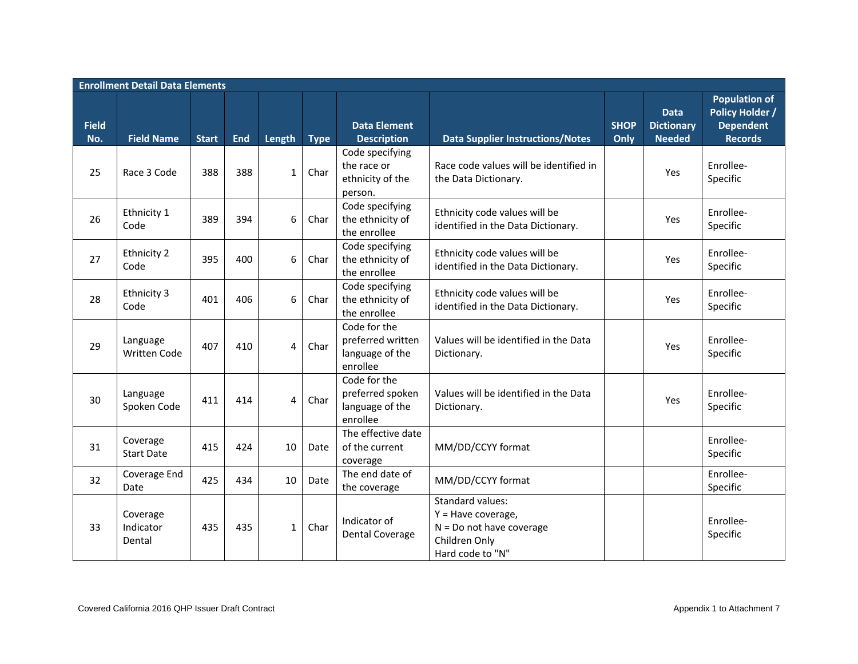|                     | <b>Enrollment Detail Data Elements</b> |              |            |              |             |                                                                  |                                                                                                             |                     |                                                   |                                                                                      |
|---------------------|----------------------------------------|--------------|------------|--------------|-------------|------------------------------------------------------------------|-------------------------------------------------------------------------------------------------------------|---------------------|---------------------------------------------------|--------------------------------------------------------------------------------------|
| <b>Field</b><br>No. | <b>Field Name</b>                      | <b>Start</b> | <b>End</b> | Length       | <b>Type</b> | <b>Data Element</b><br><b>Description</b>                        | <b>Data Supplier Instructions/Notes</b>                                                                     | <b>SHOP</b><br>Only | <b>Data</b><br><b>Dictionary</b><br><b>Needed</b> | <b>Population of</b><br><b>Policy Holder /</b><br><b>Dependent</b><br><b>Records</b> |
| 25                  | Race 3 Code                            | 388          | 388        | $\mathbf{1}$ | Char        | Code specifying<br>the race or<br>ethnicity of the<br>person.    | Race code values will be identified in<br>the Data Dictionary.                                              |                     | Yes                                               | Enrollee-<br>Specific                                                                |
| 26                  | Ethnicity 1<br>Code                    | 389          | 394        | 6            | Char        | Code specifying<br>the ethnicity of<br>the enrollee              | Ethnicity code values will be<br>identified in the Data Dictionary.                                         |                     | Yes                                               | Enrollee-<br>Specific                                                                |
| 27                  | Ethnicity 2<br>Code                    | 395          | 400        | 6            | Char        | Code specifying<br>the ethnicity of<br>the enrollee              | Ethnicity code values will be<br>identified in the Data Dictionary.                                         |                     | Yes                                               | Enrollee-<br>Specific                                                                |
| 28                  | Ethnicity 3<br>Code                    | 401          | 406        | 6            | Char        | Code specifying<br>the ethnicity of<br>the enrollee              | Ethnicity code values will be<br>identified in the Data Dictionary.                                         |                     | Yes                                               | Enrollee-<br>Specific                                                                |
| 29                  | Language<br><b>Written Code</b>        | 407          | 410        | 4            | Char        | Code for the<br>preferred written<br>language of the<br>enrollee | Values will be identified in the Data<br>Dictionary.                                                        |                     | Yes                                               | Enrollee-<br>Specific                                                                |
| 30                  | Language<br>Spoken Code                | 411          | 414        | 4            | Char        | Code for the<br>preferred spoken<br>language of the<br>enrollee  | Values will be identified in the Data<br>Dictionary.                                                        |                     | Yes                                               | Enrollee-<br>Specific                                                                |
| 31                  | Coverage<br><b>Start Date</b>          | 415          | 424        | 10           | Date        | The effective date<br>of the current<br>coverage                 | MM/DD/CCYY format                                                                                           |                     |                                                   | Enrollee-<br>Specific                                                                |
| 32                  | Coverage End<br>Date                   | 425          | 434        | 10           | Date        | The end date of<br>the coverage                                  | MM/DD/CCYY format                                                                                           |                     |                                                   | Enrollee-<br>Specific                                                                |
| 33                  | Coverage<br>Indicator<br>Dental        | 435          | 435        | $\mathbf{1}$ | Char        | Indicator of<br><b>Dental Coverage</b>                           | Standard values:<br>$Y =$ Have coverage,<br>$N = Do$ not have coverage<br>Children Only<br>Hard code to "N" |                     |                                                   | Enrollee-<br>Specific                                                                |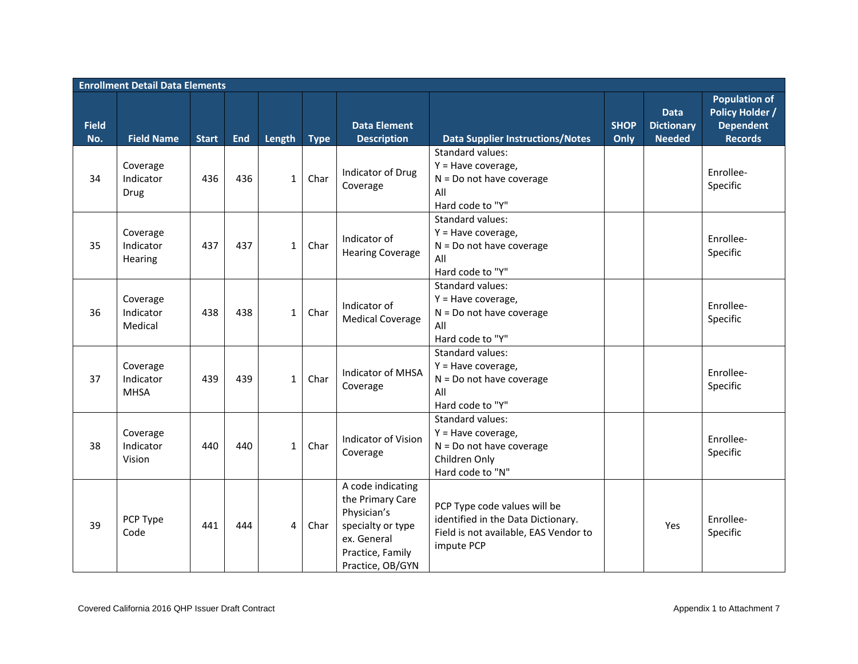|                     | <b>Enrollment Detail Data Elements</b> |              |            |              |             |                                                                                                                                  |                                                                                                                           |                     |                                                   |                                                                                      |
|---------------------|----------------------------------------|--------------|------------|--------------|-------------|----------------------------------------------------------------------------------------------------------------------------------|---------------------------------------------------------------------------------------------------------------------------|---------------------|---------------------------------------------------|--------------------------------------------------------------------------------------|
| <b>Field</b><br>No. | <b>Field Name</b>                      | <b>Start</b> | <b>End</b> | Length       | <b>Type</b> | <b>Data Element</b><br><b>Description</b>                                                                                        | <b>Data Supplier Instructions/Notes</b>                                                                                   | <b>SHOP</b><br>Only | <b>Data</b><br><b>Dictionary</b><br><b>Needed</b> | <b>Population of</b><br><b>Policy Holder /</b><br><b>Dependent</b><br><b>Records</b> |
| 34                  | Coverage<br>Indicator<br>Drug          | 436          | 436        | $\mathbf{1}$ | Char        | Indicator of Drug<br>Coverage                                                                                                    | <b>Standard values:</b><br>$Y = Have coverage,$<br>$N = Do$ not have coverage<br>All<br>Hard code to "Y"                  |                     |                                                   | Enrollee-<br>Specific                                                                |
| 35                  | Coverage<br>Indicator<br>Hearing       | 437          | 437        | $\mathbf{1}$ | Char        | Indicator of<br><b>Hearing Coverage</b>                                                                                          | Standard values:<br>$Y = Have coverage,$<br>$N = Do$ not have coverage<br>All<br>Hard code to "Y"                         |                     |                                                   | Enrollee-<br>Specific                                                                |
| 36                  | Coverage<br>Indicator<br>Medical       | 438          | 438        | $\mathbf{1}$ | Char        | Indicator of<br><b>Medical Coverage</b>                                                                                          | Standard values:<br>$Y = Have coverage,$<br>$N = Do$ not have coverage<br>All<br>Hard code to "Y"                         |                     |                                                   | Enrollee-<br>Specific                                                                |
| 37                  | Coverage<br>Indicator<br><b>MHSA</b>   | 439          | 439        | $\mathbf{1}$ | Char        | <b>Indicator of MHSA</b><br>Coverage                                                                                             | Standard values:<br>Y = Have coverage,<br>$N = Do$ not have coverage<br>All<br>Hard code to "Y"                           |                     |                                                   | Enrollee-<br>Specific                                                                |
| 38                  | Coverage<br>Indicator<br>Vision        | 440          | 440        | $\mathbf{1}$ | Char        | Indicator of Vision<br>Coverage                                                                                                  | Standard values:<br>$Y = Have coverage,$<br>$N = Do$ not have coverage<br>Children Only<br>Hard code to "N"               |                     |                                                   | Enrollee-<br>Specific                                                                |
| 39                  | PCP Type<br>Code                       | 441          | 444        | 4            | Char        | A code indicating<br>the Primary Care<br>Physician's<br>specialty or type<br>ex. General<br>Practice, Family<br>Practice, OB/GYN | PCP Type code values will be<br>identified in the Data Dictionary.<br>Field is not available, EAS Vendor to<br>impute PCP |                     | Yes                                               | Enrollee-<br>Specific                                                                |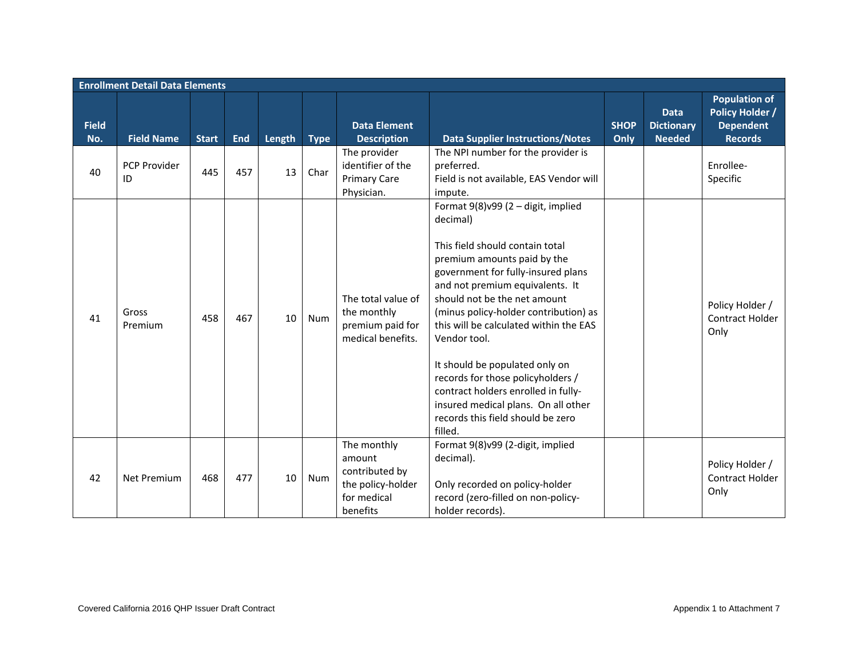|                     | <b>Enrollment Detail Data Elements</b> |              |            |        |             |                                                                                         |                                                                                                                                                                                                                                                                                                                                                                                                                                                                                                                                   |                     |                                                   |                                                                                      |
|---------------------|----------------------------------------|--------------|------------|--------|-------------|-----------------------------------------------------------------------------------------|-----------------------------------------------------------------------------------------------------------------------------------------------------------------------------------------------------------------------------------------------------------------------------------------------------------------------------------------------------------------------------------------------------------------------------------------------------------------------------------------------------------------------------------|---------------------|---------------------------------------------------|--------------------------------------------------------------------------------------|
| <b>Field</b><br>No. | <b>Field Name</b>                      | <b>Start</b> | <b>End</b> | Length | <b>Type</b> | <b>Data Element</b><br><b>Description</b>                                               | <b>Data Supplier Instructions/Notes</b>                                                                                                                                                                                                                                                                                                                                                                                                                                                                                           | <b>SHOP</b><br>Only | <b>Data</b><br><b>Dictionary</b><br><b>Needed</b> | <b>Population of</b><br><b>Policy Holder /</b><br><b>Dependent</b><br><b>Records</b> |
| 40                  | <b>PCP Provider</b><br>ID              | 445          | 457        | 13     | Char        | The provider<br>identifier of the<br><b>Primary Care</b><br>Physician.                  | The NPI number for the provider is<br>preferred.<br>Field is not available, EAS Vendor will<br>impute.                                                                                                                                                                                                                                                                                                                                                                                                                            |                     |                                                   | Enrollee-<br>Specific                                                                |
| 41                  | Gross<br>Premium                       | 458          | 467        | 10     | Num         | The total value of<br>the monthly<br>premium paid for<br>medical benefits.              | Format 9(8)v99 (2 - digit, implied<br>decimal)<br>This field should contain total<br>premium amounts paid by the<br>government for fully-insured plans<br>and not premium equivalents. It<br>should not be the net amount<br>(minus policy-holder contribution) as<br>this will be calculated within the EAS<br>Vendor tool.<br>It should be populated only on<br>records for those policyholders /<br>contract holders enrolled in fully-<br>insured medical plans. On all other<br>records this field should be zero<br>filled. |                     |                                                   | Policy Holder /<br>Contract Holder<br>Only                                           |
| 42                  | <b>Net Premium</b>                     | 468          | 477        | 10     | Num         | The monthly<br>amount<br>contributed by<br>the policy-holder<br>for medical<br>benefits | Format 9(8)v99 (2-digit, implied<br>decimal).<br>Only recorded on policy-holder<br>record (zero-filled on non-policy-<br>holder records).                                                                                                                                                                                                                                                                                                                                                                                         |                     |                                                   | Policy Holder /<br>Contract Holder<br>Only                                           |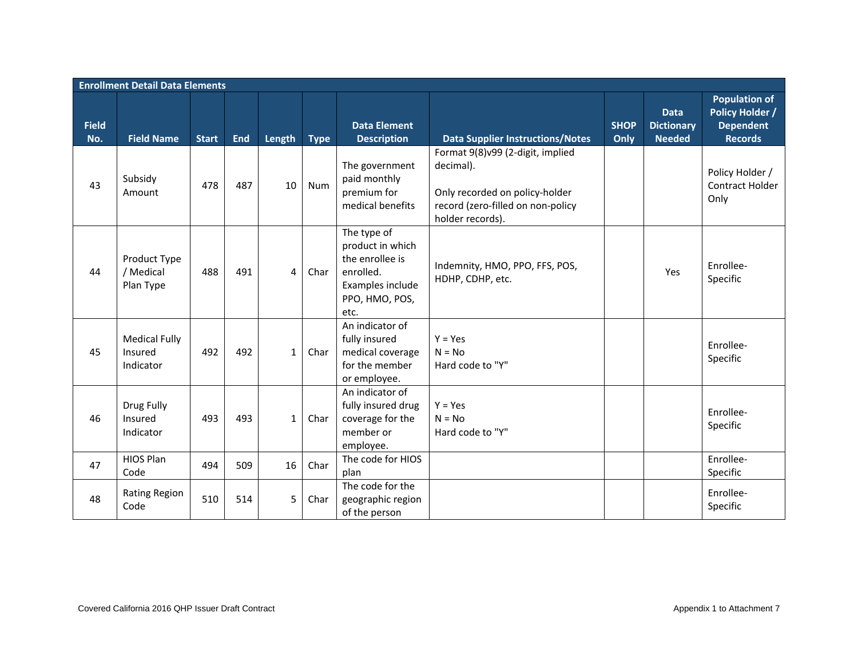|                     | <b>Enrollment Detail Data Elements</b>       |              |            |              |             |                                                                                                               |                                                                                                                                          |                     |                                                   |                                                                                      |
|---------------------|----------------------------------------------|--------------|------------|--------------|-------------|---------------------------------------------------------------------------------------------------------------|------------------------------------------------------------------------------------------------------------------------------------------|---------------------|---------------------------------------------------|--------------------------------------------------------------------------------------|
| <b>Field</b><br>No. | <b>Field Name</b>                            | <b>Start</b> | <b>End</b> | Length       | <b>Type</b> | <b>Data Element</b><br><b>Description</b>                                                                     | <b>Data Supplier Instructions/Notes</b>                                                                                                  | <b>SHOP</b><br>Only | <b>Data</b><br><b>Dictionary</b><br><b>Needed</b> | <b>Population of</b><br><b>Policy Holder /</b><br><b>Dependent</b><br><b>Records</b> |
| 43                  | Subsidy<br>Amount                            | 478          | 487        | 10           | Num         | The government<br>paid monthly<br>premium for<br>medical benefits                                             | Format 9(8)v99 (2-digit, implied<br>decimal).<br>Only recorded on policy-holder<br>record (zero-filled on non-policy<br>holder records). |                     |                                                   | Policy Holder /<br>Contract Holder<br>Only                                           |
| 44                  | Product Type<br>/ Medical<br>Plan Type       | 488          | 491        | 4            | Char        | The type of<br>product in which<br>the enrollee is<br>enrolled.<br>Examples include<br>PPO, HMO, POS,<br>etc. | Indemnity, HMO, PPO, FFS, POS,<br>HDHP, CDHP, etc.                                                                                       |                     | Yes                                               | Enrollee-<br>Specific                                                                |
| 45                  | <b>Medical Fully</b><br>Insured<br>Indicator | 492          | 492        | $\mathbf{1}$ | Char        | An indicator of<br>fully insured<br>medical coverage<br>for the member<br>or employee.                        | $Y = Yes$<br>$N = No$<br>Hard code to "Y"                                                                                                |                     |                                                   | Enrollee-<br>Specific                                                                |
| 46                  | Drug Fully<br>Insured<br>Indicator           | 493          | 493        | $\mathbf{1}$ | Char        | An indicator of<br>fully insured drug<br>coverage for the<br>member or<br>employee.                           | $Y = Yes$<br>$N = No$<br>Hard code to "Y"                                                                                                |                     |                                                   | Enrollee-<br>Specific                                                                |
| 47                  | <b>HIOS Plan</b><br>Code                     | 494          | 509        | 16           | Char        | The code for HIOS<br>plan                                                                                     |                                                                                                                                          |                     |                                                   | Enrollee-<br>Specific                                                                |
| 48                  | <b>Rating Region</b><br>Code                 | 510          | 514        | 5            | Char        | The code for the<br>geographic region<br>of the person                                                        |                                                                                                                                          |                     |                                                   | Enrollee-<br>Specific                                                                |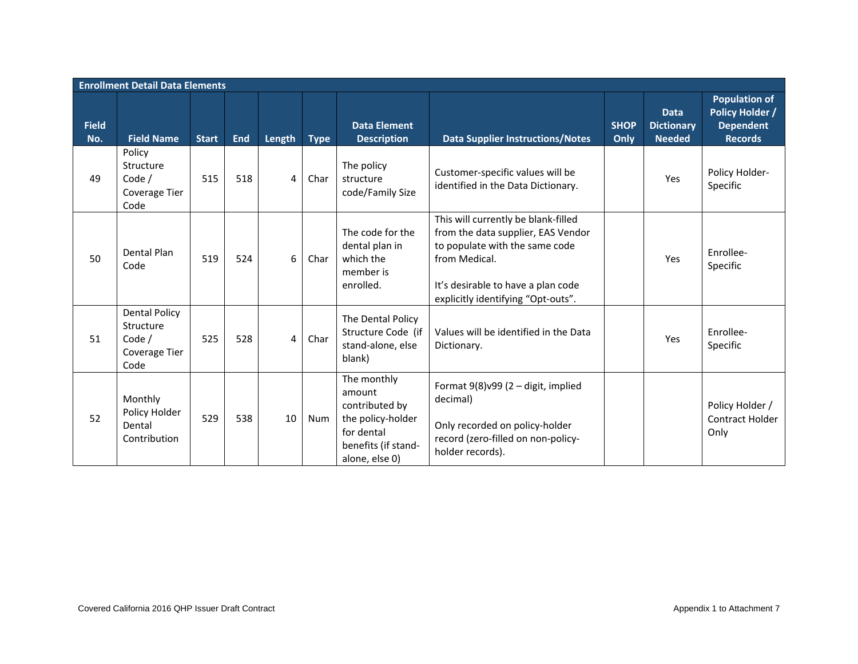|                     | <b>Enrollment Detail Data Elements</b>                               |              |            |        |             |                                                                                                                     |                                                                                                                                                                                                          |                     |                                                   |                                                                                      |
|---------------------|----------------------------------------------------------------------|--------------|------------|--------|-------------|---------------------------------------------------------------------------------------------------------------------|----------------------------------------------------------------------------------------------------------------------------------------------------------------------------------------------------------|---------------------|---------------------------------------------------|--------------------------------------------------------------------------------------|
| <b>Field</b><br>No. | <b>Field Name</b>                                                    | <b>Start</b> | <b>End</b> | Length | <b>Type</b> | <b>Data Element</b><br><b>Description</b>                                                                           | <b>Data Supplier Instructions/Notes</b>                                                                                                                                                                  | <b>SHOP</b><br>Only | <b>Data</b><br><b>Dictionary</b><br><b>Needed</b> | <b>Population of</b><br><b>Policy Holder /</b><br><b>Dependent</b><br><b>Records</b> |
| 49                  | Policy<br>Structure<br>Code /<br>Coverage Tier<br>Code               | 515          | 518        | 4      | Char        | The policy<br>structure<br>code/Family Size                                                                         | Customer-specific values will be<br>identified in the Data Dictionary.                                                                                                                                   |                     | Yes                                               | Policy Holder-<br>Specific                                                           |
| 50                  | Dental Plan<br>Code                                                  | 519          | 524        | 6      | Char        | The code for the<br>dental plan in<br>which the<br>member is<br>enrolled.                                           | This will currently be blank-filled<br>from the data supplier, EAS Vendor<br>to populate with the same code<br>from Medical.<br>It's desirable to have a plan code<br>explicitly identifying "Opt-outs". |                     | Yes                                               | Enrollee-<br>Specific                                                                |
| 51                  | <b>Dental Policy</b><br>Structure<br>Code /<br>Coverage Tier<br>Code | 525          | 528        | 4      | Char        | The Dental Policy<br>Structure Code (if<br>stand-alone, else<br>blank)                                              | Values will be identified in the Data<br>Dictionary.                                                                                                                                                     |                     | Yes                                               | Enrollee-<br>Specific                                                                |
| 52                  | Monthly<br>Policy Holder<br>Dental<br>Contribution                   | 529          | 538        | 10     | Num         | The monthly<br>amount<br>contributed by<br>the policy-holder<br>for dental<br>benefits (if stand-<br>alone, else 0) | Format $9(8)$ v $99(2 -$ digit, implied<br>decimal)<br>Only recorded on policy-holder<br>record (zero-filled on non-policy-<br>holder records).                                                          |                     |                                                   | Policy Holder /<br>Contract Holder<br>Only                                           |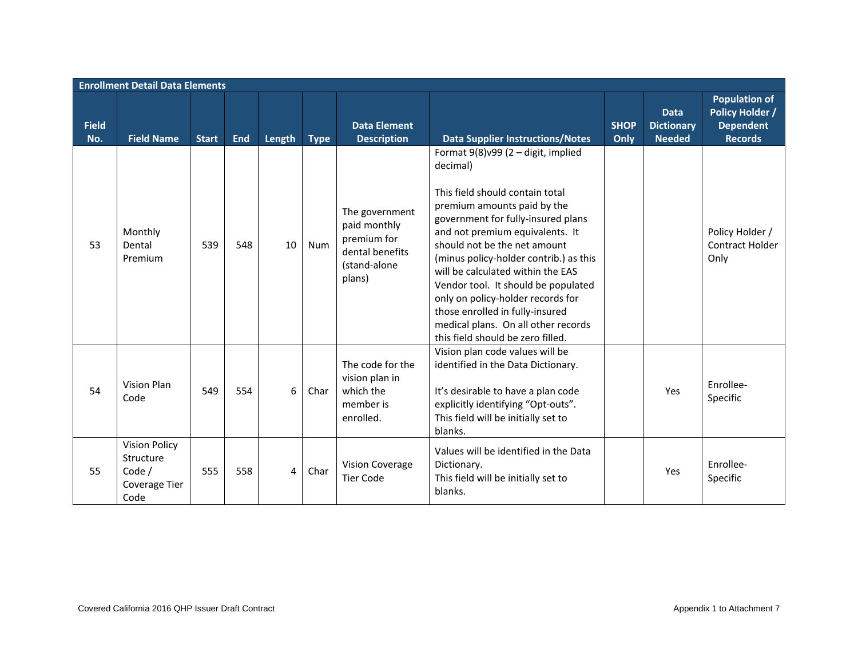|                     | <b>Enrollment Detail Data Elements</b>                               |              |            |        |             |                                                                                            |                                                                                                                                                                                                                                                                                                                                                                                                                                                                                                          |                     |                                                   |                                                                                      |  |
|---------------------|----------------------------------------------------------------------|--------------|------------|--------|-------------|--------------------------------------------------------------------------------------------|----------------------------------------------------------------------------------------------------------------------------------------------------------------------------------------------------------------------------------------------------------------------------------------------------------------------------------------------------------------------------------------------------------------------------------------------------------------------------------------------------------|---------------------|---------------------------------------------------|--------------------------------------------------------------------------------------|--|
| <b>Field</b><br>No. | <b>Field Name</b>                                                    | <b>Start</b> | <b>End</b> | Length | <b>Type</b> | <b>Data Element</b><br><b>Description</b>                                                  | <b>Data Supplier Instructions/Notes</b>                                                                                                                                                                                                                                                                                                                                                                                                                                                                  | <b>SHOP</b><br>Only | <b>Data</b><br><b>Dictionary</b><br><b>Needed</b> | <b>Population of</b><br><b>Policy Holder /</b><br><b>Dependent</b><br><b>Records</b> |  |
| 53                  | Monthly<br>Dental<br>Premium                                         | 539          | 548        | 10     | Num         | The government<br>paid monthly<br>premium for<br>dental benefits<br>(stand-alone<br>plans) | Format $9(8)$ v $99(2 -$ digit, implied<br>decimal)<br>This field should contain total<br>premium amounts paid by the<br>government for fully-insured plans<br>and not premium equivalents. It<br>should not be the net amount<br>(minus policy-holder contrib.) as this<br>will be calculated within the EAS<br>Vendor tool. It should be populated<br>only on policy-holder records for<br>those enrolled in fully-insured<br>medical plans. On all other records<br>this field should be zero filled. |                     |                                                   | Policy Holder /<br><b>Contract Holder</b><br>Only                                    |  |
| 54                  | Vision Plan<br>Code                                                  | 549          | 554        | 6      | Char        | The code for the<br>vision plan in<br>which the<br>member is<br>enrolled.                  | Vision plan code values will be<br>identified in the Data Dictionary.<br>It's desirable to have a plan code<br>explicitly identifying "Opt-outs".<br>This field will be initially set to<br>blanks.                                                                                                                                                                                                                                                                                                      |                     | Yes                                               | Enrollee-<br>Specific                                                                |  |
| 55                  | <b>Vision Policy</b><br>Structure<br>Code /<br>Coverage Tier<br>Code | 555          | 558        | 4      | Char        | Vision Coverage<br><b>Tier Code</b>                                                        | Values will be identified in the Data<br>Dictionary.<br>This field will be initially set to<br>blanks.                                                                                                                                                                                                                                                                                                                                                                                                   |                     | Yes                                               | Enrollee-<br>Specific                                                                |  |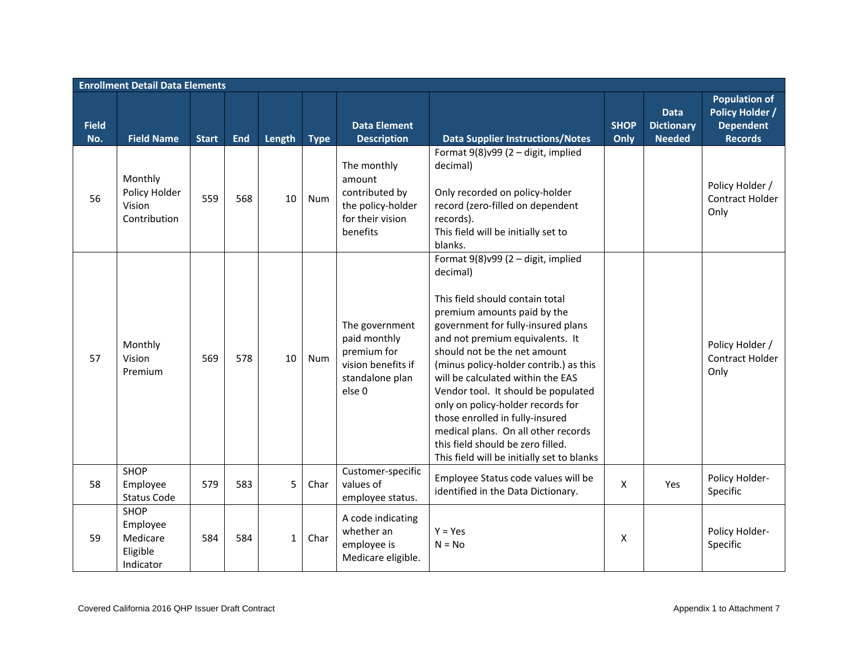|                     | <b>Enrollment Detail Data Elements</b>                |              |            |              |             |                                                                                                             |                                                                                                                                                                                                                                                                                                                                                                                                                                                                                                                                                   |                     |                                                   |                                                                                      |
|---------------------|-------------------------------------------------------|--------------|------------|--------------|-------------|-------------------------------------------------------------------------------------------------------------|---------------------------------------------------------------------------------------------------------------------------------------------------------------------------------------------------------------------------------------------------------------------------------------------------------------------------------------------------------------------------------------------------------------------------------------------------------------------------------------------------------------------------------------------------|---------------------|---------------------------------------------------|--------------------------------------------------------------------------------------|
| <b>Field</b><br>No. | <b>Field Name</b>                                     | <b>Start</b> | <b>End</b> | Length       | <b>Type</b> | <b>Data Element</b><br><b>Description</b>                                                                   | <b>Data Supplier Instructions/Notes</b>                                                                                                                                                                                                                                                                                                                                                                                                                                                                                                           | <b>SHOP</b><br>Only | <b>Data</b><br><b>Dictionary</b><br><b>Needed</b> | <b>Population of</b><br><b>Policy Holder /</b><br><b>Dependent</b><br><b>Records</b> |
| 56                  | Monthly<br>Policy Holder<br>Vision<br>Contribution    | 559          | 568        | 10           | Num         | The monthly<br>amount<br>contributed by<br>the policy-holder<br>for their vision<br>benefits                | Format $9(8)$ v $99(2 -$ digit, implied<br>decimal)<br>Only recorded on policy-holder<br>record (zero-filled on dependent<br>records).<br>This field will be initially set to<br>blanks.                                                                                                                                                                                                                                                                                                                                                          |                     |                                                   | Policy Holder /<br>Contract Holder<br>Only                                           |
| 57                  | Monthly<br>Vision<br>Premium                          | 569          | 578        | 10           | Num         | The government<br>paid monthly<br>premium for<br>vision benefits if<br>standalone plan<br>else <sub>0</sub> | Format 9(8)v99 (2 - digit, implied<br>decimal)<br>This field should contain total<br>premium amounts paid by the<br>government for fully-insured plans<br>and not premium equivalents. It<br>should not be the net amount<br>(minus policy-holder contrib.) as this<br>will be calculated within the EAS<br>Vendor tool. It should be populated<br>only on policy-holder records for<br>those enrolled in fully-insured<br>medical plans. On all other records<br>this field should be zero filled.<br>This field will be initially set to blanks |                     |                                                   | Policy Holder /<br>Contract Holder<br>Only                                           |
| 58                  | <b>SHOP</b><br>Employee<br>Status Code                | 579          | 583        | 5            | Char        | Customer-specific<br>values of<br>employee status.                                                          | Employee Status code values will be<br>identified in the Data Dictionary.                                                                                                                                                                                                                                                                                                                                                                                                                                                                         | X                   | Yes                                               | Policy Holder-<br>Specific                                                           |
| 59                  | SHOP<br>Employee<br>Medicare<br>Eligible<br>Indicator | 584          | 584        | $\mathbf{1}$ | Char        | A code indicating<br>whether an<br>employee is<br>Medicare eligible.                                        | $Y = Yes$<br>$N = No$                                                                                                                                                                                                                                                                                                                                                                                                                                                                                                                             | X                   |                                                   | Policy Holder-<br>Specific                                                           |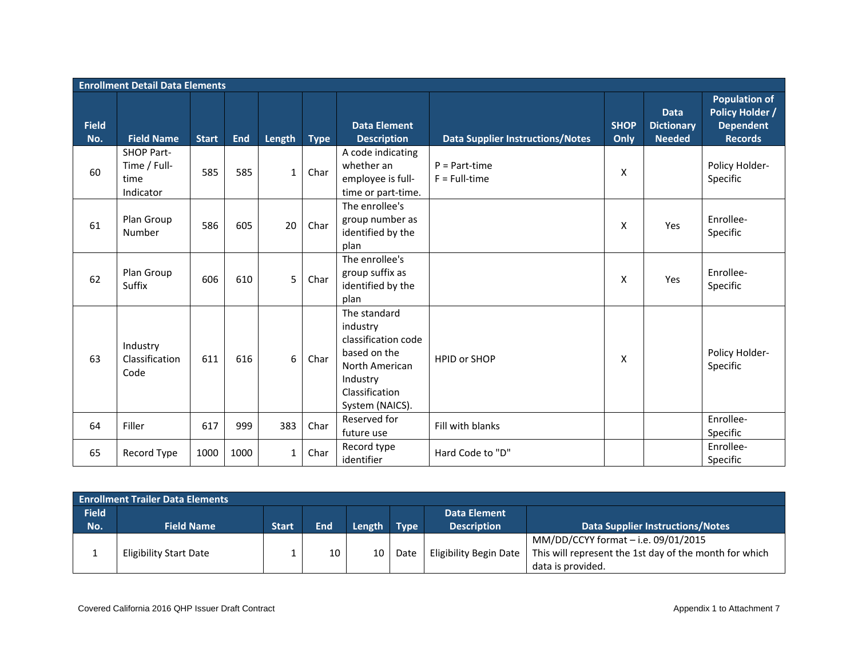|                     | <b>Enrollment Detail Data Elements</b>                 |              |            |              |             |                                                                                                                                    |                                         |                     |                                                   |                                                                                      |  |
|---------------------|--------------------------------------------------------|--------------|------------|--------------|-------------|------------------------------------------------------------------------------------------------------------------------------------|-----------------------------------------|---------------------|---------------------------------------------------|--------------------------------------------------------------------------------------|--|
| <b>Field</b><br>No. | <b>Field Name</b>                                      | <b>Start</b> | <b>End</b> | Length       | <b>Type</b> | <b>Data Element</b><br><b>Description</b>                                                                                          | <b>Data Supplier Instructions/Notes</b> | <b>SHOP</b><br>Only | <b>Data</b><br><b>Dictionary</b><br><b>Needed</b> | <b>Population of</b><br><b>Policy Holder /</b><br><b>Dependent</b><br><b>Records</b> |  |
| 60                  | <b>SHOP Part-</b><br>Time / Full-<br>time<br>Indicator | 585          | 585        | $\mathbf{1}$ | Char        | A code indicating<br>whether an<br>employee is full-<br>time or part-time.                                                         | $P = Part-time$<br>$F = Full-time$      | X                   |                                                   | Policy Holder-<br>Specific                                                           |  |
| 61                  | Plan Group<br>Number                                   | 586          | 605        | 20           | Char        | The enrollee's<br>group number as<br>identified by the<br>plan                                                                     |                                         | X                   | Yes                                               | Enrollee-<br>Specific                                                                |  |
| 62                  | Plan Group<br>Suffix                                   | 606          | 610        | 5            | Char        | The enrollee's<br>group suffix as<br>identified by the<br>plan                                                                     |                                         | X                   | Yes                                               | Enrollee-<br>Specific                                                                |  |
| 63                  | Industry<br>Classification<br>Code                     | 611          | 616        | 6            | Char        | The standard<br>industry<br>classification code<br>based on the<br>North American<br>Industry<br>Classification<br>System (NAICS). | <b>HPID or SHOP</b>                     | X                   |                                                   | Policy Holder-<br>Specific                                                           |  |
| 64                  | Filler                                                 | 617          | 999        | 383          | Char        | Reserved for<br>future use                                                                                                         | Fill with blanks                        |                     |                                                   | Enrollee-<br>Specific                                                                |  |
| 65                  | Record Type                                            | 1000         | 1000       | $\mathbf{1}$ | Char        | Record type<br>identifier                                                                                                          | Hard Code to "D"                        |                     |                                                   | Enrollee-<br>Specific                                                                |  |

|              | <b>Enrollment Trailer Data Elements</b> |                    |            |        |             |                               |                                                        |  |  |  |  |  |
|--------------|-----------------------------------------|--------------------|------------|--------|-------------|-------------------------------|--------------------------------------------------------|--|--|--|--|--|
| <b>Field</b> |                                         |                    |            |        |             | <b>Data Element</b>           |                                                        |  |  |  |  |  |
| No.          | <b>Field Name</b>                       | Start <sup>1</sup> | <b>End</b> | Length | <b>Type</b> | <b>Description</b>            | <b>Data Supplier Instructions/Notes</b>                |  |  |  |  |  |
|              |                                         |                    |            |        |             |                               | MM/DD/CCYY format - i.e. 09/01/2015                    |  |  |  |  |  |
|              | Eligibility Start Date                  |                    | 10         | 10     | Date        | <b>Eligibility Begin Date</b> | This will represent the 1st day of the month for which |  |  |  |  |  |
|              |                                         |                    |            |        |             |                               | data is provided.                                      |  |  |  |  |  |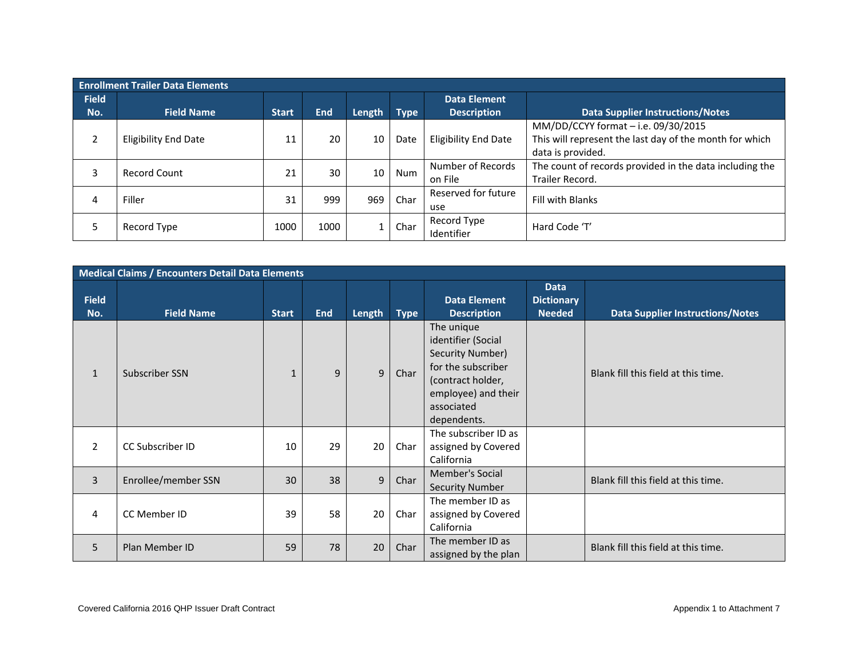|              | <b>Enrollment Trailer Data Elements</b> |              |            |        |             |                             |                                                         |  |  |  |  |  |
|--------------|-----------------------------------------|--------------|------------|--------|-------------|-----------------------------|---------------------------------------------------------|--|--|--|--|--|
| <b>Field</b> |                                         |              |            |        |             | Data Element                |                                                         |  |  |  |  |  |
| No.          | <b>Field Name</b>                       | <b>Start</b> | <b>End</b> | Length | <b>Type</b> | <b>Description</b>          | <b>Data Supplier Instructions/Notes</b>                 |  |  |  |  |  |
|              |                                         |              |            |        |             |                             | MM/DD/CCYY format - i.e. 09/30/2015                     |  |  |  |  |  |
| 2            | <b>Eligibility End Date</b>             | 11           | 20         | 10     | Date        | <b>Eligibility End Date</b> | This will represent the last day of the month for which |  |  |  |  |  |
|              |                                         |              |            |        |             |                             | data is provided.                                       |  |  |  |  |  |
|              | <b>Record Count</b>                     | 21           | 30         | 10     | Num         | Number of Records           | The count of records provided in the data including the |  |  |  |  |  |
|              |                                         |              |            |        |             | on File                     | Trailer Record.                                         |  |  |  |  |  |
| 4            | Filler                                  | 31           | 999        | 969    | Char        | Reserved for future         | <b>Fill with Blanks</b>                                 |  |  |  |  |  |
|              |                                         |              |            |        |             | use                         |                                                         |  |  |  |  |  |
|              | Record Type                             | 1000         | 1000       |        | Char        | Record Type                 | Hard Code 'T'                                           |  |  |  |  |  |
|              |                                         |              |            |        |             | Identifier                  |                                                         |  |  |  |  |  |

|                     | Medical Claims / Encounters Detail Data Elements |              |            |        |             |                                                                                                                                                     |                                                   |                                         |  |  |  |  |
|---------------------|--------------------------------------------------|--------------|------------|--------|-------------|-----------------------------------------------------------------------------------------------------------------------------------------------------|---------------------------------------------------|-----------------------------------------|--|--|--|--|
| <b>Field</b><br>No. | <b>Field Name</b>                                | <b>Start</b> | <b>End</b> | Length | <b>Type</b> | <b>Data Element</b><br><b>Description</b>                                                                                                           | <b>Data</b><br><b>Dictionary</b><br><b>Needed</b> | <b>Data Supplier Instructions/Notes</b> |  |  |  |  |
| $\mathbf{1}$        | Subscriber SSN                                   | $\mathbf{1}$ | 9          | 9      | Char        | The unique<br>identifier (Social<br>Security Number)<br>for the subscriber<br>(contract holder,<br>employee) and their<br>associated<br>dependents. |                                                   | Blank fill this field at this time.     |  |  |  |  |
| $\overline{2}$      | CC Subscriber ID                                 | 10           | 29         | 20     | Char        | The subscriber ID as<br>assigned by Covered<br>California                                                                                           |                                                   |                                         |  |  |  |  |
| $\overline{3}$      | Enrollee/member SSN                              | 30           | 38         | 9      | Char        | <b>Member's Social</b><br><b>Security Number</b>                                                                                                    |                                                   | Blank fill this field at this time.     |  |  |  |  |
| 4                   | CC Member ID                                     | 39           | 58         | 20     | Char        | The member ID as<br>assigned by Covered<br>California                                                                                               |                                                   |                                         |  |  |  |  |
| 5                   | Plan Member ID                                   | 59           | 78         | 20     | Char        | The member ID as<br>assigned by the plan                                                                                                            |                                                   | Blank fill this field at this time.     |  |  |  |  |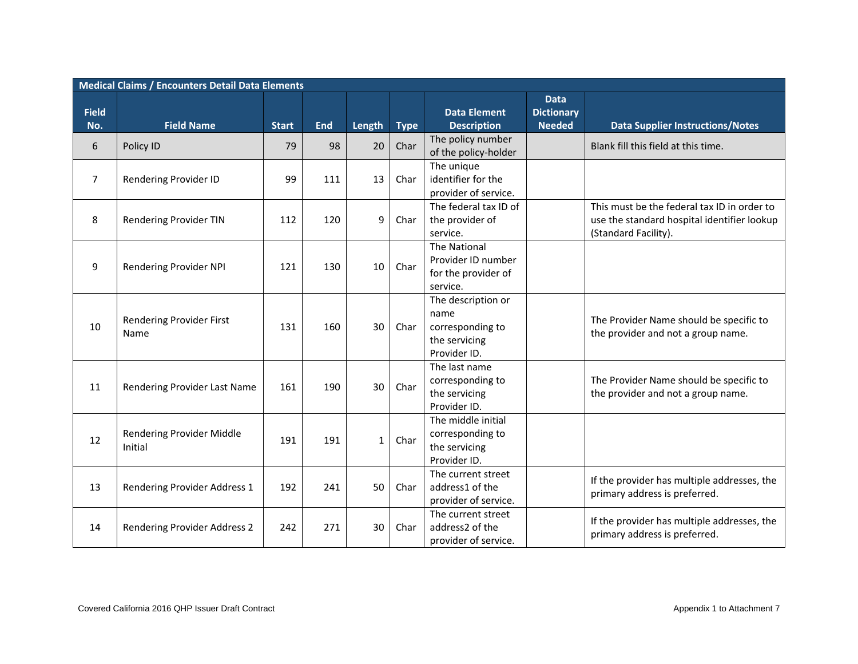|              | <b>Medical Claims / Encounters Detail Data Elements</b> |              |            |              |             |                                                                                 |                                  |                                                                                                                    |
|--------------|---------------------------------------------------------|--------------|------------|--------------|-------------|---------------------------------------------------------------------------------|----------------------------------|--------------------------------------------------------------------------------------------------------------------|
| <b>Field</b> |                                                         |              |            |              |             | <b>Data Element</b>                                                             | <b>Data</b><br><b>Dictionary</b> |                                                                                                                    |
| No.          | <b>Field Name</b>                                       | <b>Start</b> | <b>End</b> | Length       | <b>Type</b> | <b>Description</b>                                                              | <b>Needed</b>                    | <b>Data Supplier Instructions/Notes</b>                                                                            |
| 6            | Policy ID                                               | 79           | 98         | 20           | Char        | The policy number<br>of the policy-holder                                       |                                  | Blank fill this field at this time.                                                                                |
| 7            | Rendering Provider ID                                   | 99           | 111        | 13           | Char        | The unique<br>identifier for the<br>provider of service.                        |                                  |                                                                                                                    |
| 8            | <b>Rendering Provider TIN</b>                           | 112          | 120        | 9            | Char        | The federal tax ID of<br>the provider of<br>service.                            |                                  | This must be the federal tax ID in order to<br>use the standard hospital identifier lookup<br>(Standard Facility). |
| 9            | Rendering Provider NPI                                  | 121          | 130        | 10           | Char        | <b>The National</b><br>Provider ID number<br>for the provider of<br>service.    |                                  |                                                                                                                    |
| 10           | Rendering Provider First<br>Name                        | 131          | 160        | 30           | Char        | The description or<br>name<br>corresponding to<br>the servicing<br>Provider ID. |                                  | The Provider Name should be specific to<br>the provider and not a group name.                                      |
| 11           | Rendering Provider Last Name                            | 161          | 190        | 30           | Char        | The last name<br>corresponding to<br>the servicing<br>Provider ID.              |                                  | The Provider Name should be specific to<br>the provider and not a group name.                                      |
| 12           | Rendering Provider Middle<br>Initial                    | 191          | 191        | $\mathbf{1}$ | Char        | The middle initial<br>corresponding to<br>the servicing<br>Provider ID.         |                                  |                                                                                                                    |
| 13           | Rendering Provider Address 1                            | 192          | 241        | 50           | Char        | The current street<br>address1 of the<br>provider of service.                   |                                  | If the provider has multiple addresses, the<br>primary address is preferred.                                       |
| 14           | Rendering Provider Address 2                            | 242          | 271        | 30           | Char        | The current street<br>address2 of the<br>provider of service.                   |                                  | If the provider has multiple addresses, the<br>primary address is preferred.                                       |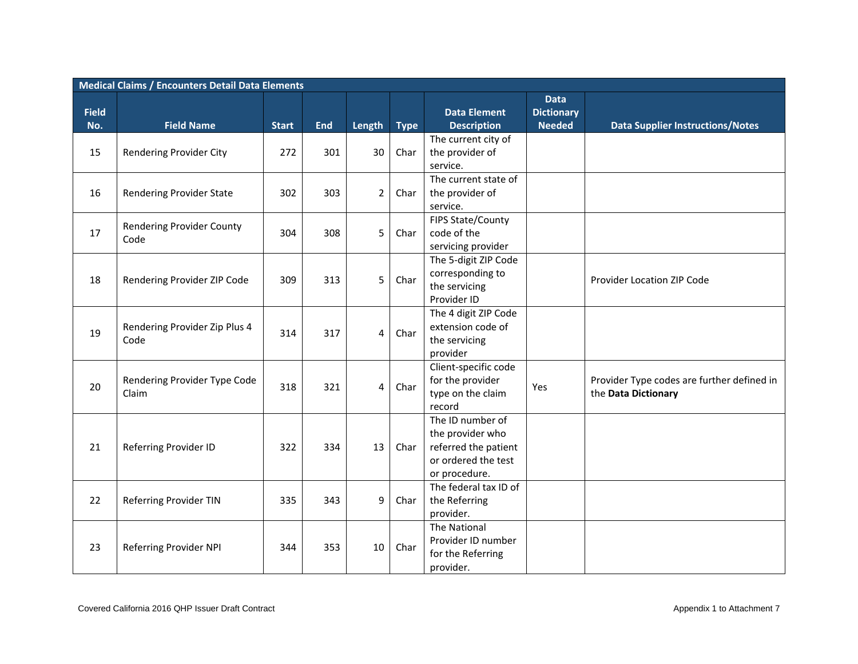|                     | <b>Medical Claims / Encounters Detail Data Elements</b> |              |            |                |             |                                                                                                      |                                                   |                                                                   |  |  |  |  |
|---------------------|---------------------------------------------------------|--------------|------------|----------------|-------------|------------------------------------------------------------------------------------------------------|---------------------------------------------------|-------------------------------------------------------------------|--|--|--|--|
| <b>Field</b><br>No. | <b>Field Name</b>                                       | <b>Start</b> | <b>End</b> | <b>Length</b>  | <b>Type</b> | <b>Data Element</b><br><b>Description</b>                                                            | <b>Data</b><br><b>Dictionary</b><br><b>Needed</b> | <b>Data Supplier Instructions/Notes</b>                           |  |  |  |  |
| 15                  | Rendering Provider City                                 | 272          | 301        | 30             | Char        | The current city of<br>the provider of<br>service.                                                   |                                                   |                                                                   |  |  |  |  |
| 16                  | <b>Rendering Provider State</b>                         | 302          | 303        | $\overline{2}$ | Char        | The current state of<br>the provider of<br>service.                                                  |                                                   |                                                                   |  |  |  |  |
| 17                  | Rendering Provider County<br>Code                       | 304          | 308        | 5              | Char        | FIPS State/County<br>code of the<br>servicing provider                                               |                                                   |                                                                   |  |  |  |  |
| 18                  | Rendering Provider ZIP Code                             | 309          | 313        | 5              | Char        | The 5-digit ZIP Code<br>corresponding to<br>the servicing<br>Provider ID                             |                                                   | Provider Location ZIP Code                                        |  |  |  |  |
| 19                  | Rendering Provider Zip Plus 4<br>Code                   | 314          | 317        | $\overline{4}$ | Char        | The 4 digit ZIP Code<br>extension code of<br>the servicing<br>provider                               |                                                   |                                                                   |  |  |  |  |
| 20                  | Rendering Provider Type Code<br>Claim                   | 318          | 321        | $\overline{4}$ | Char        | Client-specific code<br>for the provider<br>type on the claim<br>record                              | Yes                                               | Provider Type codes are further defined in<br>the Data Dictionary |  |  |  |  |
| 21                  | Referring Provider ID                                   | 322          | 334        | 13             | Char        | The ID number of<br>the provider who<br>referred the patient<br>or ordered the test<br>or procedure. |                                                   |                                                                   |  |  |  |  |
| 22                  | <b>Referring Provider TIN</b>                           | 335          | 343        | 9              | Char        | The federal tax ID of<br>the Referring<br>provider.                                                  |                                                   |                                                                   |  |  |  |  |
| 23                  | Referring Provider NPI                                  | 344          | 353        | 10             | Char        | The National<br>Provider ID number<br>for the Referring<br>provider.                                 |                                                   |                                                                   |  |  |  |  |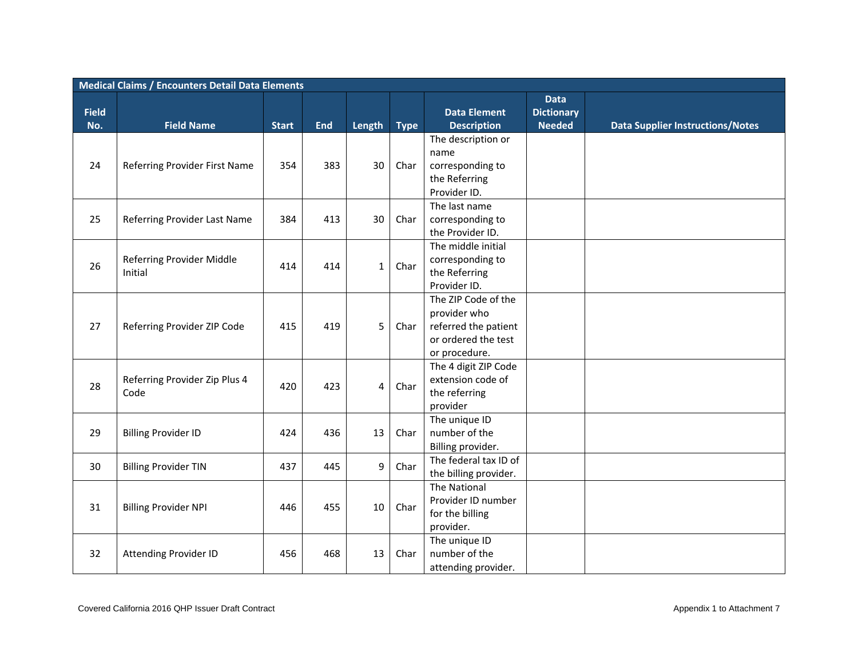|                     | <b>Medical Claims / Encounters Detail Data Elements</b> |              |            |              |      |                                                                                                     |                                                   |                                         |  |  |  |  |
|---------------------|---------------------------------------------------------|--------------|------------|--------------|------|-----------------------------------------------------------------------------------------------------|---------------------------------------------------|-----------------------------------------|--|--|--|--|
| <b>Field</b><br>No. | <b>Field Name</b>                                       | <b>Start</b> | <b>End</b> | Length Type  |      | <b>Data Element</b><br><b>Description</b>                                                           | <b>Data</b><br><b>Dictionary</b><br><b>Needed</b> | <b>Data Supplier Instructions/Notes</b> |  |  |  |  |
| 24                  | Referring Provider First Name                           | 354          | 383        | 30           | Char | The description or<br>name<br>corresponding to<br>the Referring<br>Provider ID.                     |                                                   |                                         |  |  |  |  |
| 25                  | Referring Provider Last Name                            | 384          | 413        | 30           | Char | The last name<br>corresponding to<br>the Provider ID.                                               |                                                   |                                         |  |  |  |  |
| 26                  | Referring Provider Middle<br>Initial                    | 414          | 414        | $\mathbf{1}$ | Char | The middle initial<br>corresponding to<br>the Referring<br>Provider ID.                             |                                                   |                                         |  |  |  |  |
| 27                  | Referring Provider ZIP Code                             | 415          | 419        | 5            | Char | The ZIP Code of the<br>provider who<br>referred the patient<br>or ordered the test<br>or procedure. |                                                   |                                         |  |  |  |  |
| 28                  | Referring Provider Zip Plus 4<br>Code                   | 420          | 423        | 4            | Char | The 4 digit ZIP Code<br>extension code of<br>the referring<br>provider                              |                                                   |                                         |  |  |  |  |
| 29                  | <b>Billing Provider ID</b>                              | 424          | 436        | 13           | Char | The unique ID<br>number of the<br>Billing provider.                                                 |                                                   |                                         |  |  |  |  |
| 30                  | <b>Billing Provider TIN</b>                             | 437          | 445        | 9            | Char | The federal tax ID of<br>the billing provider.                                                      |                                                   |                                         |  |  |  |  |
| 31                  | <b>Billing Provider NPI</b>                             | 446          | 455        | 10           | Char | The National<br>Provider ID number<br>for the billing<br>provider.                                  |                                                   |                                         |  |  |  |  |
| 32                  | <b>Attending Provider ID</b>                            | 456          | 468        | 13           | Char | The unique ID<br>number of the<br>attending provider.                                               |                                                   |                                         |  |  |  |  |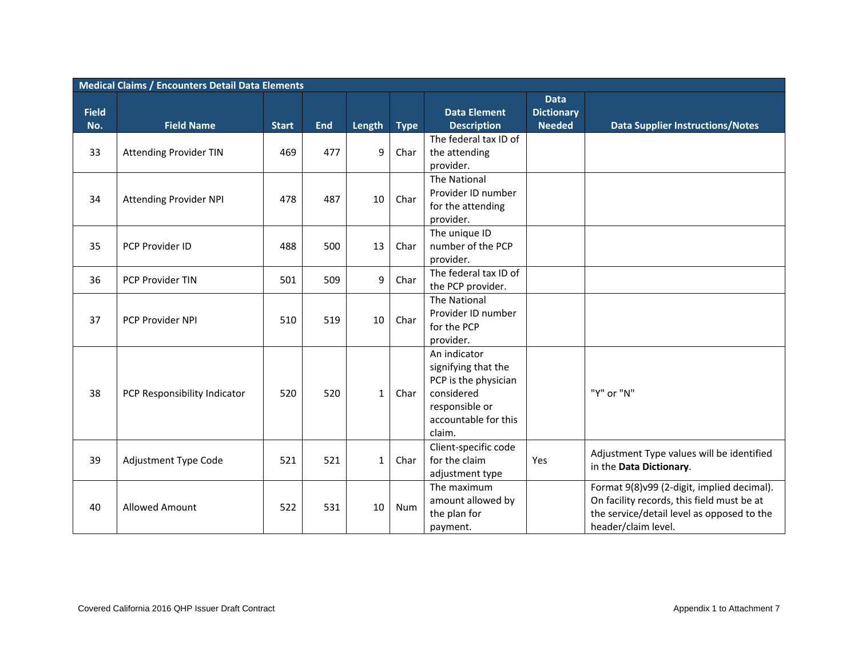|              | <b>Medical Claims / Encounters Detail Data Elements</b> |              |            |              |             |                       |                                  |                                            |  |  |  |  |
|--------------|---------------------------------------------------------|--------------|------------|--------------|-------------|-----------------------|----------------------------------|--------------------------------------------|--|--|--|--|
| <b>Field</b> |                                                         |              |            |              |             | <b>Data Element</b>   | <b>Data</b><br><b>Dictionary</b> |                                            |  |  |  |  |
| No.          | <b>Field Name</b>                                       | <b>Start</b> | <b>End</b> | Length       | <b>Type</b> | <b>Description</b>    | <b>Needed</b>                    | <b>Data Supplier Instructions/Notes</b>    |  |  |  |  |
|              |                                                         |              |            |              |             | The federal tax ID of |                                  |                                            |  |  |  |  |
| 33           | <b>Attending Provider TIN</b>                           | 469          | 477        | 9            | Char        | the attending         |                                  |                                            |  |  |  |  |
|              |                                                         |              |            |              |             | provider.             |                                  |                                            |  |  |  |  |
|              |                                                         |              |            |              |             | The National          |                                  |                                            |  |  |  |  |
| 34           | Attending Provider NPI                                  | 478          | 487        | 10           | Char        | Provider ID number    |                                  |                                            |  |  |  |  |
|              |                                                         |              |            |              |             | for the attending     |                                  |                                            |  |  |  |  |
|              |                                                         |              |            |              |             | provider.             |                                  |                                            |  |  |  |  |
|              |                                                         |              |            |              |             | The unique ID         |                                  |                                            |  |  |  |  |
| 35           | PCP Provider ID                                         | 488          | 500        | 13           | Char        | number of the PCP     |                                  |                                            |  |  |  |  |
|              |                                                         |              |            |              |             | provider.             |                                  |                                            |  |  |  |  |
| 36           | <b>PCP Provider TIN</b>                                 | 501          | 509        | 9            | Char        | The federal tax ID of |                                  |                                            |  |  |  |  |
|              |                                                         |              |            |              |             | the PCP provider.     |                                  |                                            |  |  |  |  |
|              |                                                         |              |            |              |             | The National          |                                  |                                            |  |  |  |  |
| 37           | PCP Provider NPI                                        | 510          | 519        | 10           | Char        | Provider ID number    |                                  |                                            |  |  |  |  |
|              |                                                         |              |            |              |             | for the PCP           |                                  |                                            |  |  |  |  |
|              |                                                         |              |            |              |             | provider.             |                                  |                                            |  |  |  |  |
|              |                                                         |              |            |              |             | An indicator          |                                  |                                            |  |  |  |  |
|              |                                                         |              |            |              |             | signifying that the   |                                  |                                            |  |  |  |  |
|              |                                                         |              |            |              |             | PCP is the physician  |                                  |                                            |  |  |  |  |
| 38           | PCP Responsibility Indicator                            | 520          | 520        | $\mathbf{1}$ | Char        | considered            |                                  | "Y" or "N"                                 |  |  |  |  |
|              |                                                         |              |            |              |             | responsible or        |                                  |                                            |  |  |  |  |
|              |                                                         |              |            |              |             | accountable for this  |                                  |                                            |  |  |  |  |
|              |                                                         |              |            |              |             | claim.                |                                  |                                            |  |  |  |  |
|              |                                                         |              |            |              |             | Client-specific code  |                                  | Adjustment Type values will be identified  |  |  |  |  |
| 39           | Adjustment Type Code                                    | 521          | 521        | $\mathbf{1}$ | Char        | for the claim         | Yes                              | in the Data Dictionary.                    |  |  |  |  |
|              |                                                         |              |            |              |             | adjustment type       |                                  |                                            |  |  |  |  |
|              |                                                         |              |            |              |             | The maximum           |                                  | Format 9(8)v99 (2-digit, implied decimal). |  |  |  |  |
|              | <b>Allowed Amount</b>                                   |              |            |              |             | amount allowed by     |                                  | On facility records, this field must be at |  |  |  |  |
| 40           |                                                         | 522          | 531        | 10           | Num         | the plan for          |                                  | the service/detail level as opposed to the |  |  |  |  |
|              |                                                         |              |            |              |             | payment.              |                                  | header/claim level.                        |  |  |  |  |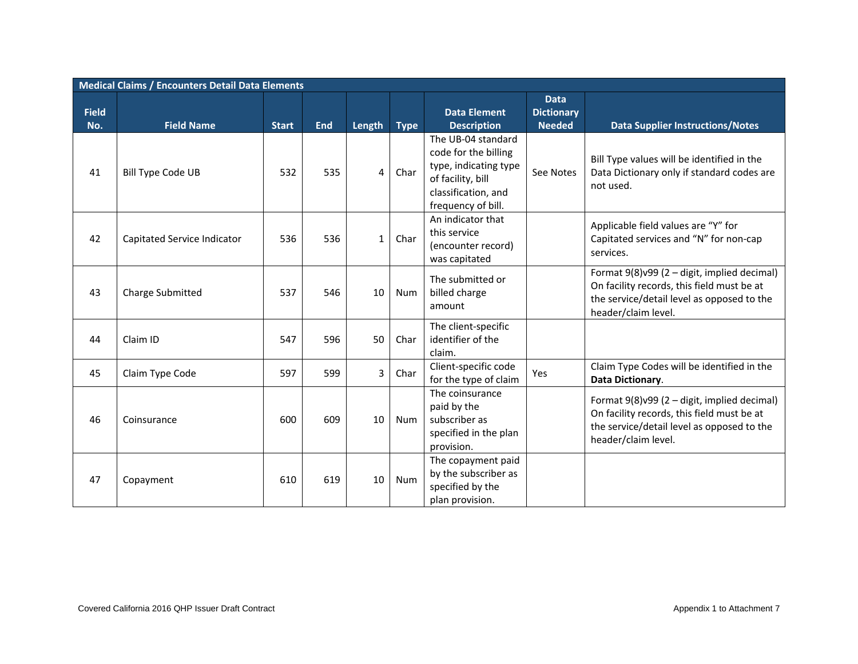|              | <b>Medical Claims / Encounters Detail Data Elements</b> |              |            |              |             |                                                                                                                                       |                                  |                                                                                                                                                                |  |  |  |  |
|--------------|---------------------------------------------------------|--------------|------------|--------------|-------------|---------------------------------------------------------------------------------------------------------------------------------------|----------------------------------|----------------------------------------------------------------------------------------------------------------------------------------------------------------|--|--|--|--|
| <b>Field</b> |                                                         |              |            |              |             | <b>Data Element</b>                                                                                                                   | <b>Data</b><br><b>Dictionary</b> |                                                                                                                                                                |  |  |  |  |
| No.          | <b>Field Name</b>                                       | <b>Start</b> | <b>End</b> | Length       | <b>Type</b> | <b>Description</b>                                                                                                                    | <b>Needed</b>                    | <b>Data Supplier Instructions/Notes</b>                                                                                                                        |  |  |  |  |
| 41           | <b>Bill Type Code UB</b>                                | 532          | 535        | 4            | Char        | The UB-04 standard<br>code for the billing<br>type, indicating type<br>of facility, bill<br>classification, and<br>frequency of bill. | See Notes                        | Bill Type values will be identified in the<br>Data Dictionary only if standard codes are<br>not used.                                                          |  |  |  |  |
| 42           | Capitated Service Indicator                             | 536          | 536        | $\mathbf{1}$ | Char        | An indicator that<br>this service<br>(encounter record)<br>was capitated                                                              |                                  | Applicable field values are "Y" for<br>Capitated services and "N" for non-cap<br>services.                                                                     |  |  |  |  |
| 43           | <b>Charge Submitted</b>                                 | 537          | 546        | 10           | Num         | The submitted or<br>billed charge<br>amount                                                                                           |                                  | Format 9(8)v99 (2 - digit, implied decimal)<br>On facility records, this field must be at<br>the service/detail level as opposed to the<br>header/claim level. |  |  |  |  |
| 44           | Claim ID                                                | 547          | 596        | 50           | Char        | The client-specific<br>identifier of the<br>claim.                                                                                    |                                  |                                                                                                                                                                |  |  |  |  |
| 45           | Claim Type Code                                         | 597          | 599        | 3            | Char        | Client-specific code<br>for the type of claim                                                                                         | Yes                              | Claim Type Codes will be identified in the<br>Data Dictionary.                                                                                                 |  |  |  |  |
| 46           | Coinsurance                                             | 600          | 609        | 10           | Num         | The coinsurance<br>paid by the<br>subscriber as<br>specified in the plan<br>provision.                                                |                                  | Format 9(8)v99 (2 - digit, implied decimal)<br>On facility records, this field must be at<br>the service/detail level as opposed to the<br>header/claim level. |  |  |  |  |
| 47           | Copayment                                               | 610          | 619        | 10           | Num         | The copayment paid<br>by the subscriber as<br>specified by the<br>plan provision.                                                     |                                  |                                                                                                                                                                |  |  |  |  |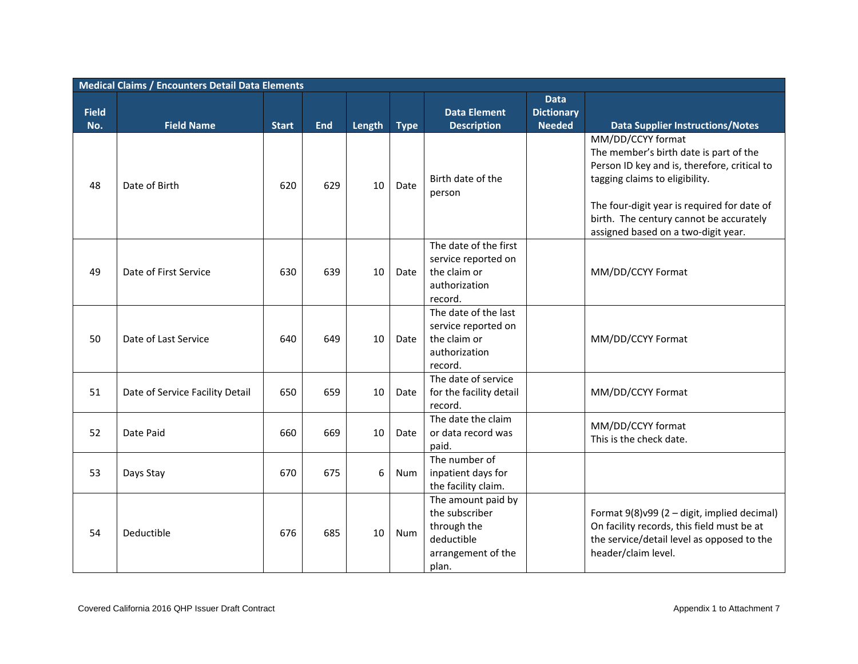|                     | <b>Medical Claims / Encounters Detail Data Elements</b> |              |            |             |            |                                                                                                  |                                                   |                                                                                                                                                                                                                                                                                |  |  |  |  |
|---------------------|---------------------------------------------------------|--------------|------------|-------------|------------|--------------------------------------------------------------------------------------------------|---------------------------------------------------|--------------------------------------------------------------------------------------------------------------------------------------------------------------------------------------------------------------------------------------------------------------------------------|--|--|--|--|
| <b>Field</b><br>No. | <b>Field Name</b>                                       | <b>Start</b> | <b>End</b> | Length Type |            | <b>Data Element</b><br><b>Description</b>                                                        | <b>Data</b><br><b>Dictionary</b><br><b>Needed</b> | <b>Data Supplier Instructions/Notes</b>                                                                                                                                                                                                                                        |  |  |  |  |
| 48                  | Date of Birth                                           | 620          | 629        | 10          | Date       | Birth date of the<br>person                                                                      |                                                   | MM/DD/CCYY format<br>The member's birth date is part of the<br>Person ID key and is, therefore, critical to<br>tagging claims to eligibility.<br>The four-digit year is required for date of<br>birth. The century cannot be accurately<br>assigned based on a two-digit year. |  |  |  |  |
| 49                  | Date of First Service                                   | 630          | 639        | 10          | Date       | The date of the first<br>service reported on<br>the claim or<br>authorization<br>record.         |                                                   | MM/DD/CCYY Format                                                                                                                                                                                                                                                              |  |  |  |  |
| 50                  | Date of Last Service                                    | 640          | 649        | 10          | Date       | The date of the last<br>service reported on<br>the claim or<br>authorization<br>record.          |                                                   | MM/DD/CCYY Format                                                                                                                                                                                                                                                              |  |  |  |  |
| 51                  | Date of Service Facility Detail                         | 650          | 659        | 10          | Date       | The date of service<br>for the facility detail<br>record.                                        |                                                   | MM/DD/CCYY Format                                                                                                                                                                                                                                                              |  |  |  |  |
| 52                  | Date Paid                                               | 660          | 669        | 10          | Date       | The date the claim<br>or data record was<br>paid.                                                |                                                   | MM/DD/CCYY format<br>This is the check date.                                                                                                                                                                                                                                   |  |  |  |  |
| 53                  | Days Stay                                               | 670          | 675        | 6           | <b>Num</b> | The number of<br>inpatient days for<br>the facility claim.                                       |                                                   |                                                                                                                                                                                                                                                                                |  |  |  |  |
| 54                  | Deductible                                              | 676          | 685        | 10          | Num        | The amount paid by<br>the subscriber<br>through the<br>deductible<br>arrangement of the<br>plan. |                                                   | Format 9(8)v99 (2 - digit, implied decimal)<br>On facility records, this field must be at<br>the service/detail level as opposed to the<br>header/claim level.                                                                                                                 |  |  |  |  |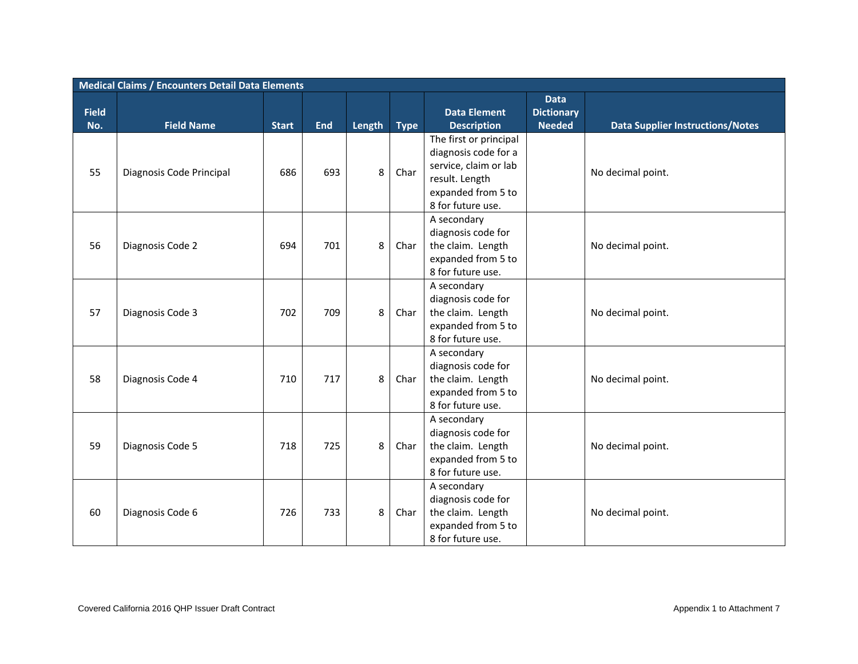|              | <b>Medical Claims / Encounters Detail Data Elements</b> |              |            |        |             |                                                                                                   |                                  |                                         |  |  |  |  |
|--------------|---------------------------------------------------------|--------------|------------|--------|-------------|---------------------------------------------------------------------------------------------------|----------------------------------|-----------------------------------------|--|--|--|--|
| <b>Field</b> |                                                         |              |            |        |             | <b>Data Element</b>                                                                               | <b>Data</b><br><b>Dictionary</b> |                                         |  |  |  |  |
| No.          | <b>Field Name</b>                                       | <b>Start</b> | <b>End</b> | Length | <b>Type</b> | <b>Description</b>                                                                                | <b>Needed</b>                    | <b>Data Supplier Instructions/Notes</b> |  |  |  |  |
| 55           | Diagnosis Code Principal                                | 686          | 693        | 8      | Char        | The first or principal<br>diagnosis code for a<br>service, claim or lab<br>result. Length         |                                  | No decimal point.                       |  |  |  |  |
|              |                                                         |              |            |        |             | expanded from 5 to<br>8 for future use.                                                           |                                  |                                         |  |  |  |  |
| 56           | Diagnosis Code 2                                        | 694          | 701        | 8      | Char        | A secondary<br>diagnosis code for<br>the claim. Length<br>expanded from 5 to<br>8 for future use. |                                  | No decimal point.                       |  |  |  |  |
| 57           | Diagnosis Code 3                                        | 702          | 709        | 8      | Char        | A secondary<br>diagnosis code for<br>the claim. Length<br>expanded from 5 to<br>8 for future use. |                                  | No decimal point.                       |  |  |  |  |
| 58           | Diagnosis Code 4                                        | 710          | 717        | 8      | Char        | A secondary<br>diagnosis code for<br>the claim. Length<br>expanded from 5 to<br>8 for future use. |                                  | No decimal point.                       |  |  |  |  |
| 59           | Diagnosis Code 5                                        | 718          | 725        | 8      | Char        | A secondary<br>diagnosis code for<br>the claim. Length<br>expanded from 5 to<br>8 for future use. |                                  | No decimal point.                       |  |  |  |  |
| 60           | Diagnosis Code 6                                        | 726          | 733        | 8      | Char        | A secondary<br>diagnosis code for<br>the claim. Length<br>expanded from 5 to<br>8 for future use. |                                  | No decimal point.                       |  |  |  |  |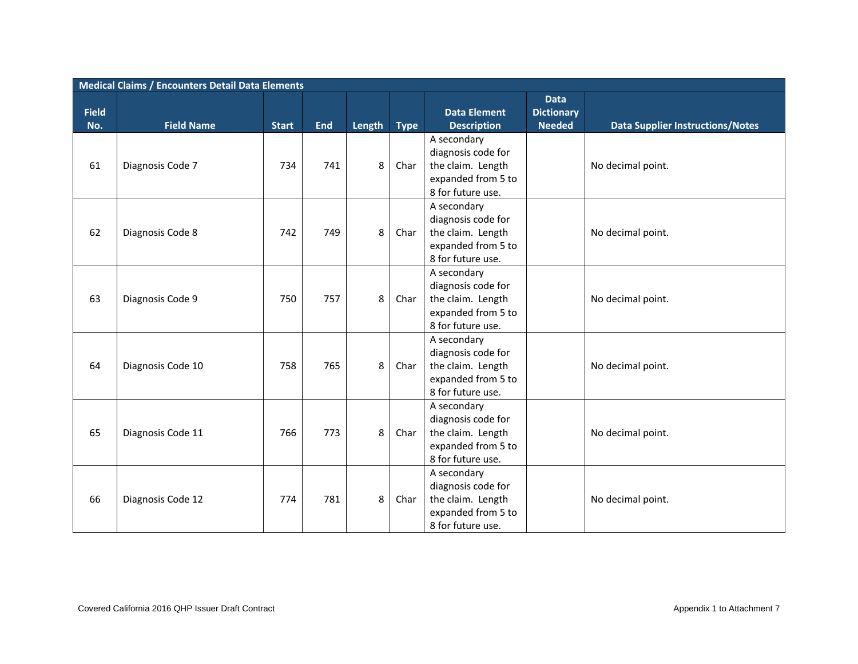|              | <b>Medical Claims / Encounters Detail Data Elements</b> |              |            |        |             |                                                                                                   |                                  |                                         |  |  |  |  |
|--------------|---------------------------------------------------------|--------------|------------|--------|-------------|---------------------------------------------------------------------------------------------------|----------------------------------|-----------------------------------------|--|--|--|--|
| <b>Field</b> |                                                         |              |            |        |             | <b>Data Element</b>                                                                               | <b>Data</b><br><b>Dictionary</b> |                                         |  |  |  |  |
| No.          | <b>Field Name</b>                                       | <b>Start</b> | <b>End</b> | Length | <b>Type</b> | <b>Description</b>                                                                                | <b>Needed</b>                    | <b>Data Supplier Instructions/Notes</b> |  |  |  |  |
| 61           | Diagnosis Code 7                                        | 734          | 741        | 8      | Char        | A secondary<br>diagnosis code for<br>the claim. Length<br>expanded from 5 to<br>8 for future use. |                                  | No decimal point.                       |  |  |  |  |
| 62           | Diagnosis Code 8                                        | 742          | 749        | 8      | Char        | A secondary<br>diagnosis code for<br>the claim. Length<br>expanded from 5 to<br>8 for future use. |                                  | No decimal point.                       |  |  |  |  |
| 63           | Diagnosis Code 9                                        | 750          | 757        | 8      | Char        | A secondary<br>diagnosis code for<br>the claim. Length<br>expanded from 5 to<br>8 for future use. |                                  | No decimal point.                       |  |  |  |  |
| 64           | Diagnosis Code 10                                       | 758          | 765        | 8      | Char        | A secondary<br>diagnosis code for<br>the claim. Length<br>expanded from 5 to<br>8 for future use. |                                  | No decimal point.                       |  |  |  |  |
| 65           | Diagnosis Code 11                                       | 766          | 773        | 8      | Char        | A secondary<br>diagnosis code for<br>the claim. Length<br>expanded from 5 to<br>8 for future use. |                                  | No decimal point.                       |  |  |  |  |
| 66           | Diagnosis Code 12                                       | 774          | 781        | 8      | Char        | A secondary<br>diagnosis code for<br>the claim. Length<br>expanded from 5 to<br>8 for future use. |                                  | No decimal point.                       |  |  |  |  |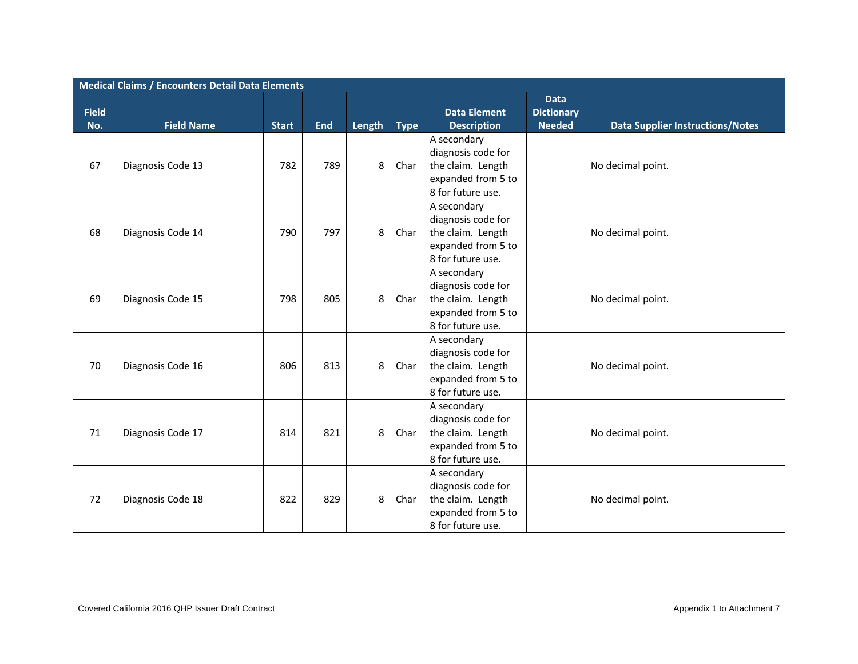|              | <b>Medical Claims / Encounters Detail Data Elements</b> |              |            |        |             |                                                                                                   |                                  |                                         |  |  |  |  |
|--------------|---------------------------------------------------------|--------------|------------|--------|-------------|---------------------------------------------------------------------------------------------------|----------------------------------|-----------------------------------------|--|--|--|--|
| <b>Field</b> |                                                         |              |            |        |             | <b>Data Element</b>                                                                               | <b>Data</b><br><b>Dictionary</b> |                                         |  |  |  |  |
| No.          | <b>Field Name</b>                                       | <b>Start</b> | <b>End</b> | Length | <b>Type</b> | <b>Description</b>                                                                                | <b>Needed</b>                    | <b>Data Supplier Instructions/Notes</b> |  |  |  |  |
| 67           | Diagnosis Code 13                                       | 782          | 789        | 8      | Char        | A secondary<br>diagnosis code for<br>the claim. Length<br>expanded from 5 to<br>8 for future use. |                                  | No decimal point.                       |  |  |  |  |
| 68           | Diagnosis Code 14                                       | 790          | 797        | 8      | Char        | A secondary<br>diagnosis code for<br>the claim. Length<br>expanded from 5 to<br>8 for future use. |                                  | No decimal point.                       |  |  |  |  |
| 69           | Diagnosis Code 15                                       | 798          | 805        | 8      | Char        | A secondary<br>diagnosis code for<br>the claim. Length<br>expanded from 5 to<br>8 for future use. |                                  | No decimal point.                       |  |  |  |  |
| 70           | Diagnosis Code 16                                       | 806          | 813        | 8      | Char        | A secondary<br>diagnosis code for<br>the claim. Length<br>expanded from 5 to<br>8 for future use. |                                  | No decimal point.                       |  |  |  |  |
| 71           | Diagnosis Code 17                                       | 814          | 821        | 8      | Char        | A secondary<br>diagnosis code for<br>the claim. Length<br>expanded from 5 to<br>8 for future use. |                                  | No decimal point.                       |  |  |  |  |
| 72           | Diagnosis Code 18                                       | 822          | 829        | 8      | Char        | A secondary<br>diagnosis code for<br>the claim. Length<br>expanded from 5 to<br>8 for future use. |                                  | No decimal point.                       |  |  |  |  |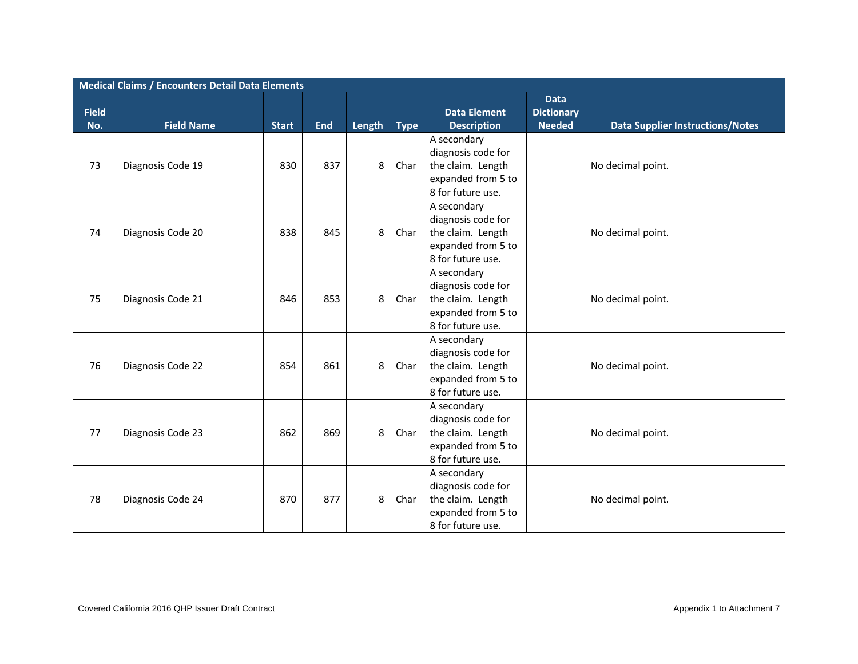|              | <b>Medical Claims / Encounters Detail Data Elements</b> |              |            |        |             |                                                                                                   |                                  |                                         |  |  |  |  |
|--------------|---------------------------------------------------------|--------------|------------|--------|-------------|---------------------------------------------------------------------------------------------------|----------------------------------|-----------------------------------------|--|--|--|--|
| <b>Field</b> |                                                         |              |            |        |             | <b>Data Element</b>                                                                               | <b>Data</b><br><b>Dictionary</b> |                                         |  |  |  |  |
| No.          | <b>Field Name</b>                                       | <b>Start</b> | <b>End</b> | Length | <b>Type</b> | <b>Description</b>                                                                                | <b>Needed</b>                    | <b>Data Supplier Instructions/Notes</b> |  |  |  |  |
| 73           | Diagnosis Code 19                                       | 830          | 837        | 8      | Char        | A secondary<br>diagnosis code for<br>the claim. Length<br>expanded from 5 to<br>8 for future use. |                                  | No decimal point.                       |  |  |  |  |
| 74           | Diagnosis Code 20                                       | 838          | 845        | 8      | Char        | A secondary<br>diagnosis code for<br>the claim. Length<br>expanded from 5 to<br>8 for future use. |                                  | No decimal point.                       |  |  |  |  |
| 75           | Diagnosis Code 21                                       | 846          | 853        | 8      | Char        | A secondary<br>diagnosis code for<br>the claim. Length<br>expanded from 5 to<br>8 for future use. |                                  | No decimal point.                       |  |  |  |  |
| 76           | Diagnosis Code 22                                       | 854          | 861        | 8      | Char        | A secondary<br>diagnosis code for<br>the claim. Length<br>expanded from 5 to<br>8 for future use. |                                  | No decimal point.                       |  |  |  |  |
| 77           | Diagnosis Code 23                                       | 862          | 869        | 8      | Char        | A secondary<br>diagnosis code for<br>the claim. Length<br>expanded from 5 to<br>8 for future use. |                                  | No decimal point.                       |  |  |  |  |
| 78           | Diagnosis Code 24                                       | 870          | 877        | 8      | Char        | A secondary<br>diagnosis code for<br>the claim. Length<br>expanded from 5 to<br>8 for future use. |                                  | No decimal point.                       |  |  |  |  |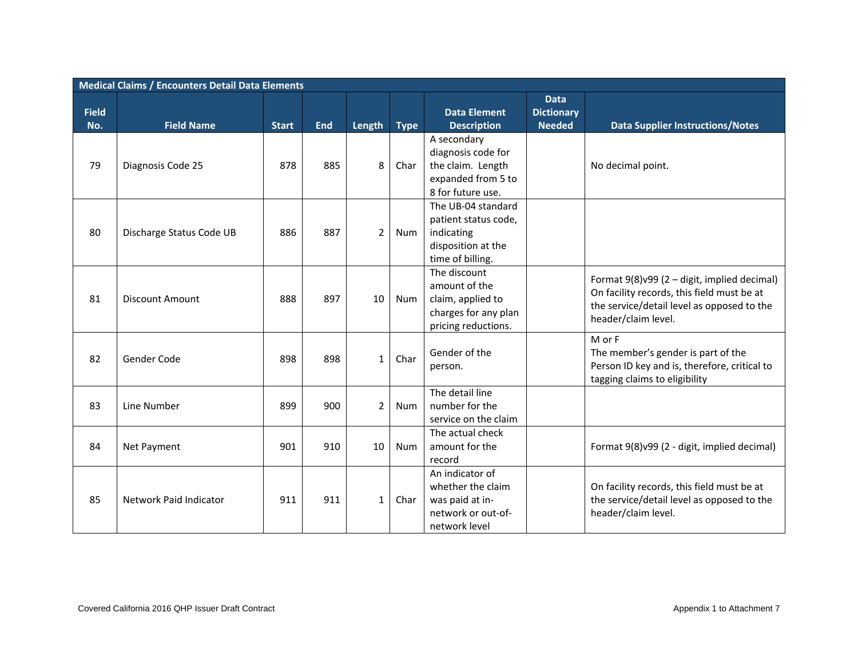|              | <b>Medical Claims / Encounters Detail Data Elements</b> |              |            |                |             |                                                                                                    |                                  |                                                                                                                                                                |  |  |  |  |
|--------------|---------------------------------------------------------|--------------|------------|----------------|-------------|----------------------------------------------------------------------------------------------------|----------------------------------|----------------------------------------------------------------------------------------------------------------------------------------------------------------|--|--|--|--|
| <b>Field</b> |                                                         |              |            |                |             | <b>Data Element</b>                                                                                | <b>Data</b><br><b>Dictionary</b> |                                                                                                                                                                |  |  |  |  |
| No.          | <b>Field Name</b>                                       | <b>Start</b> | <b>End</b> | Length         | <b>Type</b> | <b>Description</b>                                                                                 | <b>Needed</b>                    | <b>Data Supplier Instructions/Notes</b>                                                                                                                        |  |  |  |  |
| 79           | Diagnosis Code 25                                       | 878          | 885        | 8              | Char        | A secondary<br>diagnosis code for<br>the claim. Length<br>expanded from 5 to<br>8 for future use.  |                                  | No decimal point.                                                                                                                                              |  |  |  |  |
| 80           | Discharge Status Code UB                                | 886          | 887        | $\overline{2}$ | Num         | The UB-04 standard<br>patient status code,<br>indicating<br>disposition at the<br>time of billing. |                                  |                                                                                                                                                                |  |  |  |  |
| 81           | <b>Discount Amount</b>                                  | 888          | 897        | 10             | Num         | The discount<br>amount of the<br>claim, applied to<br>charges for any plan<br>pricing reductions.  |                                  | Format 9(8)v99 (2 - digit, implied decimal)<br>On facility records, this field must be at<br>the service/detail level as opposed to the<br>header/claim level. |  |  |  |  |
| 82           | Gender Code                                             | 898          | 898        | $\mathbf{1}$   | Char        | Gender of the<br>person.                                                                           |                                  | M or F<br>The member's gender is part of the<br>Person ID key and is, therefore, critical to<br>tagging claims to eligibility                                  |  |  |  |  |
| 83           | Line Number                                             | 899          | 900        | $\overline{2}$ | <b>Num</b>  | The detail line<br>number for the<br>service on the claim                                          |                                  |                                                                                                                                                                |  |  |  |  |
| 84           | Net Payment                                             | 901          | 910        | 10             | Num         | The actual check<br>amount for the<br>record                                                       |                                  | Format 9(8)v99 (2 - digit, implied decimal)                                                                                                                    |  |  |  |  |
| 85           | Network Paid Indicator                                  | 911          | 911        | $\mathbf{1}$   | Char        | An indicator of<br>whether the claim<br>was paid at in-<br>network or out-of-<br>network level     |                                  | On facility records, this field must be at<br>the service/detail level as opposed to the<br>header/claim level.                                                |  |  |  |  |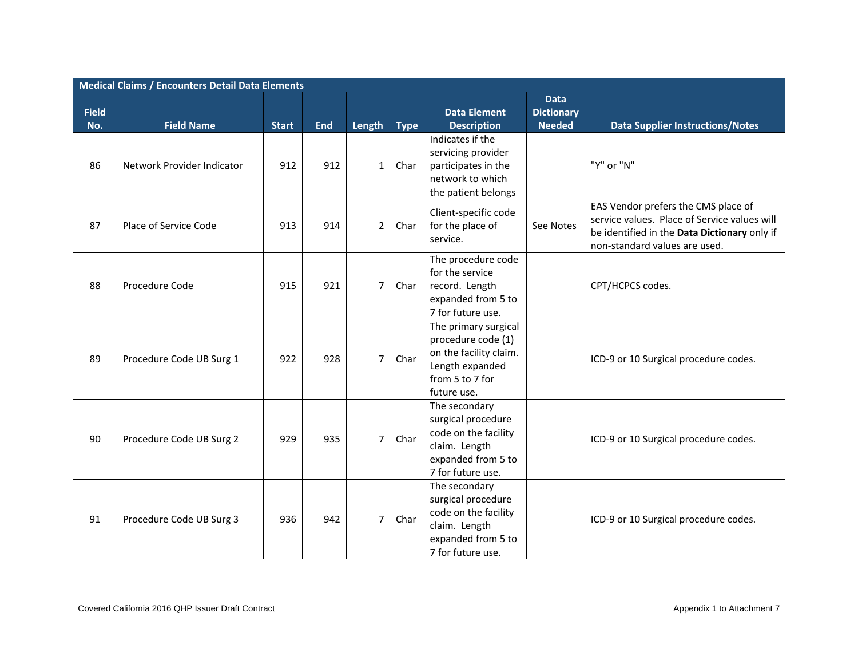|                     | <b>Medical Claims / Encounters Detail Data Elements</b> |              |            |                |             |                                                                                                                           |                                                   |                                                                                                                                                                      |  |  |  |  |
|---------------------|---------------------------------------------------------|--------------|------------|----------------|-------------|---------------------------------------------------------------------------------------------------------------------------|---------------------------------------------------|----------------------------------------------------------------------------------------------------------------------------------------------------------------------|--|--|--|--|
| <b>Field</b><br>No. | <b>Field Name</b>                                       | <b>Start</b> | <b>End</b> | Length         | <b>Type</b> | <b>Data Element</b><br><b>Description</b>                                                                                 | <b>Data</b><br><b>Dictionary</b><br><b>Needed</b> | <b>Data Supplier Instructions/Notes</b>                                                                                                                              |  |  |  |  |
| 86                  | Network Provider Indicator                              | 912          | 912        | $\mathbf{1}$   | Char        | Indicates if the<br>servicing provider<br>participates in the<br>network to which<br>the patient belongs                  |                                                   | "Y" or "N"                                                                                                                                                           |  |  |  |  |
| 87                  | Place of Service Code                                   | 913          | 914        | $2^{\circ}$    | Char        | Client-specific code<br>for the place of<br>service.                                                                      | See Notes                                         | EAS Vendor prefers the CMS place of<br>service values. Place of Service values will<br>be identified in the Data Dictionary only if<br>non-standard values are used. |  |  |  |  |
| 88                  | Procedure Code                                          | 915          | 921        | $\overline{7}$ | Char        | The procedure code<br>for the service<br>record. Length<br>expanded from 5 to<br>7 for future use.                        |                                                   | CPT/HCPCS codes.                                                                                                                                                     |  |  |  |  |
| 89                  | Procedure Code UB Surg 1                                | 922          | 928        | $\overline{7}$ | Char        | The primary surgical<br>procedure code (1)<br>on the facility claim.<br>Length expanded<br>from 5 to 7 for<br>future use. |                                                   | ICD-9 or 10 Surgical procedure codes.                                                                                                                                |  |  |  |  |
| 90                  | Procedure Code UB Surg 2                                | 929          | 935        | $\overline{7}$ | Char        | The secondary<br>surgical procedure<br>code on the facility<br>claim. Length<br>expanded from 5 to<br>7 for future use.   |                                                   | ICD-9 or 10 Surgical procedure codes.                                                                                                                                |  |  |  |  |
| 91                  | Procedure Code UB Surg 3                                | 936          | 942        | $\overline{7}$ | Char        | The secondary<br>surgical procedure<br>code on the facility<br>claim. Length<br>expanded from 5 to<br>7 for future use.   |                                                   | ICD-9 or 10 Surgical procedure codes.                                                                                                                                |  |  |  |  |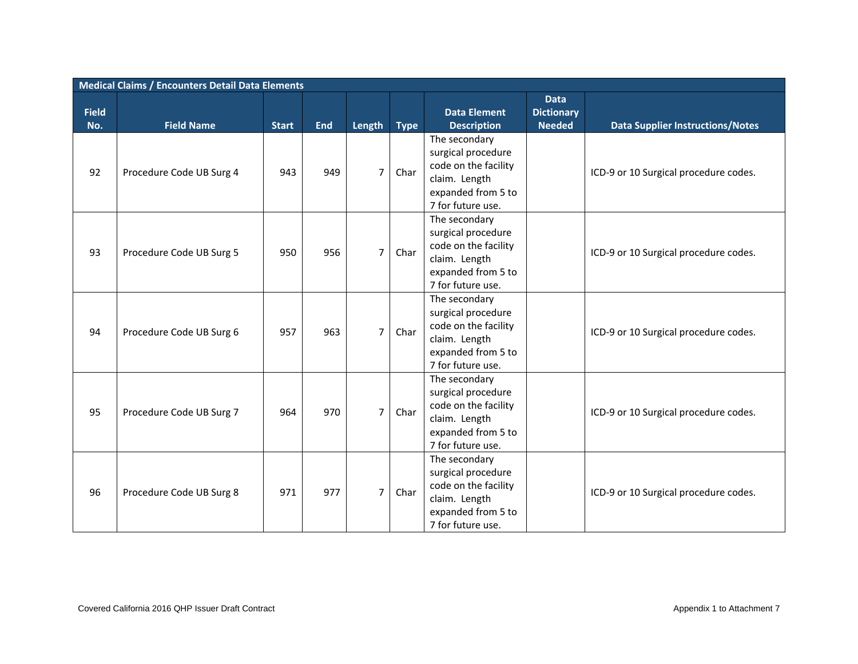|                     | <b>Medical Claims / Encounters Detail Data Elements</b> |              |            |                |             |                                                                                                                         |                                                   |                                         |  |  |  |  |
|---------------------|---------------------------------------------------------|--------------|------------|----------------|-------------|-------------------------------------------------------------------------------------------------------------------------|---------------------------------------------------|-----------------------------------------|--|--|--|--|
| <b>Field</b><br>No. | <b>Field Name</b>                                       | <b>Start</b> | <b>End</b> | Length         | <b>Type</b> | <b>Data Element</b><br><b>Description</b>                                                                               | <b>Data</b><br><b>Dictionary</b><br><b>Needed</b> | <b>Data Supplier Instructions/Notes</b> |  |  |  |  |
| 92                  | Procedure Code UB Surg 4                                | 943          | 949        | $\overline{7}$ | Char        | The secondary<br>surgical procedure<br>code on the facility<br>claim. Length<br>expanded from 5 to<br>7 for future use. |                                                   | ICD-9 or 10 Surgical procedure codes.   |  |  |  |  |
| 93                  | Procedure Code UB Surg 5                                | 950          | 956        | $\overline{7}$ | Char        | The secondary<br>surgical procedure<br>code on the facility<br>claim. Length<br>expanded from 5 to<br>7 for future use. |                                                   | ICD-9 or 10 Surgical procedure codes.   |  |  |  |  |
| 94                  | Procedure Code UB Surg 6                                | 957          | 963        | $\overline{7}$ | Char        | The secondary<br>surgical procedure<br>code on the facility<br>claim. Length<br>expanded from 5 to<br>7 for future use. |                                                   | ICD-9 or 10 Surgical procedure codes.   |  |  |  |  |
| 95                  | Procedure Code UB Surg 7                                | 964          | 970        | $\overline{7}$ | Char        | The secondary<br>surgical procedure<br>code on the facility<br>claim. Length<br>expanded from 5 to<br>7 for future use. |                                                   | ICD-9 or 10 Surgical procedure codes.   |  |  |  |  |
| 96                  | Procedure Code UB Surg 8                                | 971          | 977        | $\overline{7}$ | Char        | The secondary<br>surgical procedure<br>code on the facility<br>claim. Length<br>expanded from 5 to<br>7 for future use. |                                                   | ICD-9 or 10 Surgical procedure codes.   |  |  |  |  |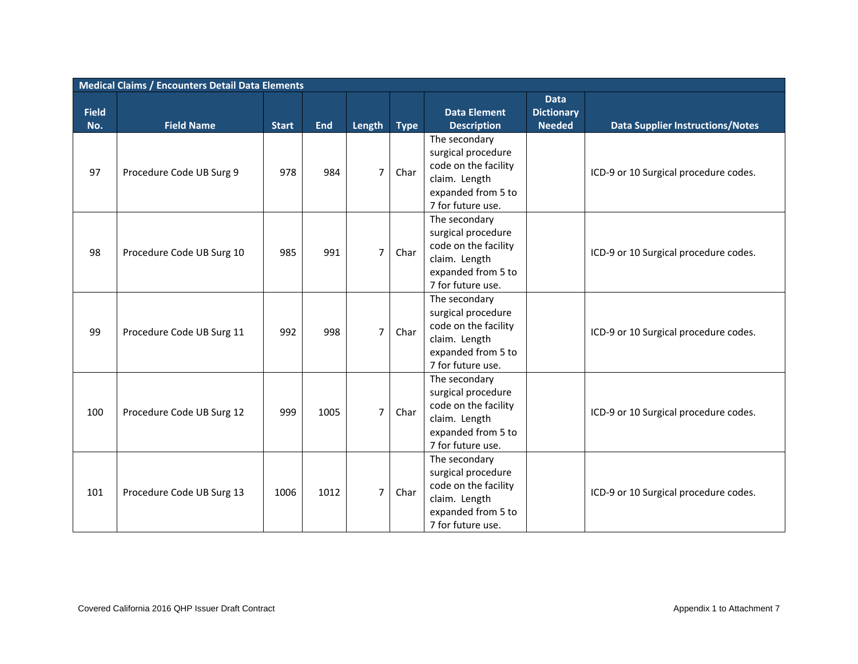|              | <b>Medical Claims / Encounters Detail Data Elements</b> |              |            |                |             |                                                                                                                                              |                                  |                                         |  |  |  |  |
|--------------|---------------------------------------------------------|--------------|------------|----------------|-------------|----------------------------------------------------------------------------------------------------------------------------------------------|----------------------------------|-----------------------------------------|--|--|--|--|
| <b>Field</b> |                                                         |              |            |                |             | <b>Data Element</b>                                                                                                                          | <b>Data</b><br><b>Dictionary</b> |                                         |  |  |  |  |
| No.          | <b>Field Name</b>                                       | <b>Start</b> | <b>End</b> | Length         | <b>Type</b> | <b>Description</b>                                                                                                                           | <b>Needed</b>                    | <b>Data Supplier Instructions/Notes</b> |  |  |  |  |
| 97           | Procedure Code UB Surg 9                                | 978          | 984        | $\overline{7}$ | Char        | The secondary<br>surgical procedure<br>code on the facility<br>claim. Length<br>expanded from 5 to                                           |                                  | ICD-9 or 10 Surgical procedure codes.   |  |  |  |  |
| 98           | Procedure Code UB Surg 10                               | 985          | 991        | $\overline{7}$ | Char        | 7 for future use.<br>The secondary<br>surgical procedure<br>code on the facility<br>claim. Length<br>expanded from 5 to<br>7 for future use. |                                  | ICD-9 or 10 Surgical procedure codes.   |  |  |  |  |
| 99           | Procedure Code UB Surg 11                               | 992          | 998        | $\overline{7}$ | Char        | The secondary<br>surgical procedure<br>code on the facility<br>claim. Length<br>expanded from 5 to<br>7 for future use.                      |                                  | ICD-9 or 10 Surgical procedure codes.   |  |  |  |  |
| 100          | Procedure Code UB Surg 12                               | 999          | 1005       | $\overline{7}$ | Char        | The secondary<br>surgical procedure<br>code on the facility<br>claim. Length<br>expanded from 5 to<br>7 for future use.                      |                                  | ICD-9 or 10 Surgical procedure codes.   |  |  |  |  |
| 101          | Procedure Code UB Surg 13                               | 1006         | 1012       | $\overline{7}$ | Char        | The secondary<br>surgical procedure<br>code on the facility<br>claim. Length<br>expanded from 5 to<br>7 for future use.                      |                                  | ICD-9 or 10 Surgical procedure codes.   |  |  |  |  |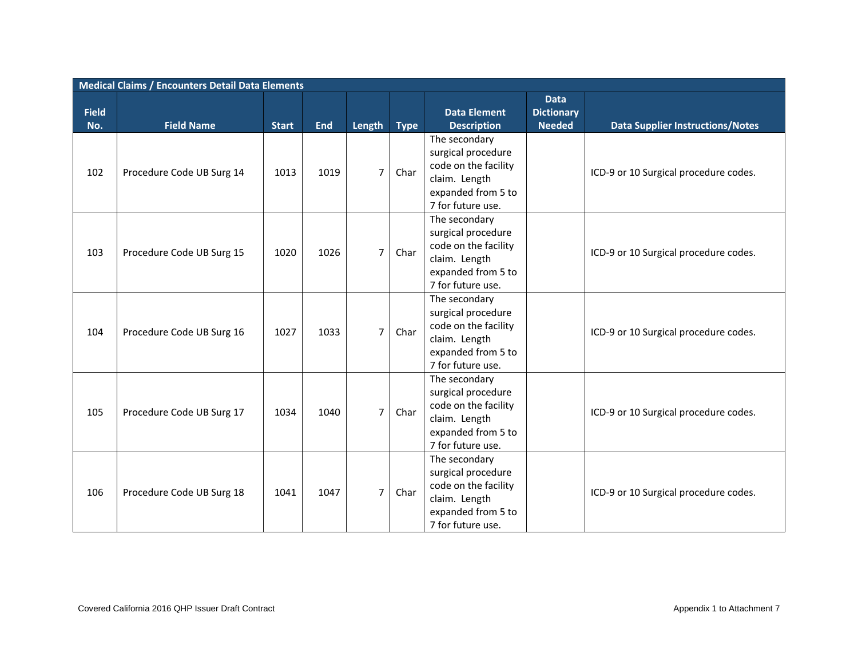|                     | <b>Medical Claims / Encounters Detail Data Elements</b> |              |            |                |             |                                            |                                                   |                                         |  |  |  |  |
|---------------------|---------------------------------------------------------|--------------|------------|----------------|-------------|--------------------------------------------|---------------------------------------------------|-----------------------------------------|--|--|--|--|
| <b>Field</b><br>No. | <b>Field Name</b>                                       | <b>Start</b> | <b>End</b> | Length         | <b>Type</b> | <b>Data Element</b><br><b>Description</b>  | <b>Data</b><br><b>Dictionary</b><br><b>Needed</b> | <b>Data Supplier Instructions/Notes</b> |  |  |  |  |
|                     |                                                         |              |            |                |             | The secondary                              |                                                   |                                         |  |  |  |  |
|                     |                                                         |              |            |                |             | surgical procedure                         |                                                   |                                         |  |  |  |  |
|                     |                                                         |              | 1019       | $\overline{7}$ | Char        | code on the facility                       |                                                   |                                         |  |  |  |  |
| 102                 | Procedure Code UB Surg 14                               | 1013         |            |                |             | claim. Length                              |                                                   | ICD-9 or 10 Surgical procedure codes.   |  |  |  |  |
|                     |                                                         |              |            |                |             | expanded from 5 to                         |                                                   |                                         |  |  |  |  |
|                     |                                                         |              |            |                |             | 7 for future use.                          |                                                   |                                         |  |  |  |  |
|                     |                                                         |              |            |                |             | The secondary                              |                                                   |                                         |  |  |  |  |
|                     |                                                         |              |            |                |             | surgical procedure                         |                                                   |                                         |  |  |  |  |
| 103                 | Procedure Code UB Surg 15                               | 1020         | 1026       | $\overline{7}$ | Char        | code on the facility                       |                                                   | ICD-9 or 10 Surgical procedure codes.   |  |  |  |  |
|                     |                                                         |              |            |                |             | claim. Length                              |                                                   |                                         |  |  |  |  |
|                     |                                                         |              |            |                |             | expanded from 5 to                         |                                                   |                                         |  |  |  |  |
|                     |                                                         |              |            |                |             | 7 for future use.                          |                                                   |                                         |  |  |  |  |
|                     |                                                         |              |            |                |             | The secondary                              |                                                   |                                         |  |  |  |  |
|                     |                                                         |              |            |                |             | surgical procedure                         |                                                   |                                         |  |  |  |  |
| 104                 | Procedure Code UB Surg 16                               | 1027         | 1033       | $\overline{7}$ | Char        | code on the facility                       |                                                   | ICD-9 or 10 Surgical procedure codes.   |  |  |  |  |
|                     |                                                         |              |            |                |             | claim. Length                              |                                                   |                                         |  |  |  |  |
|                     |                                                         |              |            |                |             | expanded from 5 to                         |                                                   |                                         |  |  |  |  |
|                     |                                                         |              |            |                |             | 7 for future use.                          |                                                   |                                         |  |  |  |  |
|                     |                                                         |              |            |                |             | The secondary                              |                                                   |                                         |  |  |  |  |
|                     |                                                         |              |            |                |             | surgical procedure<br>code on the facility |                                                   |                                         |  |  |  |  |
| 105                 | Procedure Code UB Surg 17                               | 1034         | 1040       | $\overline{7}$ | Char        | claim. Length                              |                                                   | ICD-9 or 10 Surgical procedure codes.   |  |  |  |  |
|                     |                                                         |              |            |                |             | expanded from 5 to                         |                                                   |                                         |  |  |  |  |
|                     |                                                         |              |            |                |             | 7 for future use.                          |                                                   |                                         |  |  |  |  |
|                     |                                                         |              |            |                |             | The secondary                              |                                                   |                                         |  |  |  |  |
|                     |                                                         |              |            |                |             | surgical procedure                         |                                                   |                                         |  |  |  |  |
|                     |                                                         |              |            |                |             | code on the facility                       |                                                   |                                         |  |  |  |  |
| 106                 | Procedure Code UB Surg 18                               | 1041         | 1047       | $\overline{7}$ | Char        | claim. Length                              |                                                   | ICD-9 or 10 Surgical procedure codes.   |  |  |  |  |
|                     |                                                         |              |            |                |             | expanded from 5 to                         |                                                   |                                         |  |  |  |  |
|                     |                                                         |              |            |                |             | 7 for future use.                          |                                                   |                                         |  |  |  |  |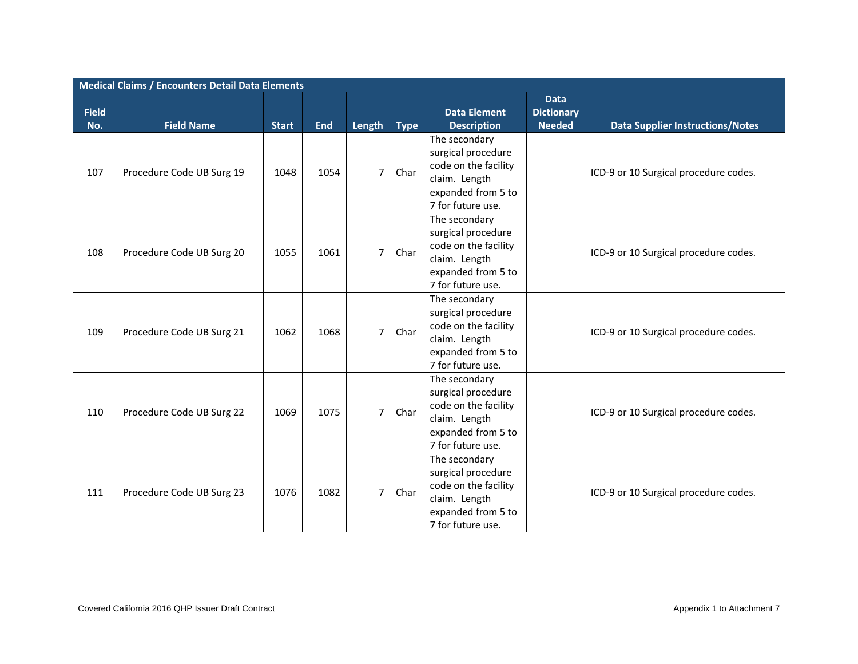|                     | <b>Medical Claims / Encounters Detail Data Elements</b> |              |            |                |             |                                                                                                                         |                                                   |                                         |  |  |  |  |
|---------------------|---------------------------------------------------------|--------------|------------|----------------|-------------|-------------------------------------------------------------------------------------------------------------------------|---------------------------------------------------|-----------------------------------------|--|--|--|--|
| <b>Field</b><br>No. | <b>Field Name</b>                                       | <b>Start</b> | <b>End</b> | Length         | <b>Type</b> | <b>Data Element</b><br><b>Description</b>                                                                               | <b>Data</b><br><b>Dictionary</b><br><b>Needed</b> | <b>Data Supplier Instructions/Notes</b> |  |  |  |  |
|                     |                                                         |              |            |                |             | The secondary                                                                                                           |                                                   |                                         |  |  |  |  |
| 107                 | Procedure Code UB Surg 19                               | 1048         | 1054       | $\overline{7}$ | Char        | surgical procedure<br>code on the facility<br>claim. Length<br>expanded from 5 to<br>7 for future use.                  |                                                   | ICD-9 or 10 Surgical procedure codes.   |  |  |  |  |
|                     |                                                         |              |            |                |             |                                                                                                                         |                                                   |                                         |  |  |  |  |
| 108                 | Procedure Code UB Surg 20                               | 1055         | 1061       | $\overline{7}$ | Char        | The secondary<br>surgical procedure<br>code on the facility<br>claim. Length<br>expanded from 5 to<br>7 for future use. |                                                   | ICD-9 or 10 Surgical procedure codes.   |  |  |  |  |
| 109                 | Procedure Code UB Surg 21                               | 1062         | 1068       | $\overline{7}$ | Char        | The secondary<br>surgical procedure<br>code on the facility<br>claim. Length<br>expanded from 5 to<br>7 for future use. |                                                   | ICD-9 or 10 Surgical procedure codes.   |  |  |  |  |
| 110                 | Procedure Code UB Surg 22                               | 1069         | 1075       | $\overline{7}$ | Char        | The secondary<br>surgical procedure<br>code on the facility<br>claim. Length<br>expanded from 5 to<br>7 for future use. |                                                   | ICD-9 or 10 Surgical procedure codes.   |  |  |  |  |
| 111                 | Procedure Code UB Surg 23                               | 1076         | 1082       | $\overline{7}$ | Char        | The secondary<br>surgical procedure<br>code on the facility<br>claim. Length<br>expanded from 5 to<br>7 for future use. |                                                   | ICD-9 or 10 Surgical procedure codes.   |  |  |  |  |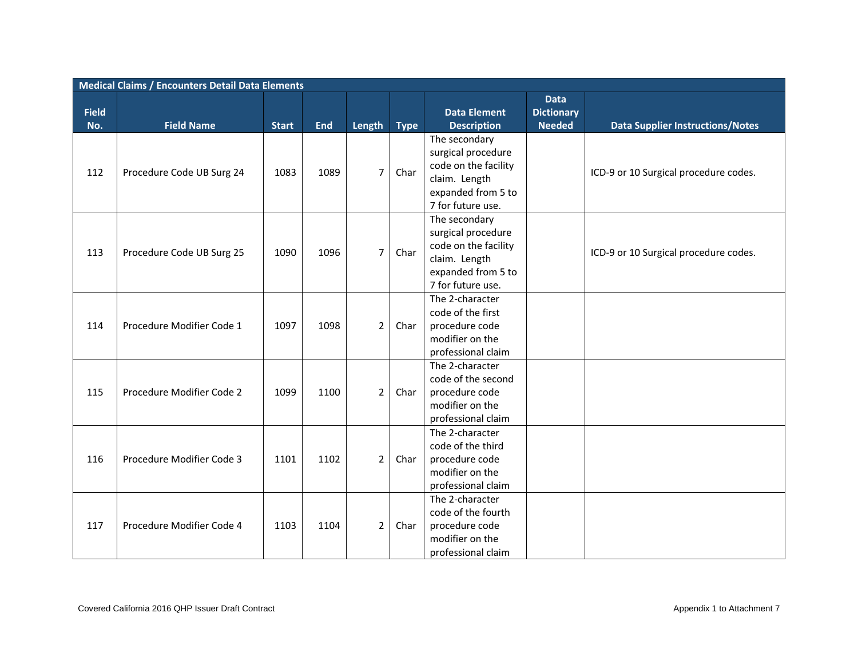|                     | <b>Medical Claims / Encounters Detail Data Elements</b> |              |            |                |             |                                                                                                                         |                                                   |                                         |  |  |  |  |
|---------------------|---------------------------------------------------------|--------------|------------|----------------|-------------|-------------------------------------------------------------------------------------------------------------------------|---------------------------------------------------|-----------------------------------------|--|--|--|--|
| <b>Field</b><br>No. | <b>Field Name</b>                                       | <b>Start</b> | <b>End</b> | Length         | <b>Type</b> | <b>Data Element</b><br><b>Description</b>                                                                               | <b>Data</b><br><b>Dictionary</b><br><b>Needed</b> | <b>Data Supplier Instructions/Notes</b> |  |  |  |  |
| 112                 | Procedure Code UB Surg 24                               | 1083         | 1089       | $\overline{7}$ | Char        | The secondary<br>surgical procedure<br>code on the facility<br>claim. Length<br>expanded from 5 to<br>7 for future use. |                                                   | ICD-9 or 10 Surgical procedure codes.   |  |  |  |  |
| 113                 | Procedure Code UB Surg 25                               | 1090         | 1096       | $\overline{7}$ | Char        | The secondary<br>surgical procedure<br>code on the facility<br>claim. Length<br>expanded from 5 to<br>7 for future use. |                                                   | ICD-9 or 10 Surgical procedure codes.   |  |  |  |  |
| 114                 | Procedure Modifier Code 1                               | 1097         | 1098       | $\overline{2}$ | Char        | The 2-character<br>code of the first<br>procedure code<br>modifier on the<br>professional claim                         |                                                   |                                         |  |  |  |  |
| 115                 | Procedure Modifier Code 2                               | 1099         | 1100       | $\overline{2}$ | Char        | The 2-character<br>code of the second<br>procedure code<br>modifier on the<br>professional claim                        |                                                   |                                         |  |  |  |  |
| 116                 | Procedure Modifier Code 3                               | 1101         | 1102       | $\overline{2}$ | Char        | The 2-character<br>code of the third<br>procedure code<br>modifier on the<br>professional claim                         |                                                   |                                         |  |  |  |  |
| 117                 | Procedure Modifier Code 4                               | 1103         | 1104       | $\overline{2}$ | Char        | The 2-character<br>code of the fourth<br>procedure code<br>modifier on the<br>professional claim                        |                                                   |                                         |  |  |  |  |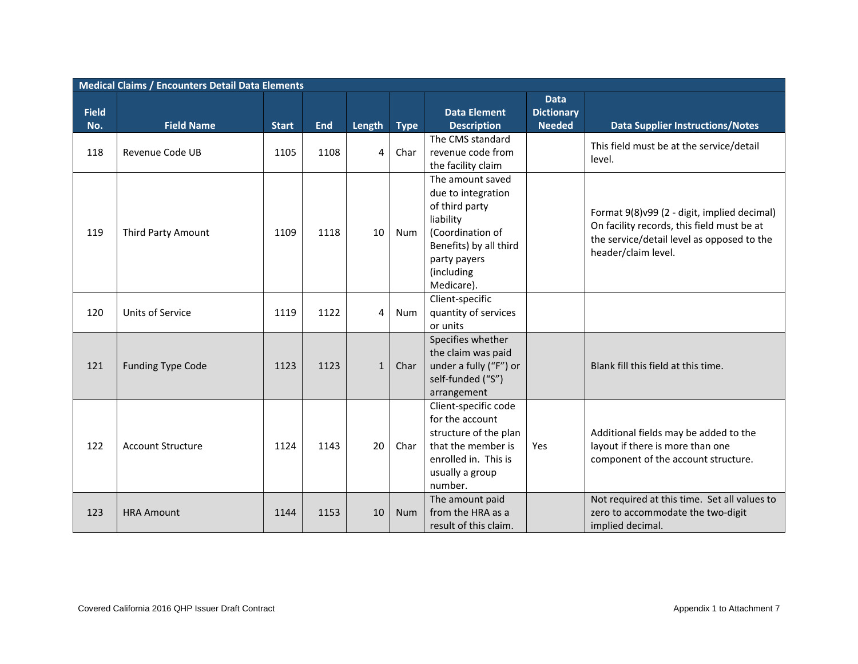|              | <b>Medical Claims / Encounters Detail Data Elements</b> |              |            |                |             |                                                                                                                                                                 |                                  |                                                                                                                                                                |  |  |  |  |  |
|--------------|---------------------------------------------------------|--------------|------------|----------------|-------------|-----------------------------------------------------------------------------------------------------------------------------------------------------------------|----------------------------------|----------------------------------------------------------------------------------------------------------------------------------------------------------------|--|--|--|--|--|
| <b>Field</b> |                                                         |              |            |                |             | <b>Data Element</b>                                                                                                                                             | <b>Data</b><br><b>Dictionary</b> |                                                                                                                                                                |  |  |  |  |  |
| No.          | <b>Field Name</b>                                       | <b>Start</b> | <b>End</b> | Length         | <b>Type</b> | <b>Description</b>                                                                                                                                              | <b>Needed</b>                    | <b>Data Supplier Instructions/Notes</b>                                                                                                                        |  |  |  |  |  |
| 118          | Revenue Code UB                                         | 1105         | 1108       | 4              | Char        | The CMS standard<br>revenue code from<br>the facility claim                                                                                                     |                                  | This field must be at the service/detail<br>level.                                                                                                             |  |  |  |  |  |
| 119          | Third Party Amount                                      | 1109         | 1118       | 10             | Num         | The amount saved<br>due to integration<br>of third party<br>liability<br>(Coordination of<br>Benefits) by all third<br>party payers<br>(including<br>Medicare). |                                  | Format 9(8)v99 (2 - digit, implied decimal)<br>On facility records, this field must be at<br>the service/detail level as opposed to the<br>header/claim level. |  |  |  |  |  |
| 120          | <b>Units of Service</b>                                 | 1119         | 1122       | $\overline{4}$ | Num         | Client-specific<br>quantity of services<br>or units                                                                                                             |                                  |                                                                                                                                                                |  |  |  |  |  |
| 121          | <b>Funding Type Code</b>                                | 1123         | 1123       | $\mathbf{1}$   | Char        | Specifies whether<br>the claim was paid<br>under a fully ("F") or<br>self-funded ("S")<br>arrangement                                                           |                                  | Blank fill this field at this time.                                                                                                                            |  |  |  |  |  |
| 122          | <b>Account Structure</b>                                | 1124         | 1143       | 20             | Char        | Client-specific code<br>for the account<br>structure of the plan<br>that the member is<br>enrolled in. This is<br>usually a group<br>number.                    | Yes                              | Additional fields may be added to the<br>layout if there is more than one<br>component of the account structure.                                               |  |  |  |  |  |
| 123          | <b>HRA Amount</b>                                       | 1144         | 1153       | 10             | <b>Num</b>  | The amount paid<br>from the HRA as a<br>result of this claim.                                                                                                   |                                  | Not required at this time. Set all values to<br>zero to accommodate the two-digit<br>implied decimal.                                                          |  |  |  |  |  |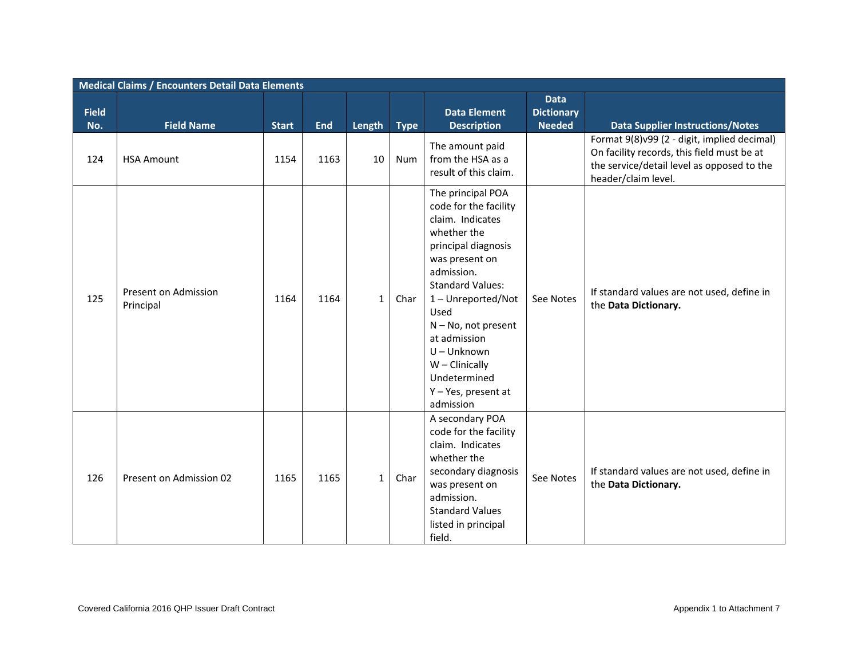|                     | <b>Medical Claims / Encounters Detail Data Elements</b> |              |            |              |             |                                                                                                                                                                                                                                                                                                                         |                                                   |                                                                                                                                                                |  |  |  |  |
|---------------------|---------------------------------------------------------|--------------|------------|--------------|-------------|-------------------------------------------------------------------------------------------------------------------------------------------------------------------------------------------------------------------------------------------------------------------------------------------------------------------------|---------------------------------------------------|----------------------------------------------------------------------------------------------------------------------------------------------------------------|--|--|--|--|
| <b>Field</b><br>No. | <b>Field Name</b>                                       | <b>Start</b> | <b>End</b> | Length       | <b>Type</b> | <b>Data Element</b><br><b>Description</b>                                                                                                                                                                                                                                                                               | <b>Data</b><br><b>Dictionary</b><br><b>Needed</b> | <b>Data Supplier Instructions/Notes</b>                                                                                                                        |  |  |  |  |
| 124                 | <b>HSA Amount</b>                                       | 1154         | 1163       | 10           | Num         | The amount paid<br>from the HSA as a<br>result of this claim.                                                                                                                                                                                                                                                           |                                                   | Format 9(8)v99 (2 - digit, implied decimal)<br>On facility records, this field must be at<br>the service/detail level as opposed to the<br>header/claim level. |  |  |  |  |
| 125                 | Present on Admission<br>Principal                       | 1164         | 1164       | $\mathbf{1}$ | Char        | The principal POA<br>code for the facility<br>claim. Indicates<br>whether the<br>principal diagnosis<br>was present on<br>admission.<br><b>Standard Values:</b><br>1-Unreported/Not<br>Used<br>N - No, not present<br>at admission<br>U-Unknown<br>$W -$ Clinically<br>Undetermined<br>Y - Yes, present at<br>admission | See Notes                                         | If standard values are not used, define in<br>the Data Dictionary.                                                                                             |  |  |  |  |
| 126                 | Present on Admission 02                                 | 1165         | 1165       | $\mathbf{1}$ | Char        | A secondary POA<br>code for the facility<br>claim. Indicates<br>whether the<br>secondary diagnosis<br>was present on<br>admission.<br><b>Standard Values</b><br>listed in principal<br>field.                                                                                                                           | See Notes                                         | If standard values are not used, define in<br>the Data Dictionary.                                                                                             |  |  |  |  |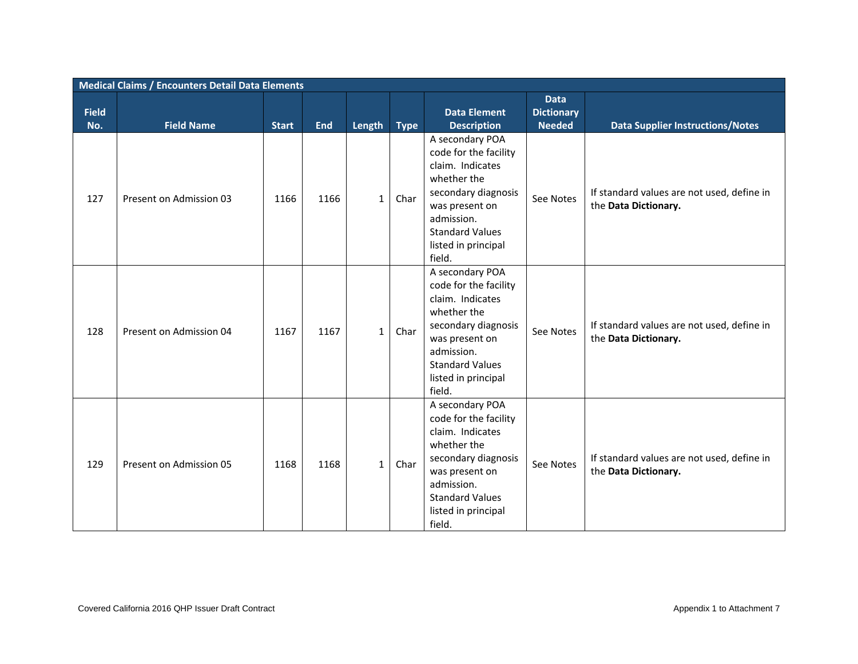|              | <b>Medical Claims / Encounters Detail Data Elements</b> |                      |                    |                        |                     |                                                                                                                                                                                                                     |                                  |                                                                                                               |  |  |  |  |
|--------------|---------------------------------------------------------|----------------------|--------------------|------------------------|---------------------|---------------------------------------------------------------------------------------------------------------------------------------------------------------------------------------------------------------------|----------------------------------|---------------------------------------------------------------------------------------------------------------|--|--|--|--|
| <b>Field</b> |                                                         |                      |                    |                        |                     | <b>Data Element</b>                                                                                                                                                                                                 | <b>Data</b><br><b>Dictionary</b> |                                                                                                               |  |  |  |  |
| No.<br>127   | <b>Field Name</b><br>Present on Admission 03            | <b>Start</b><br>1166 | <b>End</b><br>1166 | Length<br>$\mathbf{1}$ | <b>Type</b><br>Char | <b>Description</b><br>A secondary POA<br>code for the facility<br>claim. Indicates<br>whether the<br>secondary diagnosis<br>was present on<br>admission.<br><b>Standard Values</b><br>listed in principal<br>field. | <b>Needed</b><br>See Notes       | <b>Data Supplier Instructions/Notes</b><br>If standard values are not used, define in<br>the Data Dictionary. |  |  |  |  |
| 128          | Present on Admission 04                                 | 1167                 | 1167               | $\mathbf{1}$           | Char                | A secondary POA<br>code for the facility<br>claim. Indicates<br>whether the<br>secondary diagnosis<br>was present on<br>admission.<br><b>Standard Values</b><br>listed in principal<br>field.                       | See Notes                        | If standard values are not used, define in<br>the Data Dictionary.                                            |  |  |  |  |
| 129          | Present on Admission 05                                 | 1168                 | 1168               | $\mathbf{1}$           | Char                | A secondary POA<br>code for the facility<br>claim. Indicates<br>whether the<br>secondary diagnosis<br>was present on<br>admission.<br><b>Standard Values</b><br>listed in principal<br>field.                       | See Notes                        | If standard values are not used, define in<br>the Data Dictionary.                                            |  |  |  |  |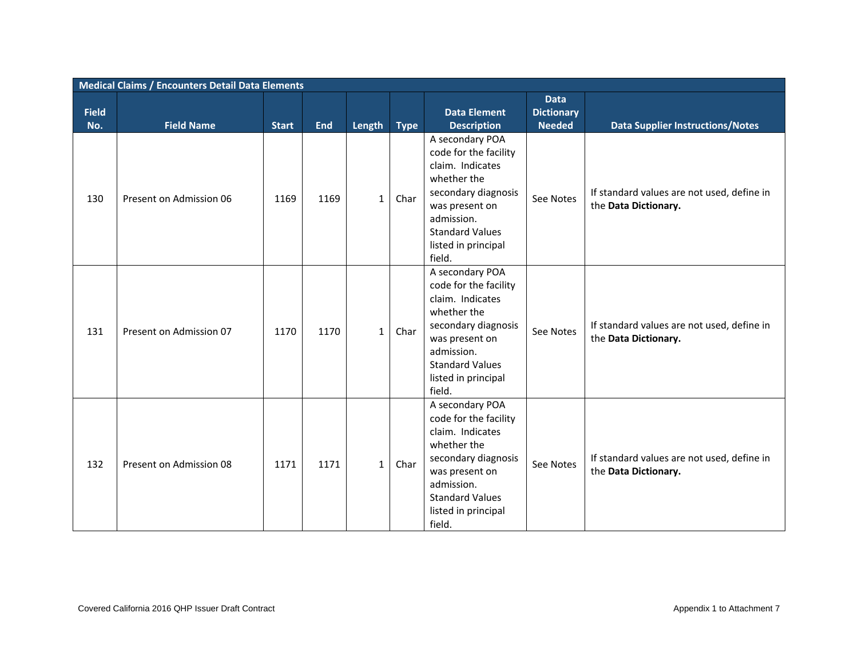|              | <b>Medical Claims / Encounters Detail Data Elements</b> |              |            |              |             |                                                                                                                                                                                               |                                                   |                                                                    |  |  |  |  |
|--------------|---------------------------------------------------------|--------------|------------|--------------|-------------|-----------------------------------------------------------------------------------------------------------------------------------------------------------------------------------------------|---------------------------------------------------|--------------------------------------------------------------------|--|--|--|--|
| <b>Field</b> |                                                         |              |            |              |             | <b>Data Element</b>                                                                                                                                                                           | <b>Data</b><br><b>Dictionary</b><br><b>Needed</b> |                                                                    |  |  |  |  |
| No.          | <b>Field Name</b>                                       | <b>Start</b> | <b>End</b> | Length       | <b>Type</b> | <b>Description</b><br>A secondary POA                                                                                                                                                         |                                                   | <b>Data Supplier Instructions/Notes</b>                            |  |  |  |  |
| 130          | Present on Admission 06                                 | 1169         | 1169       | $\mathbf{1}$ | Char        | code for the facility<br>claim. Indicates<br>whether the<br>secondary diagnosis<br>was present on<br>admission.<br><b>Standard Values</b><br>listed in principal<br>field.                    | See Notes                                         | If standard values are not used, define in<br>the Data Dictionary. |  |  |  |  |
| 131          | Present on Admission 07                                 | 1170         | 1170       | $\mathbf{1}$ | Char        | A secondary POA<br>code for the facility<br>claim. Indicates<br>whether the<br>secondary diagnosis<br>was present on<br>admission.<br><b>Standard Values</b><br>listed in principal<br>field. | See Notes                                         | If standard values are not used, define in<br>the Data Dictionary. |  |  |  |  |
| 132          | Present on Admission 08                                 | 1171         | 1171       | $\mathbf{1}$ | Char        | A secondary POA<br>code for the facility<br>claim. Indicates<br>whether the<br>secondary diagnosis<br>was present on<br>admission.<br><b>Standard Values</b><br>listed in principal<br>field. | See Notes                                         | If standard values are not used, define in<br>the Data Dictionary. |  |  |  |  |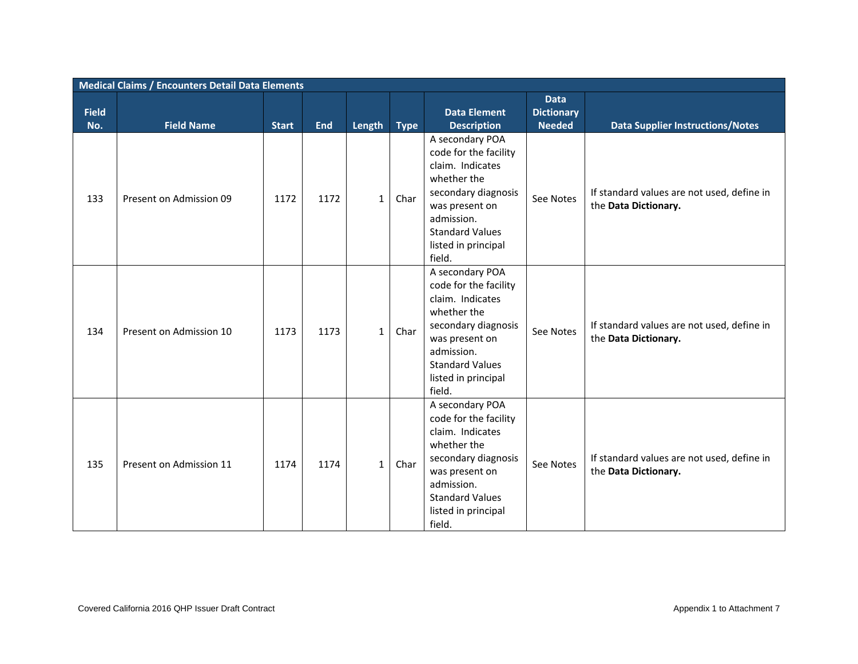|                     | <b>Medical Claims / Encounters Detail Data Elements</b> |              |                    |                        |                     |                                                                                                                                                                                                                     |                                                   |                                                                                                               |  |  |  |  |
|---------------------|---------------------------------------------------------|--------------|--------------------|------------------------|---------------------|---------------------------------------------------------------------------------------------------------------------------------------------------------------------------------------------------------------------|---------------------------------------------------|---------------------------------------------------------------------------------------------------------------|--|--|--|--|
| <b>Field</b><br>No. | <b>Field Name</b>                                       | <b>Start</b> |                    |                        |                     | <b>Data Element</b>                                                                                                                                                                                                 | <b>Data</b><br><b>Dictionary</b><br><b>Needed</b> |                                                                                                               |  |  |  |  |
| 133                 | Present on Admission 09                                 | 1172         | <b>End</b><br>1172 | Length<br>$\mathbf{1}$ | <b>Type</b><br>Char | <b>Description</b><br>A secondary POA<br>code for the facility<br>claim. Indicates<br>whether the<br>secondary diagnosis<br>was present on<br>admission.<br><b>Standard Values</b><br>listed in principal<br>field. | See Notes                                         | <b>Data Supplier Instructions/Notes</b><br>If standard values are not used, define in<br>the Data Dictionary. |  |  |  |  |
| 134                 | Present on Admission 10                                 | 1173         | 1173               | $\mathbf{1}$           | Char                | A secondary POA<br>code for the facility<br>claim. Indicates<br>whether the<br>secondary diagnosis<br>was present on<br>admission.<br><b>Standard Values</b><br>listed in principal<br>field.                       | See Notes                                         | If standard values are not used, define in<br>the Data Dictionary.                                            |  |  |  |  |
| 135                 | Present on Admission 11                                 | 1174         | 1174               | $\mathbf{1}$           | Char                | A secondary POA<br>code for the facility<br>claim. Indicates<br>whether the<br>secondary diagnosis<br>was present on<br>admission.<br><b>Standard Values</b><br>listed in principal<br>field.                       | See Notes                                         | If standard values are not used, define in<br>the Data Dictionary.                                            |  |  |  |  |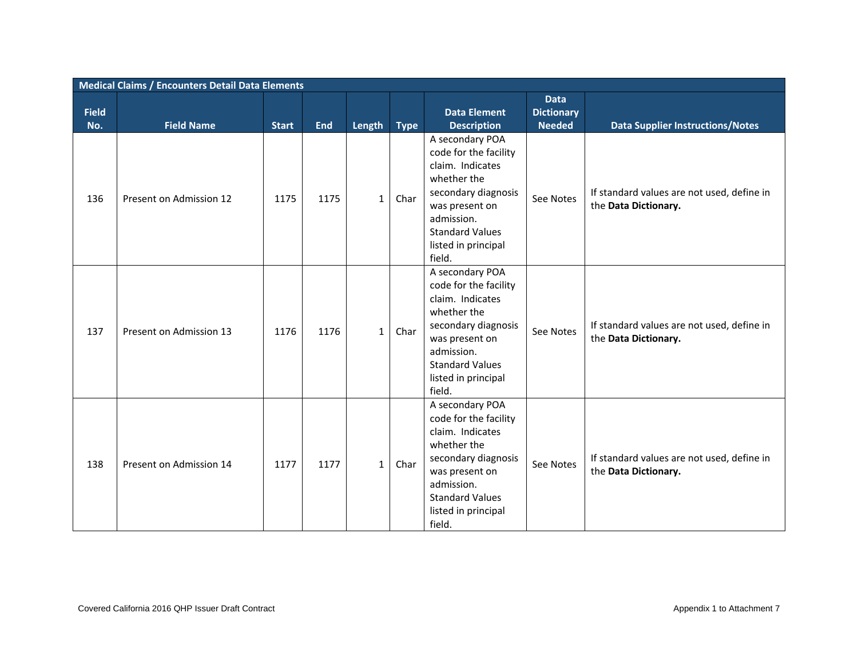|                     | <b>Medical Claims / Encounters Detail Data Elements</b> |              |            |              |             |                                                                                                                                                                                               |                                                   |                                                                    |  |  |  |  |
|---------------------|---------------------------------------------------------|--------------|------------|--------------|-------------|-----------------------------------------------------------------------------------------------------------------------------------------------------------------------------------------------|---------------------------------------------------|--------------------------------------------------------------------|--|--|--|--|
| <b>Field</b><br>No. | <b>Field Name</b>                                       | <b>Start</b> | <b>End</b> | Length       | <b>Type</b> | <b>Data Element</b><br><b>Description</b>                                                                                                                                                     | <b>Data</b><br><b>Dictionary</b><br><b>Needed</b> | <b>Data Supplier Instructions/Notes</b>                            |  |  |  |  |
|                     |                                                         |              |            |              |             | A secondary POA                                                                                                                                                                               |                                                   |                                                                    |  |  |  |  |
| 136                 | Present on Admission 12                                 | 1175         | 1175       | $\mathbf{1}$ | Char        | code for the facility<br>claim. Indicates<br>whether the<br>secondary diagnosis<br>was present on<br>admission.<br><b>Standard Values</b><br>listed in principal<br>field.                    | See Notes                                         | If standard values are not used, define in<br>the Data Dictionary. |  |  |  |  |
| 137                 | Present on Admission 13                                 | 1176         | 1176       | $\mathbf{1}$ | Char        | A secondary POA<br>code for the facility<br>claim. Indicates<br>whether the<br>secondary diagnosis<br>was present on<br>admission.<br><b>Standard Values</b><br>listed in principal<br>field. | See Notes                                         | If standard values are not used, define in<br>the Data Dictionary. |  |  |  |  |
| 138                 | Present on Admission 14                                 | 1177         | 1177       | $\mathbf{1}$ | Char        | A secondary POA<br>code for the facility<br>claim. Indicates<br>whether the<br>secondary diagnosis<br>was present on<br>admission.<br><b>Standard Values</b><br>listed in principal<br>field. | See Notes                                         | If standard values are not used, define in<br>the Data Dictionary. |  |  |  |  |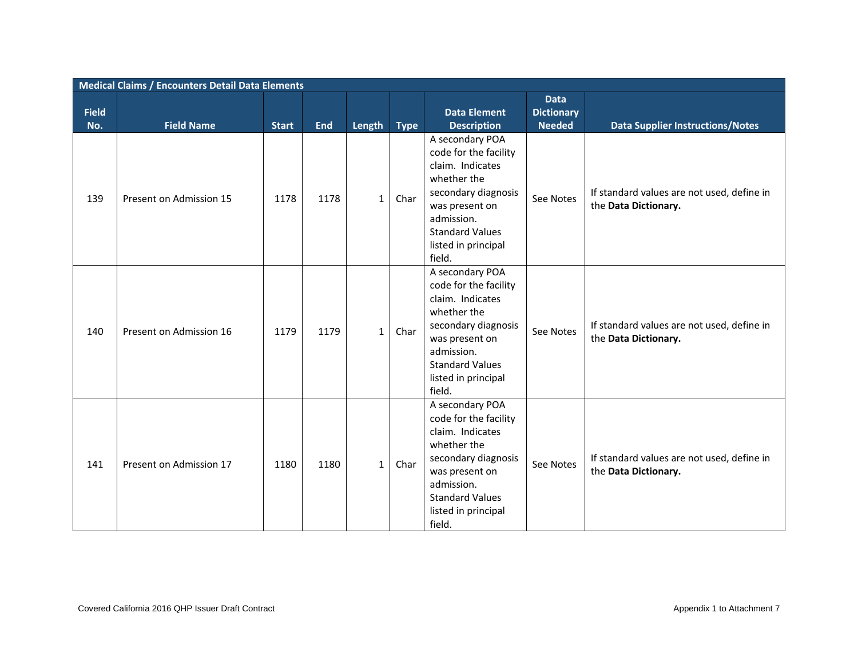|              | <b>Medical Claims / Encounters Detail Data Elements</b> |                      |                    |                        |                     |                                                                                                                                                                                                           |                                  |                                                                                                               |  |  |  |  |
|--------------|---------------------------------------------------------|----------------------|--------------------|------------------------|---------------------|-----------------------------------------------------------------------------------------------------------------------------------------------------------------------------------------------------------|----------------------------------|---------------------------------------------------------------------------------------------------------------|--|--|--|--|
| <b>Field</b> |                                                         |                      |                    |                        |                     | <b>Data Element</b>                                                                                                                                                                                       | <b>Data</b><br><b>Dictionary</b> |                                                                                                               |  |  |  |  |
| No.<br>139   | <b>Field Name</b><br>Present on Admission 15            | <b>Start</b><br>1178 | <b>End</b><br>1178 | Length<br>$\mathbf{1}$ | <b>Type</b><br>Char | <b>Description</b><br>A secondary POA<br>code for the facility<br>claim. Indicates<br>whether the<br>secondary diagnosis<br>was present on<br>admission.<br><b>Standard Values</b><br>listed in principal | <b>Needed</b><br>See Notes       | <b>Data Supplier Instructions/Notes</b><br>If standard values are not used, define in<br>the Data Dictionary. |  |  |  |  |
| 140          | Present on Admission 16                                 | 1179                 | 1179               | $\mathbf{1}$           | Char                | field.<br>A secondary POA<br>code for the facility<br>claim. Indicates<br>whether the<br>secondary diagnosis<br>was present on<br>admission.<br><b>Standard Values</b><br>listed in principal<br>field.   | See Notes                        | If standard values are not used, define in<br>the Data Dictionary.                                            |  |  |  |  |
| 141          | Present on Admission 17                                 | 1180                 | 1180               | $\mathbf{1}$           | Char                | A secondary POA<br>code for the facility<br>claim. Indicates<br>whether the<br>secondary diagnosis<br>was present on<br>admission.<br><b>Standard Values</b><br>listed in principal<br>field.             | See Notes                        | If standard values are not used, define in<br>the Data Dictionary.                                            |  |  |  |  |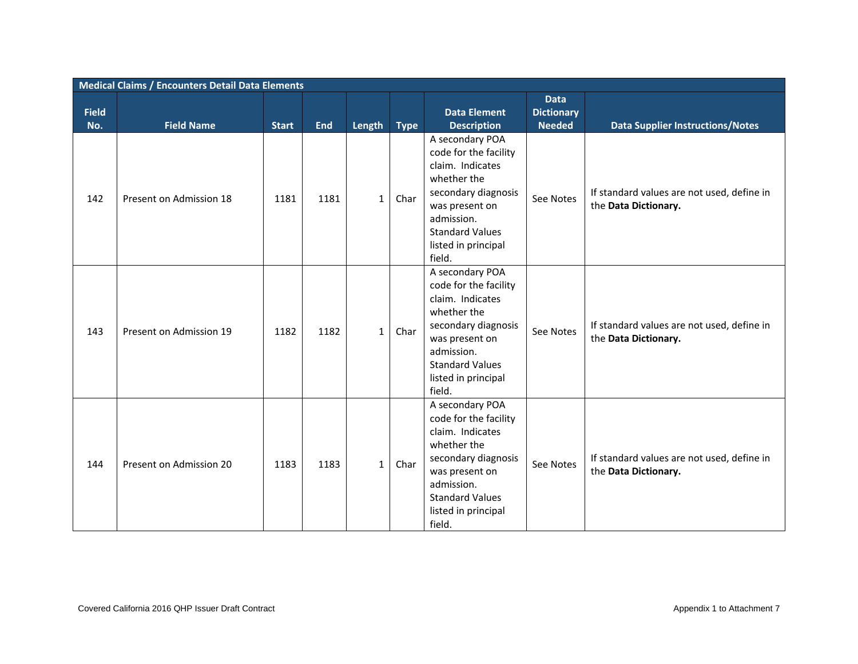|                     | <b>Medical Claims / Encounters Detail Data Elements</b> |              |                    |                        |                     |                                                                                                                                                                                                                     |                                                   |                                                                                                               |  |  |  |  |
|---------------------|---------------------------------------------------------|--------------|--------------------|------------------------|---------------------|---------------------------------------------------------------------------------------------------------------------------------------------------------------------------------------------------------------------|---------------------------------------------------|---------------------------------------------------------------------------------------------------------------|--|--|--|--|
| <b>Field</b><br>No. | <b>Field Name</b>                                       | <b>Start</b> |                    |                        |                     | <b>Data Element</b>                                                                                                                                                                                                 | <b>Data</b><br><b>Dictionary</b><br><b>Needed</b> |                                                                                                               |  |  |  |  |
| 142                 | Present on Admission 18                                 | 1181         | <b>End</b><br>1181 | Length<br>$\mathbf{1}$ | <b>Type</b><br>Char | <b>Description</b><br>A secondary POA<br>code for the facility<br>claim. Indicates<br>whether the<br>secondary diagnosis<br>was present on<br>admission.<br><b>Standard Values</b><br>listed in principal<br>field. | See Notes                                         | <b>Data Supplier Instructions/Notes</b><br>If standard values are not used, define in<br>the Data Dictionary. |  |  |  |  |
| 143                 | Present on Admission 19                                 | 1182         | 1182               | $\mathbf{1}$           | Char                | A secondary POA<br>code for the facility<br>claim. Indicates<br>whether the<br>secondary diagnosis<br>was present on<br>admission.<br><b>Standard Values</b><br>listed in principal<br>field.                       | See Notes                                         | If standard values are not used, define in<br>the Data Dictionary.                                            |  |  |  |  |
| 144                 | Present on Admission 20                                 | 1183         | 1183               | $\mathbf{1}$           | Char                | A secondary POA<br>code for the facility<br>claim. Indicates<br>whether the<br>secondary diagnosis<br>was present on<br>admission.<br><b>Standard Values</b><br>listed in principal<br>field.                       | See Notes                                         | If standard values are not used, define in<br>the Data Dictionary.                                            |  |  |  |  |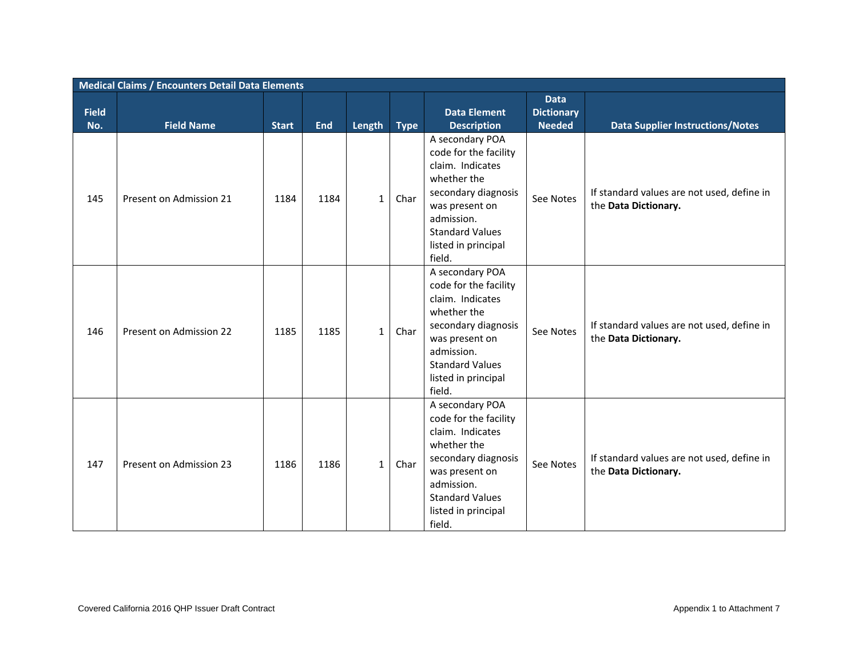|              | <b>Medical Claims / Encounters Detail Data Elements</b> |                      |                    |                        |                     |                                                                                                                                                                                                                     |                                                   |                                                                                                               |  |  |  |
|--------------|---------------------------------------------------------|----------------------|--------------------|------------------------|---------------------|---------------------------------------------------------------------------------------------------------------------------------------------------------------------------------------------------------------------|---------------------------------------------------|---------------------------------------------------------------------------------------------------------------|--|--|--|
| <b>Field</b> |                                                         |                      |                    |                        |                     | <b>Data Element</b>                                                                                                                                                                                                 | <b>Data</b><br><b>Dictionary</b><br><b>Needed</b> |                                                                                                               |  |  |  |
| No.<br>145   | <b>Field Name</b><br>Present on Admission 21            | <b>Start</b><br>1184 | <b>End</b><br>1184 | Length<br>$\mathbf{1}$ | <b>Type</b><br>Char | <b>Description</b><br>A secondary POA<br>code for the facility<br>claim. Indicates<br>whether the<br>secondary diagnosis<br>was present on<br>admission.<br><b>Standard Values</b><br>listed in principal<br>field. | See Notes                                         | <b>Data Supplier Instructions/Notes</b><br>If standard values are not used, define in<br>the Data Dictionary. |  |  |  |
| 146          | Present on Admission 22                                 | 1185                 | 1185               | $\mathbf{1}$           | Char                | A secondary POA<br>code for the facility<br>claim. Indicates<br>whether the<br>secondary diagnosis<br>was present on<br>admission.<br><b>Standard Values</b><br>listed in principal<br>field.                       | See Notes                                         | If standard values are not used, define in<br>the Data Dictionary.                                            |  |  |  |
| 147          | Present on Admission 23                                 | 1186                 | 1186               | $\mathbf{1}$           | Char                | A secondary POA<br>code for the facility<br>claim. Indicates<br>whether the<br>secondary diagnosis<br>was present on<br>admission.<br><b>Standard Values</b><br>listed in principal<br>field.                       | See Notes                                         | If standard values are not used, define in<br>the Data Dictionary.                                            |  |  |  |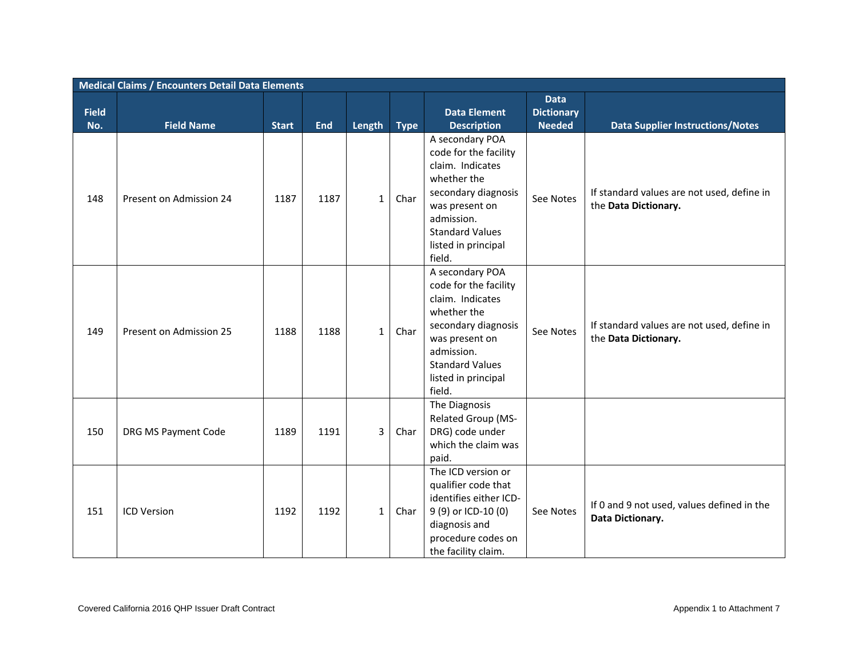|                     | <b>Medical Claims / Encounters Detail Data Elements</b> |              |            |                |             |                                                                                                                                                                                               |                                                   |                                                                    |  |  |  |  |
|---------------------|---------------------------------------------------------|--------------|------------|----------------|-------------|-----------------------------------------------------------------------------------------------------------------------------------------------------------------------------------------------|---------------------------------------------------|--------------------------------------------------------------------|--|--|--|--|
| <b>Field</b><br>No. | <b>Field Name</b>                                       | <b>Start</b> | <b>End</b> | Length         | <b>Type</b> | <b>Data Element</b><br><b>Description</b>                                                                                                                                                     | <b>Data</b><br><b>Dictionary</b><br><b>Needed</b> | <b>Data Supplier Instructions/Notes</b>                            |  |  |  |  |
| 148                 | Present on Admission 24                                 | 1187         | 1187       | $\mathbf{1}$   | Char        | A secondary POA<br>code for the facility<br>claim. Indicates<br>whether the<br>secondary diagnosis<br>was present on<br>admission.<br><b>Standard Values</b><br>listed in principal<br>field. | See Notes                                         | If standard values are not used, define in<br>the Data Dictionary. |  |  |  |  |
| 149                 | Present on Admission 25                                 | 1188         | 1188       | $\mathbf{1}$   | Char        | A secondary POA<br>code for the facility<br>claim. Indicates<br>whether the<br>secondary diagnosis<br>was present on<br>admission.<br><b>Standard Values</b><br>listed in principal<br>field. | See Notes                                         | If standard values are not used, define in<br>the Data Dictionary. |  |  |  |  |
| 150                 | DRG MS Payment Code                                     | 1189         | 1191       | $\overline{3}$ | Char        | The Diagnosis<br>Related Group (MS-<br>DRG) code under<br>which the claim was<br>paid.                                                                                                        |                                                   |                                                                    |  |  |  |  |
| 151                 | <b>ICD Version</b>                                      | 1192         | 1192       | $\mathbf{1}$   | Char        | The ICD version or<br>qualifier code that<br>identifies either ICD-<br>9 (9) or ICD-10 (0)<br>diagnosis and<br>procedure codes on<br>the facility claim.                                      | See Notes                                         | If 0 and 9 not used, values defined in the<br>Data Dictionary.     |  |  |  |  |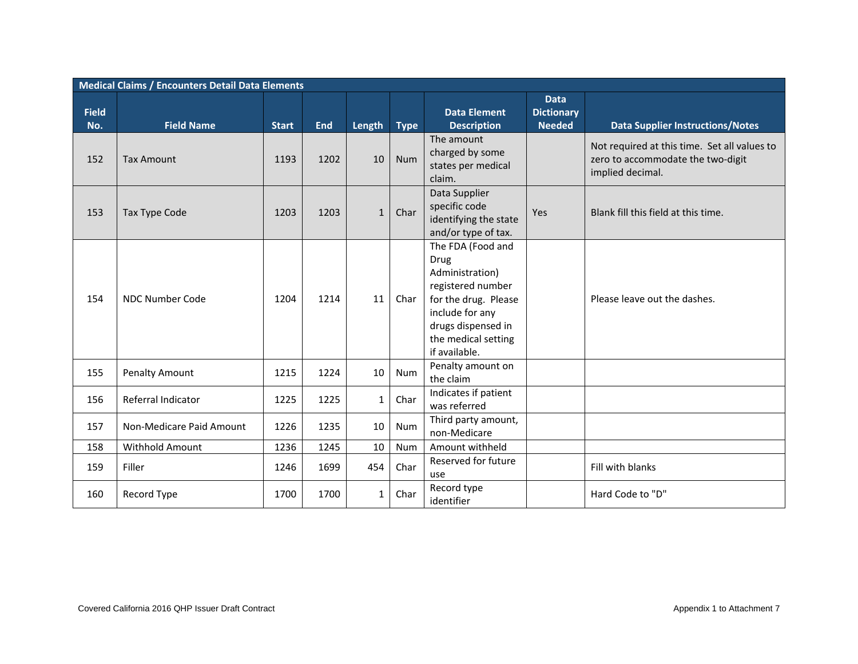|                     | <b>Medical Claims / Encounters Detail Data Elements</b> |              |            |              |             |                                                                                                                                                                            |                                                   |                                                                                                       |  |  |  |  |
|---------------------|---------------------------------------------------------|--------------|------------|--------------|-------------|----------------------------------------------------------------------------------------------------------------------------------------------------------------------------|---------------------------------------------------|-------------------------------------------------------------------------------------------------------|--|--|--|--|
| <b>Field</b><br>No. | <b>Field Name</b>                                       | <b>Start</b> | <b>End</b> | Length       | <b>Type</b> | <b>Data Element</b><br><b>Description</b>                                                                                                                                  | <b>Data</b><br><b>Dictionary</b><br><b>Needed</b> | <b>Data Supplier Instructions/Notes</b>                                                               |  |  |  |  |
| 152                 | <b>Tax Amount</b>                                       | 1193         | 1202       | 10           | <b>Num</b>  | The amount<br>charged by some<br>states per medical<br>claim.                                                                                                              |                                                   | Not required at this time. Set all values to<br>zero to accommodate the two-digit<br>implied decimal. |  |  |  |  |
| 153                 | Tax Type Code                                           | 1203         | 1203       | 1            | Char        | Data Supplier<br>specific code<br>identifying the state<br>and/or type of tax.                                                                                             | Yes                                               | Blank fill this field at this time.                                                                   |  |  |  |  |
| 154                 | <b>NDC Number Code</b>                                  | 1204         | 1214       | 11           | Char        | The FDA (Food and<br>Drug<br>Administration)<br>registered number<br>for the drug. Please<br>include for any<br>drugs dispensed in<br>the medical setting<br>if available. |                                                   | Please leave out the dashes.                                                                          |  |  |  |  |
| 155                 | <b>Penalty Amount</b>                                   | 1215         | 1224       | 10           | Num         | Penalty amount on<br>the claim                                                                                                                                             |                                                   |                                                                                                       |  |  |  |  |
| 156                 | Referral Indicator                                      | 1225         | 1225       | $\mathbf{1}$ | Char        | Indicates if patient<br>was referred                                                                                                                                       |                                                   |                                                                                                       |  |  |  |  |
| 157                 | Non-Medicare Paid Amount                                | 1226         | 1235       | 10           | Num         | Third party amount,<br>non-Medicare                                                                                                                                        |                                                   |                                                                                                       |  |  |  |  |
| 158                 | <b>Withhold Amount</b>                                  | 1236         | 1245       | 10           | Num         | Amount withheld                                                                                                                                                            |                                                   |                                                                                                       |  |  |  |  |
| 159                 | Filler                                                  | 1246         | 1699       | 454          | Char        | Reserved for future<br>use                                                                                                                                                 |                                                   | Fill with blanks                                                                                      |  |  |  |  |
| 160                 | Record Type                                             | 1700         | 1700       | $\mathbf{1}$ | Char        | Record type<br>identifier                                                                                                                                                  |                                                   | Hard Code to "D"                                                                                      |  |  |  |  |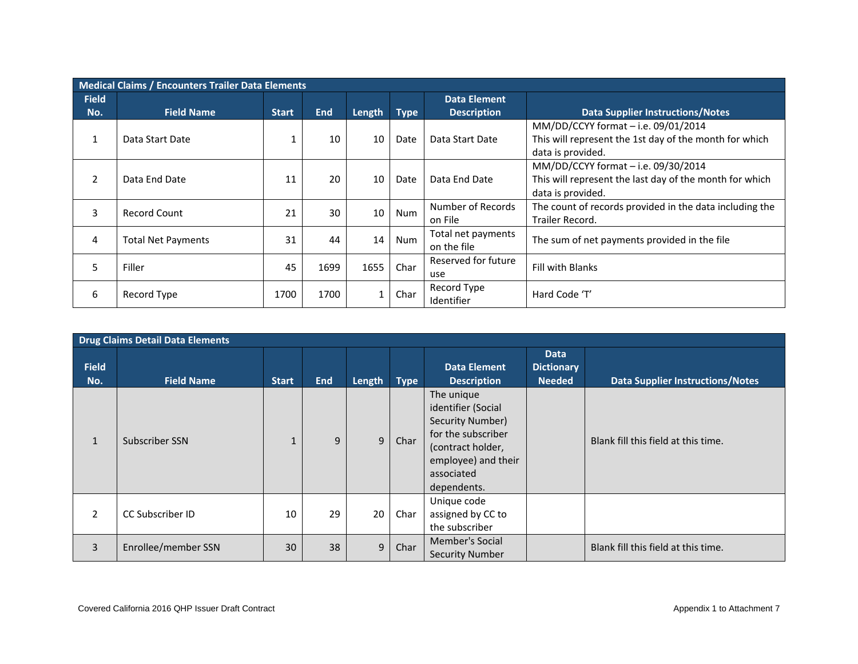|                | <b>Medical Claims / Encounters Trailer Data Elements</b> |              |            |        |             |                                   |                                                                                                                     |  |  |  |  |  |  |
|----------------|----------------------------------------------------------|--------------|------------|--------|-------------|-----------------------------------|---------------------------------------------------------------------------------------------------------------------|--|--|--|--|--|--|
| <b>Field</b>   |                                                          |              |            |        |             | <b>Data Element</b>               |                                                                                                                     |  |  |  |  |  |  |
| No.            | <b>Field Name</b>                                        | <b>Start</b> | <b>End</b> | Length | <b>Type</b> | <b>Description</b>                | <b>Data Supplier Instructions/Notes</b>                                                                             |  |  |  |  |  |  |
|                | Data Start Date                                          |              | 10         | 10     | Date        | Data Start Date                   | MM/DD/CCYY format - i.e. 09/01/2014<br>This will represent the 1st day of the month for which<br>data is provided.  |  |  |  |  |  |  |
| $\overline{2}$ | Data End Date                                            | 11           | 20         | 10     | Date        | Data End Date                     | MM/DD/CCYY format - i.e. 09/30/2014<br>This will represent the last day of the month for which<br>data is provided. |  |  |  |  |  |  |
| 3              | <b>Record Count</b>                                      | 21           | 30         | 10     | Num         | Number of Records<br>on File      | The count of records provided in the data including the<br>Trailer Record.                                          |  |  |  |  |  |  |
| 4              | Total Net Payments                                       | 31           | 44         | 14     | Num         | Total net payments<br>on the file | The sum of net payments provided in the file                                                                        |  |  |  |  |  |  |
| 5              | Filler                                                   | 45           | 1699       | 1655   | Char        | Reserved for future<br>use        | Fill with Blanks                                                                                                    |  |  |  |  |  |  |
| 6              | Record Type                                              | 1700         | 1700       |        | Char        | Record Type<br>Identifier         | Hard Code 'T'                                                                                                       |  |  |  |  |  |  |

|                     | <b>Drug Claims Detail Data Elements</b> |              |            |        |             |                                                                                                                                                     |                                                   |                                         |  |  |  |
|---------------------|-----------------------------------------|--------------|------------|--------|-------------|-----------------------------------------------------------------------------------------------------------------------------------------------------|---------------------------------------------------|-----------------------------------------|--|--|--|
| <b>Field</b><br>No. | <b>Field Name</b>                       | <b>Start</b> | <b>End</b> | Length | <b>Type</b> | <b>Data Element</b><br><b>Description</b>                                                                                                           | <b>Data</b><br><b>Dictionary</b><br><b>Needed</b> | <b>Data Supplier Instructions/Notes</b> |  |  |  |
|                     | Subscriber SSN                          | $\mathbf{1}$ | 9          | 9      | Char        | The unique<br>identifier (Social<br>Security Number)<br>for the subscriber<br>(contract holder,<br>employee) and their<br>associated<br>dependents. |                                                   | Blank fill this field at this time.     |  |  |  |
| 2                   | <b>CC Subscriber ID</b>                 | 10           | 29         | 20     | Char        | Unique code<br>assigned by CC to<br>the subscriber                                                                                                  |                                                   |                                         |  |  |  |
| 3                   | Enrollee/member SSN                     | 30           | 38         | 9      | Char        | Member's Social<br><b>Security Number</b>                                                                                                           |                                                   | Blank fill this field at this time.     |  |  |  |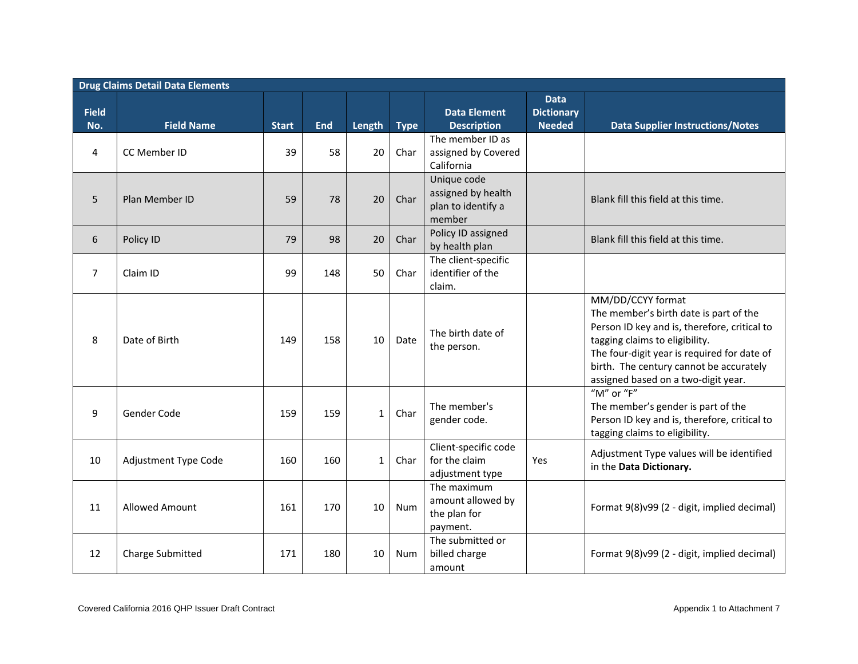|                     | <b>Drug Claims Detail Data Elements</b> |              |            |              |      |                                                                   |                                                   |                                                                                                                                                                                                                                                                                |  |  |  |  |
|---------------------|-----------------------------------------|--------------|------------|--------------|------|-------------------------------------------------------------------|---------------------------------------------------|--------------------------------------------------------------------------------------------------------------------------------------------------------------------------------------------------------------------------------------------------------------------------------|--|--|--|--|
| <b>Field</b><br>No. | <b>Field Name</b>                       | <b>Start</b> | <b>End</b> | Length Type  |      | <b>Data Element</b><br><b>Description</b>                         | <b>Data</b><br><b>Dictionary</b><br><b>Needed</b> | <b>Data Supplier Instructions/Notes</b>                                                                                                                                                                                                                                        |  |  |  |  |
| 4                   | CC Member ID                            | 39           | 58         | 20           | Char | The member ID as<br>assigned by Covered<br>California             |                                                   |                                                                                                                                                                                                                                                                                |  |  |  |  |
| 5                   | Plan Member ID                          | 59           | 78         | 20           | Char | Unique code<br>assigned by health<br>plan to identify a<br>member |                                                   | Blank fill this field at this time.                                                                                                                                                                                                                                            |  |  |  |  |
| 6                   | Policy ID                               | 79           | 98         | 20           | Char | Policy ID assigned<br>by health plan                              |                                                   | Blank fill this field at this time.                                                                                                                                                                                                                                            |  |  |  |  |
| $\overline{7}$      | Claim ID                                | 99           | 148        | 50           | Char | The client-specific<br>identifier of the<br>claim.                |                                                   |                                                                                                                                                                                                                                                                                |  |  |  |  |
| 8                   | Date of Birth                           | 149          | 158        | 10           | Date | The birth date of<br>the person.                                  |                                                   | MM/DD/CCYY format<br>The member's birth date is part of the<br>Person ID key and is, therefore, critical to<br>tagging claims to eligibility.<br>The four-digit year is required for date of<br>birth. The century cannot be accurately<br>assigned based on a two-digit year. |  |  |  |  |
| 9                   | Gender Code                             | 159          | 159        | $\mathbf{1}$ | Char | The member's<br>gender code.                                      |                                                   | "M" or "F"<br>The member's gender is part of the<br>Person ID key and is, therefore, critical to<br>tagging claims to eligibility.                                                                                                                                             |  |  |  |  |
| 10                  | Adjustment Type Code                    | 160          | 160        | $\mathbf{1}$ | Char | Client-specific code<br>for the claim<br>adjustment type          | Yes                                               | Adjustment Type values will be identified<br>in the Data Dictionary.                                                                                                                                                                                                           |  |  |  |  |
| 11                  | <b>Allowed Amount</b>                   | 161          | 170        | 10           | Num  | The maximum<br>amount allowed by<br>the plan for<br>payment.      |                                                   | Format 9(8)v99 (2 - digit, implied decimal)                                                                                                                                                                                                                                    |  |  |  |  |
| 12                  | <b>Charge Submitted</b>                 | 171          | 180        | 10           | Num  | The submitted or<br>billed charge<br>amount                       |                                                   | Format 9(8)v99 (2 - digit, implied decimal)                                                                                                                                                                                                                                    |  |  |  |  |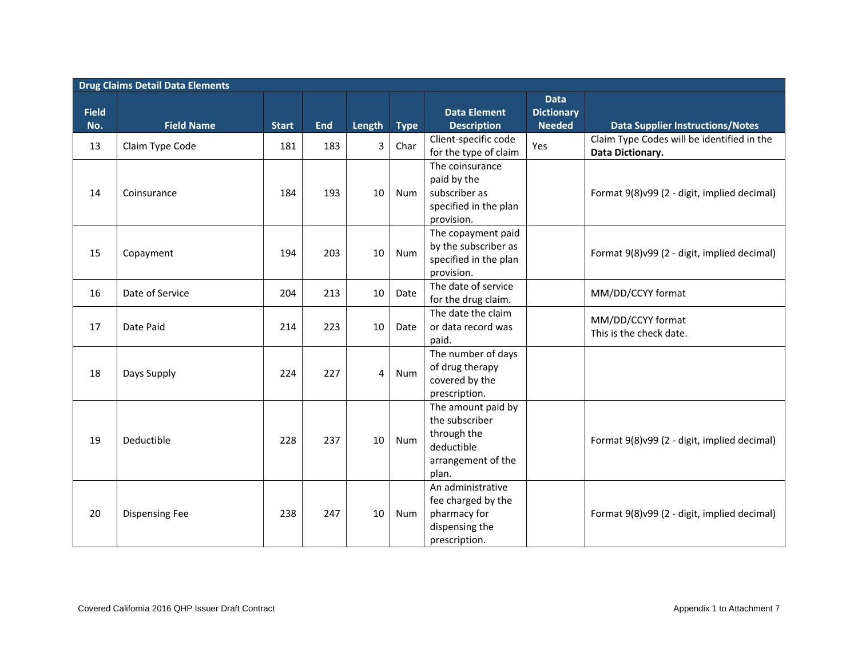|              | <b>Drug Claims Detail Data Elements</b> |              |            |        |             |                                                                                                  |                                  |                                                                |  |  |  |  |
|--------------|-----------------------------------------|--------------|------------|--------|-------------|--------------------------------------------------------------------------------------------------|----------------------------------|----------------------------------------------------------------|--|--|--|--|
| <b>Field</b> |                                         |              |            |        |             | <b>Data Element</b>                                                                              | <b>Data</b><br><b>Dictionary</b> |                                                                |  |  |  |  |
| No.          | <b>Field Name</b>                       | <b>Start</b> | <b>End</b> | Length | <b>Type</b> | <b>Description</b>                                                                               | <b>Needed</b>                    | <b>Data Supplier Instructions/Notes</b>                        |  |  |  |  |
| 13           | Claim Type Code                         | 181          | 183        | 3      | Char        | Client-specific code<br>for the type of claim                                                    | Yes                              | Claim Type Codes will be identified in the<br>Data Dictionary. |  |  |  |  |
| 14           | Coinsurance                             | 184          | 193        | 10     | <b>Num</b>  | The coinsurance<br>paid by the<br>subscriber as<br>specified in the plan<br>provision.           |                                  | Format 9(8)v99 (2 - digit, implied decimal)                    |  |  |  |  |
| 15           | Copayment                               | 194          | 203        | 10     | Num         | The copayment paid<br>by the subscriber as<br>specified in the plan<br>provision.                |                                  | Format 9(8)v99 (2 - digit, implied decimal)                    |  |  |  |  |
| 16           | Date of Service                         | 204          | 213        | 10     | Date        | The date of service<br>for the drug claim.                                                       |                                  | MM/DD/CCYY format                                              |  |  |  |  |
| 17           | Date Paid                               | 214          | 223        | 10     | Date        | The date the claim<br>or data record was<br>paid.                                                |                                  | MM/DD/CCYY format<br>This is the check date.                   |  |  |  |  |
| 18           | Days Supply                             | 224          | 227        | 4      | Num         | The number of days<br>of drug therapy<br>covered by the<br>prescription.                         |                                  |                                                                |  |  |  |  |
| 19           | Deductible                              | 228          | 237        | 10     | <b>Num</b>  | The amount paid by<br>the subscriber<br>through the<br>deductible<br>arrangement of the<br>plan. |                                  | Format 9(8)v99 (2 - digit, implied decimal)                    |  |  |  |  |
| 20           | <b>Dispensing Fee</b>                   | 238          | 247        | 10     | Num         | An administrative<br>fee charged by the<br>pharmacy for<br>dispensing the<br>prescription.       |                                  | Format 9(8)v99 (2 - digit, implied decimal)                    |  |  |  |  |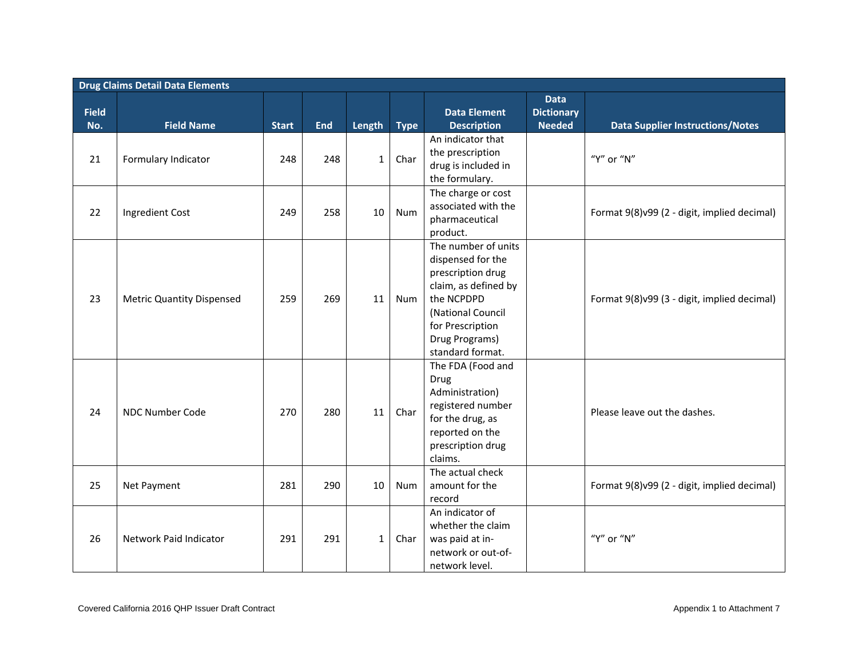|                     | <b>Drug Claims Detail Data Elements</b> |              |            |              |             |                                                                                                                                                                                    |                                                   |                                             |  |  |  |
|---------------------|-----------------------------------------|--------------|------------|--------------|-------------|------------------------------------------------------------------------------------------------------------------------------------------------------------------------------------|---------------------------------------------------|---------------------------------------------|--|--|--|
| <b>Field</b><br>No. | <b>Field Name</b>                       | <b>Start</b> | <b>End</b> | Length       | <b>Type</b> | <b>Data Element</b><br><b>Description</b>                                                                                                                                          | <b>Data</b><br><b>Dictionary</b><br><b>Needed</b> | <b>Data Supplier Instructions/Notes</b>     |  |  |  |
| 21                  | Formulary Indicator                     | 248          | 248        | $\mathbf{1}$ | Char        | An indicator that<br>the prescription<br>drug is included in<br>the formulary.                                                                                                     |                                                   | "Y" or "N"                                  |  |  |  |
| 22                  | Ingredient Cost                         | 249          | 258        | 10           | <b>Num</b>  | The charge or cost<br>associated with the<br>pharmaceutical<br>product.                                                                                                            |                                                   | Format 9(8)v99 (2 - digit, implied decimal) |  |  |  |
| 23                  | <b>Metric Quantity Dispensed</b>        | 259          | 269        | 11           | <b>Num</b>  | The number of units<br>dispensed for the<br>prescription drug<br>claim, as defined by<br>the NCPDPD<br>(National Council<br>for Prescription<br>Drug Programs)<br>standard format. |                                                   | Format 9(8)v99 (3 - digit, implied decimal) |  |  |  |
| 24                  | NDC Number Code                         | 270          | 280        | 11           | Char        | The FDA (Food and<br>Drug<br>Administration)<br>registered number<br>for the drug, as<br>reported on the<br>prescription drug<br>claims.                                           |                                                   | Please leave out the dashes.                |  |  |  |
| 25                  | Net Payment                             | 281          | 290        | 10           | Num         | The actual check<br>amount for the<br>record                                                                                                                                       |                                                   | Format 9(8)v99 (2 - digit, implied decimal) |  |  |  |
| 26                  | Network Paid Indicator                  | 291          | 291        | $\mathbf{1}$ | Char        | An indicator of<br>whether the claim<br>was paid at in-<br>network or out-of-<br>network level.                                                                                    |                                                   | "Y" or "N"                                  |  |  |  |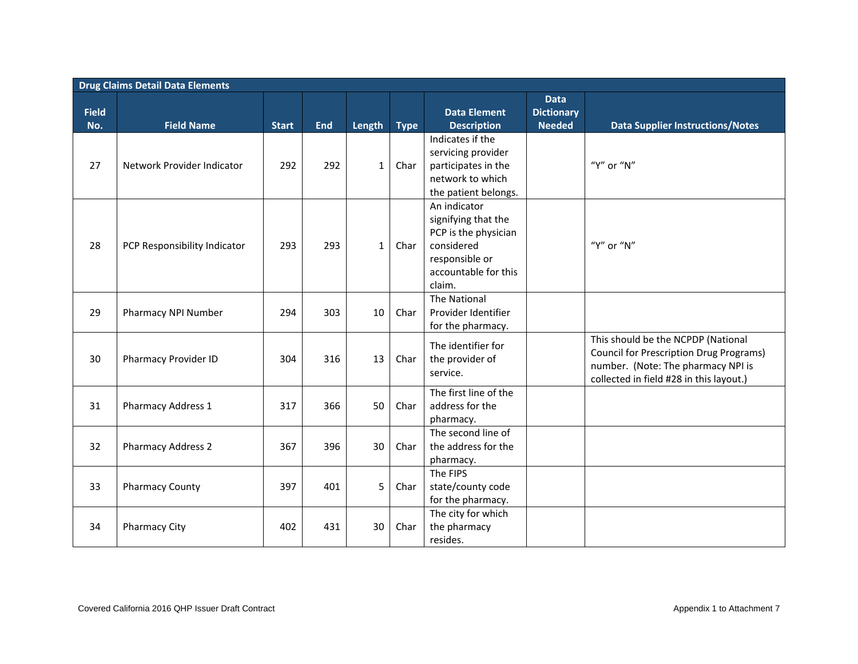|                     | <b>Drug Claims Detail Data Elements</b> |              |            |              |             |                                                                                                                               |                                                   |                                                                                                                                                                       |  |  |  |  |
|---------------------|-----------------------------------------|--------------|------------|--------------|-------------|-------------------------------------------------------------------------------------------------------------------------------|---------------------------------------------------|-----------------------------------------------------------------------------------------------------------------------------------------------------------------------|--|--|--|--|
| <b>Field</b><br>No. | <b>Field Name</b>                       | <b>Start</b> | <b>End</b> | Length       | <b>Type</b> | <b>Data Element</b><br><b>Description</b>                                                                                     | <b>Data</b><br><b>Dictionary</b><br><b>Needed</b> | <b>Data Supplier Instructions/Notes</b>                                                                                                                               |  |  |  |  |
| 27                  | Network Provider Indicator              | 292          | 292        | $\mathbf{1}$ | Char        | Indicates if the<br>servicing provider<br>participates in the<br>network to which<br>the patient belongs.                     |                                                   | "Y" or "N"                                                                                                                                                            |  |  |  |  |
| 28                  | PCP Responsibility Indicator            | 293          | 293        | $\mathbf{1}$ | Char        | An indicator<br>signifying that the<br>PCP is the physician<br>considered<br>responsible or<br>accountable for this<br>claim. |                                                   | "Y" or "N"                                                                                                                                                            |  |  |  |  |
| 29                  | Pharmacy NPI Number                     | 294          | 303        | 10           | Char        | The National<br>Provider Identifier<br>for the pharmacy.                                                                      |                                                   |                                                                                                                                                                       |  |  |  |  |
| 30                  | <b>Pharmacy Provider ID</b>             | 304          | 316        | 13           | Char        | The identifier for<br>the provider of<br>service.                                                                             |                                                   | This should be the NCPDP (National<br><b>Council for Prescription Drug Programs)</b><br>number. (Note: The pharmacy NPI is<br>collected in field #28 in this layout.) |  |  |  |  |
| 31                  | Pharmacy Address 1                      | 317          | 366        | 50           | Char        | The first line of the<br>address for the<br>pharmacy.                                                                         |                                                   |                                                                                                                                                                       |  |  |  |  |
| 32                  | <b>Pharmacy Address 2</b>               | 367          | 396        | 30           | Char        | The second line of<br>the address for the<br>pharmacy.                                                                        |                                                   |                                                                                                                                                                       |  |  |  |  |
| 33                  | <b>Pharmacy County</b>                  | 397          | 401        | 5            | Char        | The FIPS<br>state/county code<br>for the pharmacy.                                                                            |                                                   |                                                                                                                                                                       |  |  |  |  |
| 34                  | <b>Pharmacy City</b>                    | 402          | 431        | 30           | Char        | The city for which<br>the pharmacy<br>resides.                                                                                |                                                   |                                                                                                                                                                       |  |  |  |  |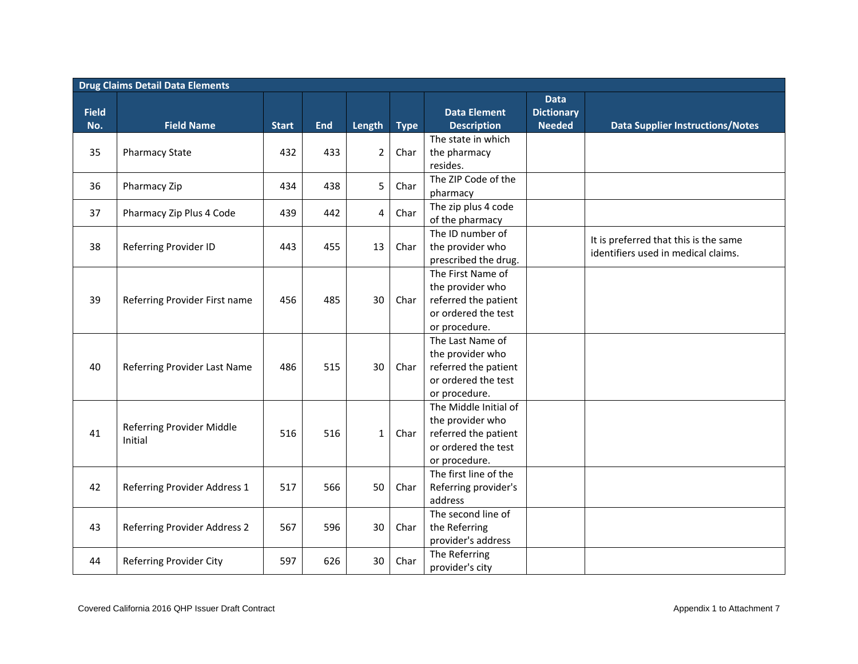| <b>Drug Claims Detail Data Elements</b> |                               |              |            |                |             |                                           |                                                   |                                                                              |  |  |  |  |
|-----------------------------------------|-------------------------------|--------------|------------|----------------|-------------|-------------------------------------------|---------------------------------------------------|------------------------------------------------------------------------------|--|--|--|--|
| <b>Field</b><br>No.                     | <b>Field Name</b>             | <b>Start</b> | <b>End</b> | Length         | <b>Type</b> | <b>Data Element</b><br><b>Description</b> | <b>Data</b><br><b>Dictionary</b><br><b>Needed</b> | <b>Data Supplier Instructions/Notes</b>                                      |  |  |  |  |
|                                         |                               |              |            |                |             | The state in which                        |                                                   |                                                                              |  |  |  |  |
| 35                                      | <b>Pharmacy State</b>         | 432          | 433        | $\overline{2}$ | Char        | the pharmacy                              |                                                   |                                                                              |  |  |  |  |
|                                         |                               |              |            |                |             | resides.                                  |                                                   |                                                                              |  |  |  |  |
|                                         |                               |              |            |                |             | The ZIP Code of the                       |                                                   |                                                                              |  |  |  |  |
| 36                                      | Pharmacy Zip                  | 434          | 438        | 5              | Char        | pharmacy                                  |                                                   |                                                                              |  |  |  |  |
|                                         |                               |              |            |                |             | The zip plus 4 code                       |                                                   |                                                                              |  |  |  |  |
| 37                                      | Pharmacy Zip Plus 4 Code      | 439          | 442        | 4              | Char        | of the pharmacy                           |                                                   |                                                                              |  |  |  |  |
|                                         |                               |              |            |                |             | The ID number of                          |                                                   |                                                                              |  |  |  |  |
| 38                                      | Referring Provider ID         | 443          | 455        | 13             | Char        | the provider who                          |                                                   | It is preferred that this is the same<br>identifiers used in medical claims. |  |  |  |  |
|                                         |                               |              |            |                |             | prescribed the drug.                      |                                                   |                                                                              |  |  |  |  |
|                                         |                               |              |            |                |             | The First Name of                         |                                                   |                                                                              |  |  |  |  |
|                                         |                               |              |            |                |             | the provider who                          |                                                   |                                                                              |  |  |  |  |
| 39                                      | Referring Provider First name | 456          | 485        | 30             | Char        | referred the patient                      |                                                   |                                                                              |  |  |  |  |
|                                         |                               |              |            |                |             | or ordered the test                       |                                                   |                                                                              |  |  |  |  |
|                                         |                               |              |            |                |             | or procedure.                             |                                                   |                                                                              |  |  |  |  |
|                                         |                               |              |            |                |             | The Last Name of                          |                                                   |                                                                              |  |  |  |  |
|                                         |                               |              |            |                |             | the provider who                          |                                                   |                                                                              |  |  |  |  |
| 40                                      | Referring Provider Last Name  | 486          | 515        | 30             | Char        | referred the patient                      |                                                   |                                                                              |  |  |  |  |
|                                         |                               |              |            |                |             | or ordered the test                       |                                                   |                                                                              |  |  |  |  |
|                                         |                               |              |            |                |             | or procedure.                             |                                                   |                                                                              |  |  |  |  |
|                                         |                               |              |            |                |             | The Middle Initial of                     |                                                   |                                                                              |  |  |  |  |
|                                         | Referring Provider Middle     |              |            |                |             | the provider who                          |                                                   |                                                                              |  |  |  |  |
| 41                                      | Initial                       | 516          | 516        | $\mathbf{1}$   | Char        | referred the patient                      |                                                   |                                                                              |  |  |  |  |
|                                         |                               |              |            |                |             | or ordered the test                       |                                                   |                                                                              |  |  |  |  |
|                                         |                               |              |            |                |             | or procedure.                             |                                                   |                                                                              |  |  |  |  |
|                                         |                               |              |            |                |             | The first line of the                     |                                                   |                                                                              |  |  |  |  |
| 42                                      | Referring Provider Address 1  | 517          | 566        | 50             | Char        | Referring provider's<br>address           |                                                   |                                                                              |  |  |  |  |
|                                         |                               |              |            |                |             | The second line of                        |                                                   |                                                                              |  |  |  |  |
| 43                                      | Referring Provider Address 2  | 567          | 596        | 30             | Char        | the Referring                             |                                                   |                                                                              |  |  |  |  |
|                                         |                               |              |            |                |             | provider's address                        |                                                   |                                                                              |  |  |  |  |
|                                         |                               |              |            |                |             | The Referring                             |                                                   |                                                                              |  |  |  |  |
| 44                                      | Referring Provider City       | 597          | 626        | 30             | Char        | provider's city                           |                                                   |                                                                              |  |  |  |  |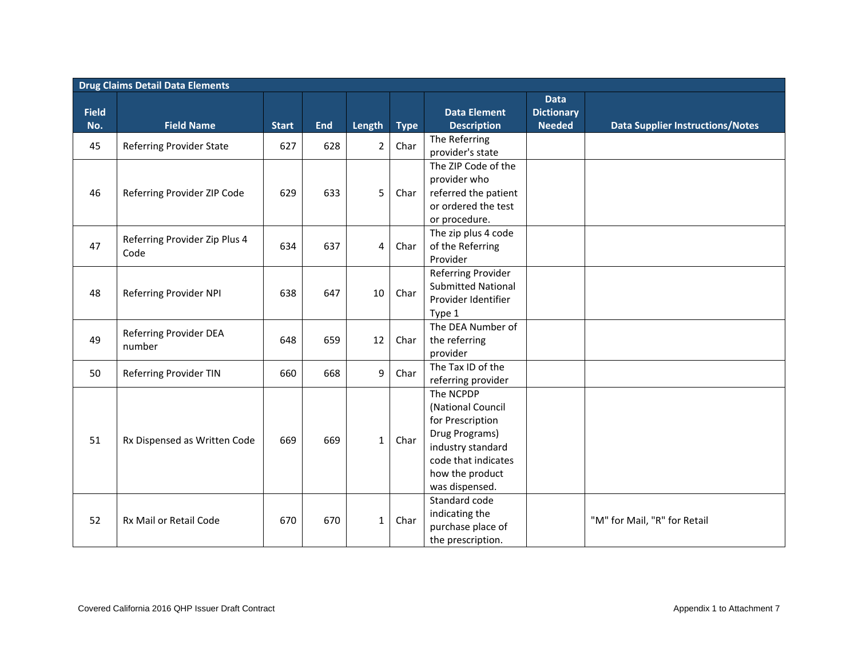|              | <b>Drug Claims Detail Data Elements</b> |              |            |                |             |                                                                                                                                                       |                                  |                                         |  |  |  |  |
|--------------|-----------------------------------------|--------------|------------|----------------|-------------|-------------------------------------------------------------------------------------------------------------------------------------------------------|----------------------------------|-----------------------------------------|--|--|--|--|
| <b>Field</b> |                                         |              |            |                |             | <b>Data Element</b>                                                                                                                                   | <b>Data</b><br><b>Dictionary</b> |                                         |  |  |  |  |
| No.          | <b>Field Name</b>                       | <b>Start</b> | <b>End</b> | Length         | <b>Type</b> | <b>Description</b>                                                                                                                                    | <b>Needed</b>                    | <b>Data Supplier Instructions/Notes</b> |  |  |  |  |
| 45           | Referring Provider State                | 627          | 628        | $\overline{2}$ | Char        | The Referring<br>provider's state                                                                                                                     |                                  |                                         |  |  |  |  |
| 46           | Referring Provider ZIP Code             | 629          | 633        | 5              | Char        | The ZIP Code of the<br>provider who<br>referred the patient<br>or ordered the test<br>or procedure.                                                   |                                  |                                         |  |  |  |  |
| 47           | Referring Provider Zip Plus 4<br>Code   | 634          | 637        | 4              | Char        | The zip plus 4 code<br>of the Referring<br>Provider                                                                                                   |                                  |                                         |  |  |  |  |
| 48           | Referring Provider NPI                  | 638          | 647        | 10             | Char        | Referring Provider<br><b>Submitted National</b><br>Provider Identifier<br>Type 1                                                                      |                                  |                                         |  |  |  |  |
| 49           | Referring Provider DEA<br>number        | 648          | 659        | 12             | Char        | The DEA Number of<br>the referring<br>provider                                                                                                        |                                  |                                         |  |  |  |  |
| 50           | <b>Referring Provider TIN</b>           | 660          | 668        | 9              | Char        | The Tax ID of the<br>referring provider                                                                                                               |                                  |                                         |  |  |  |  |
| 51           | Rx Dispensed as Written Code            | 669          | 669        | $\mathbf{1}$   | Char        | The NCPDP<br>(National Council<br>for Prescription<br>Drug Programs)<br>industry standard<br>code that indicates<br>how the product<br>was dispensed. |                                  |                                         |  |  |  |  |
| 52           | Rx Mail or Retail Code                  | 670          | 670        | $\mathbf{1}$   | Char        | Standard code<br>indicating the<br>purchase place of<br>the prescription.                                                                             |                                  | "M" for Mail, "R" for Retail            |  |  |  |  |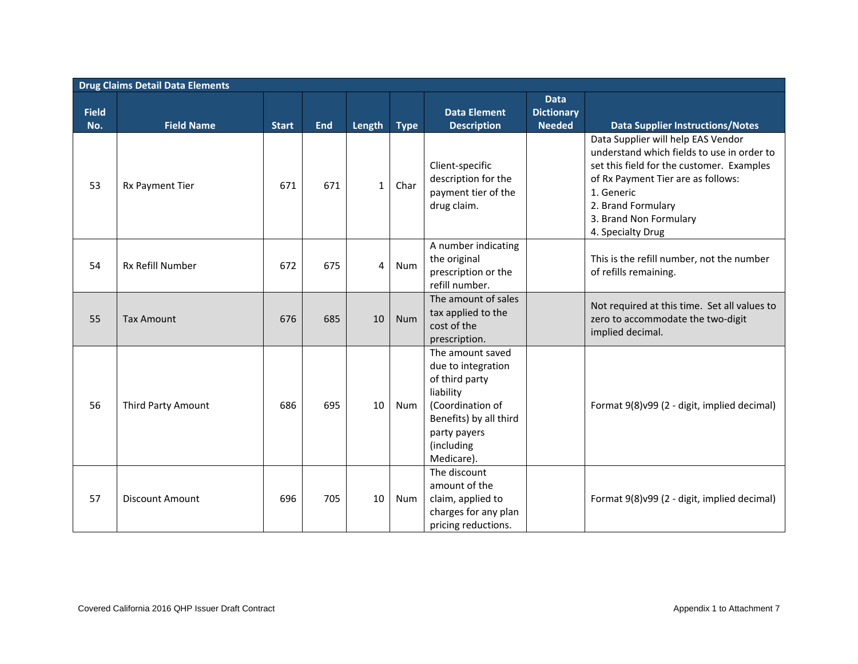|                     | <b>Drug Claims Detail Data Elements</b> |              |            |                 |             |                                                                                                                                                                 |                                                   |                                                                                                                                                                                                                                                        |  |  |  |  |  |
|---------------------|-----------------------------------------|--------------|------------|-----------------|-------------|-----------------------------------------------------------------------------------------------------------------------------------------------------------------|---------------------------------------------------|--------------------------------------------------------------------------------------------------------------------------------------------------------------------------------------------------------------------------------------------------------|--|--|--|--|--|
| <b>Field</b><br>No. | <b>Field Name</b>                       | <b>Start</b> | <b>End</b> | Length          | <b>Type</b> | <b>Data Element</b><br><b>Description</b>                                                                                                                       | <b>Data</b><br><b>Dictionary</b><br><b>Needed</b> | <b>Data Supplier Instructions/Notes</b>                                                                                                                                                                                                                |  |  |  |  |  |
| 53                  | Rx Payment Tier                         | 671          | 671        | $\mathbf{1}$    | Char        | Client-specific<br>description for the<br>payment tier of the<br>drug claim.                                                                                    |                                                   | Data Supplier will help EAS Vendor<br>understand which fields to use in order to<br>set this field for the customer. Examples<br>of Rx Payment Tier are as follows:<br>1. Generic<br>2. Brand Formulary<br>3. Brand Non Formulary<br>4. Specialty Drug |  |  |  |  |  |
| 54                  | Rx Refill Number                        | 672          | 675        | 4               | Num         | A number indicating<br>the original<br>prescription or the<br>refill number.                                                                                    |                                                   | This is the refill number, not the number<br>of refills remaining.                                                                                                                                                                                     |  |  |  |  |  |
| 55                  | <b>Tax Amount</b>                       | 676          | 685        | 10              | <b>Num</b>  | The amount of sales<br>tax applied to the<br>cost of the<br>prescription.                                                                                       |                                                   | Not required at this time. Set all values to<br>zero to accommodate the two-digit<br>implied decimal.                                                                                                                                                  |  |  |  |  |  |
| 56                  | Third Party Amount                      | 686          | 695        | 10 <sup>°</sup> | Num         | The amount saved<br>due to integration<br>of third party<br>liability<br>(Coordination of<br>Benefits) by all third<br>party payers<br>(including<br>Medicare). |                                                   | Format 9(8)v99 (2 - digit, implied decimal)                                                                                                                                                                                                            |  |  |  |  |  |
| 57                  | <b>Discount Amount</b>                  | 696          | 705        | 10 <sup>°</sup> | Num         | The discount<br>amount of the<br>claim, applied to<br>charges for any plan<br>pricing reductions.                                                               |                                                   | Format 9(8)v99 (2 - digit, implied decimal)                                                                                                                                                                                                            |  |  |  |  |  |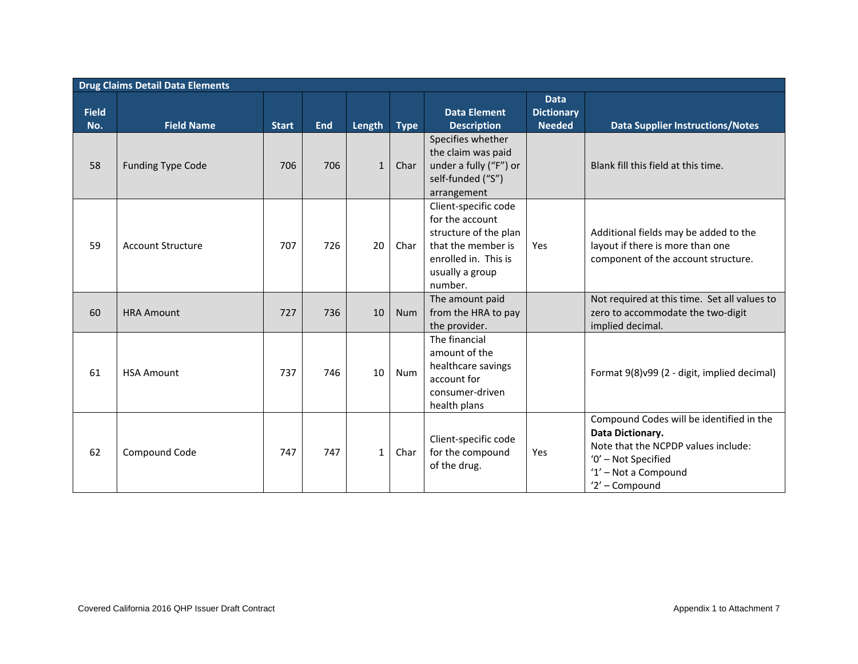|                     | <b>Drug Claims Detail Data Elements</b> |              |            |              |             |                                                                                                                                              |                                                   |                                                                                                                                                                      |  |  |  |  |
|---------------------|-----------------------------------------|--------------|------------|--------------|-------------|----------------------------------------------------------------------------------------------------------------------------------------------|---------------------------------------------------|----------------------------------------------------------------------------------------------------------------------------------------------------------------------|--|--|--|--|
| <b>Field</b><br>No. | <b>Field Name</b>                       | <b>Start</b> | <b>End</b> | Length       | <b>Type</b> | <b>Data Element</b><br><b>Description</b>                                                                                                    | <b>Data</b><br><b>Dictionary</b><br><b>Needed</b> | <b>Data Supplier Instructions/Notes</b>                                                                                                                              |  |  |  |  |
| 58                  | <b>Funding Type Code</b>                | 706          | 706        | $\mathbf{1}$ | Char        | Specifies whether<br>the claim was paid<br>under a fully ("F") or<br>self-funded ("S")<br>arrangement                                        |                                                   | Blank fill this field at this time.                                                                                                                                  |  |  |  |  |
| 59                  | <b>Account Structure</b>                | 707          | 726        | 20           | Char        | Client-specific code<br>for the account<br>structure of the plan<br>that the member is<br>enrolled in. This is<br>usually a group<br>number. | Yes                                               | Additional fields may be added to the<br>layout if there is more than one<br>component of the account structure.                                                     |  |  |  |  |
| 60                  | <b>HRA Amount</b>                       | 727          | 736        | 10           | <b>Num</b>  | The amount paid<br>from the HRA to pay<br>the provider.                                                                                      |                                                   | Not required at this time. Set all values to<br>zero to accommodate the two-digit<br>implied decimal.                                                                |  |  |  |  |
| 61                  | <b>HSA Amount</b>                       | 737          | 746        | 10           | Num         | The financial<br>amount of the<br>healthcare savings<br>account for<br>consumer-driven<br>health plans                                       |                                                   | Format 9(8)v99 (2 - digit, implied decimal)                                                                                                                          |  |  |  |  |
| 62                  | Compound Code                           | 747          | 747        | $\mathbf{1}$ | Char        | Client-specific code<br>for the compound<br>of the drug.                                                                                     | Yes                                               | Compound Codes will be identified in the<br>Data Dictionary.<br>Note that the NCPDP values include:<br>'0' - Not Specified<br>'1' - Not a Compound<br>'2' - Compound |  |  |  |  |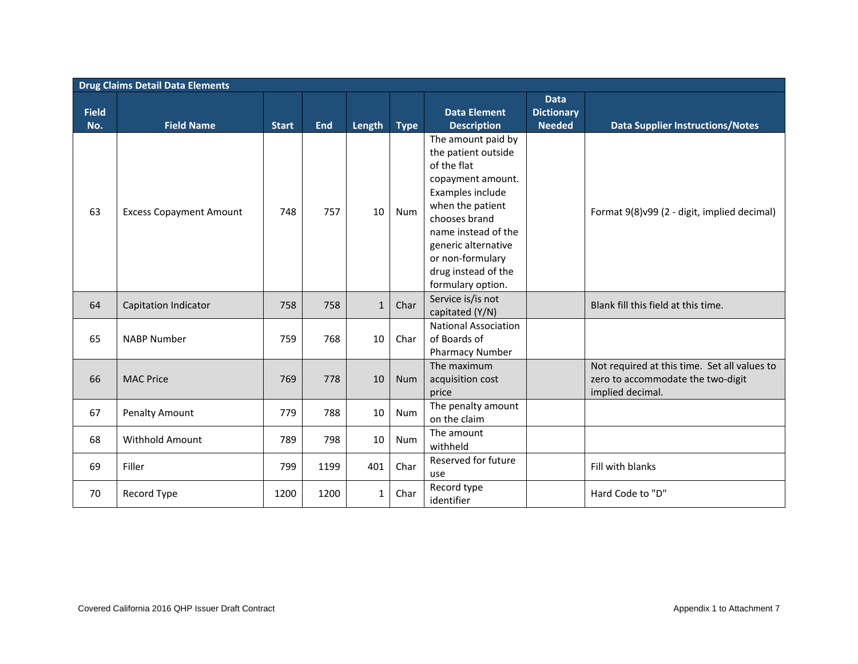|                     | <b>Drug Claims Detail Data Elements</b> |              |            |              |             |                                                                                                                                                                                                                                                      |                                                   |                                                                                                       |  |  |  |  |  |
|---------------------|-----------------------------------------|--------------|------------|--------------|-------------|------------------------------------------------------------------------------------------------------------------------------------------------------------------------------------------------------------------------------------------------------|---------------------------------------------------|-------------------------------------------------------------------------------------------------------|--|--|--|--|--|
| <b>Field</b><br>No. | <b>Field Name</b>                       | <b>Start</b> | <b>End</b> | Length       | <b>Type</b> | <b>Data Element</b><br><b>Description</b>                                                                                                                                                                                                            | <b>Data</b><br><b>Dictionary</b><br><b>Needed</b> | <b>Data Supplier Instructions/Notes</b>                                                               |  |  |  |  |  |
| 63                  | <b>Excess Copayment Amount</b>          | 748          | 757        | 10           | Num         | The amount paid by<br>the patient outside<br>of the flat<br>copayment amount.<br>Examples include<br>when the patient<br>chooses brand<br>name instead of the<br>generic alternative<br>or non-formulary<br>drug instead of the<br>formulary option. |                                                   | Format 9(8)v99 (2 - digit, implied decimal)                                                           |  |  |  |  |  |
| 64                  | <b>Capitation Indicator</b>             | 758          | 758        | $\mathbf{1}$ | Char        | Service is/is not<br>capitated (Y/N)                                                                                                                                                                                                                 |                                                   | Blank fill this field at this time.                                                                   |  |  |  |  |  |
| 65                  | <b>NABP Number</b>                      | 759          | 768        | 10           | Char        | <b>National Association</b><br>of Boards of<br><b>Pharmacy Number</b>                                                                                                                                                                                |                                                   |                                                                                                       |  |  |  |  |  |
| 66                  | <b>MAC Price</b>                        | 769          | 778        | 10           | <b>Num</b>  | The maximum<br>acquisition cost<br>price                                                                                                                                                                                                             |                                                   | Not required at this time. Set all values to<br>zero to accommodate the two-digit<br>implied decimal. |  |  |  |  |  |
| 67                  | <b>Penalty Amount</b>                   | 779          | 788        | 10           | <b>Num</b>  | The penalty amount<br>on the claim                                                                                                                                                                                                                   |                                                   |                                                                                                       |  |  |  |  |  |
| 68                  | Withhold Amount                         | 789          | 798        | 10           | Num         | The amount<br>withheld                                                                                                                                                                                                                               |                                                   |                                                                                                       |  |  |  |  |  |
| 69                  | Filler                                  | 799          | 1199       | 401          | Char        | Reserved for future<br>use                                                                                                                                                                                                                           |                                                   | Fill with blanks                                                                                      |  |  |  |  |  |
| 70                  | Record Type                             | 1200         | 1200       | $\mathbf{1}$ | Char        | Record type<br>identifier                                                                                                                                                                                                                            |                                                   | Hard Code to "D"                                                                                      |  |  |  |  |  |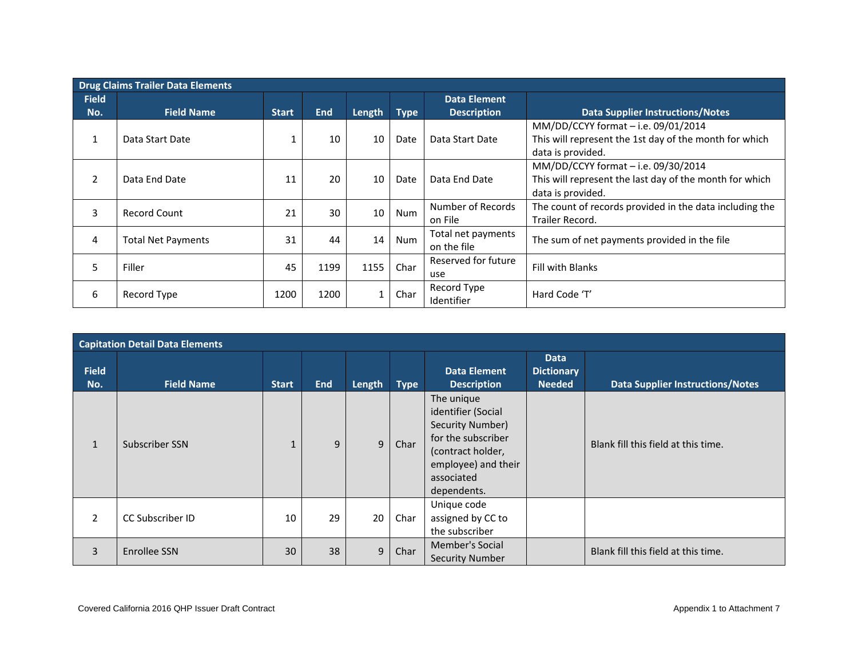| <b>Drug Claims Trailer Data Elements</b> |                           |              |            |        |             |                                   |                                                                                                                     |  |  |  |  |  |
|------------------------------------------|---------------------------|--------------|------------|--------|-------------|-----------------------------------|---------------------------------------------------------------------------------------------------------------------|--|--|--|--|--|
| <b>Field</b>                             |                           |              |            |        |             | <b>Data Element</b>               |                                                                                                                     |  |  |  |  |  |
| No.                                      | <b>Field Name</b>         | <b>Start</b> | <b>End</b> | Length | <b>Type</b> | <b>Description</b>                | <b>Data Supplier Instructions/Notes</b>                                                                             |  |  |  |  |  |
| 1                                        | Data Start Date           |              | 10         | 10     | Date        | Data Start Date                   | MM/DD/CCYY format - i.e. 09/01/2014<br>This will represent the 1st day of the month for which<br>data is provided.  |  |  |  |  |  |
| $\overline{2}$                           | Data End Date             | 11           | 20         | 10     | Date        | Data End Date                     | MM/DD/CCYY format - i.e. 09/30/2014<br>This will represent the last day of the month for which<br>data is provided. |  |  |  |  |  |
| 3                                        | Record Count              | 21           | 30         | 10     | Num         | Number of Records<br>on File      | The count of records provided in the data including the<br>Trailer Record.                                          |  |  |  |  |  |
| 4                                        | <b>Total Net Payments</b> | 31           | 44         | 14     | Num         | Total net payments<br>on the file | The sum of net payments provided in the file                                                                        |  |  |  |  |  |
| 5                                        | Filler                    | 45           | 1199       | 1155   | Char        | Reserved for future<br>use        | <b>Fill with Blanks</b>                                                                                             |  |  |  |  |  |
| 6                                        | Record Type               | 1200         | 1200       |        | Char        | Record Type<br>Identifier         | Hard Code 'T'                                                                                                       |  |  |  |  |  |

| <b>Capitation Detail Data Elements</b> |                         |              |            |        |             |                                                                                                                                                     |                                                   |                                         |  |  |  |
|----------------------------------------|-------------------------|--------------|------------|--------|-------------|-----------------------------------------------------------------------------------------------------------------------------------------------------|---------------------------------------------------|-----------------------------------------|--|--|--|
| <b>Field</b><br>No.                    | <b>Field Name</b>       | <b>Start</b> | <b>End</b> | Length | <b>Type</b> | <b>Data Element</b><br><b>Description</b>                                                                                                           | <b>Data</b><br><b>Dictionary</b><br><b>Needed</b> | <b>Data Supplier Instructions/Notes</b> |  |  |  |
| $\mathbf{1}$                           | Subscriber SSN          |              | 9          | 9      | Char        | The unique<br>identifier (Social<br>Security Number)<br>for the subscriber<br>(contract holder,<br>employee) and their<br>associated<br>dependents. |                                                   | Blank fill this field at this time.     |  |  |  |
| 2                                      | <b>CC Subscriber ID</b> | 10           | 29         | 20     | Char        | Unique code<br>assigned by CC to<br>the subscriber                                                                                                  |                                                   |                                         |  |  |  |
| $\overline{3}$                         | Enrollee SSN            | 30           | 38         | 9      | Char        | Member's Social<br><b>Security Number</b>                                                                                                           |                                                   | Blank fill this field at this time.     |  |  |  |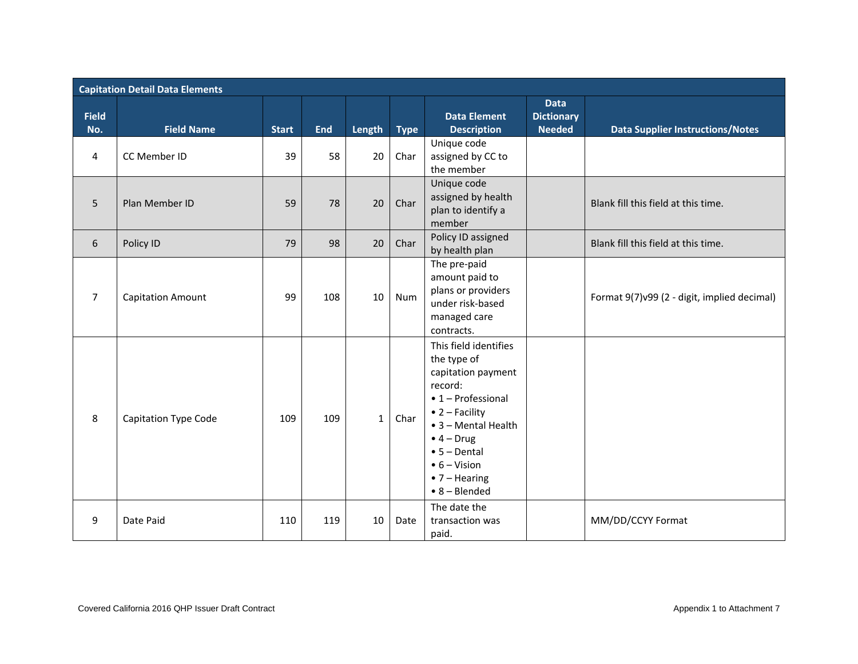|                     | <b>Capitation Detail Data Elements</b> |              |            |              |             |                                                                                                                                                                                                                                                                        |                                                   |                                              |  |  |  |  |  |
|---------------------|----------------------------------------|--------------|------------|--------------|-------------|------------------------------------------------------------------------------------------------------------------------------------------------------------------------------------------------------------------------------------------------------------------------|---------------------------------------------------|----------------------------------------------|--|--|--|--|--|
| <b>Field</b><br>No. | <b>Field Name</b>                      | <b>Start</b> | <b>End</b> | Length       | <b>Type</b> | <b>Data Element</b><br><b>Description</b>                                                                                                                                                                                                                              | <b>Data</b><br><b>Dictionary</b><br><b>Needed</b> | <b>Data Supplier Instructions/Notes</b>      |  |  |  |  |  |
| 4                   | CC Member ID                           | 39           | 58         | 20           | Char        | Unique code<br>assigned by CC to<br>the member                                                                                                                                                                                                                         |                                                   |                                              |  |  |  |  |  |
| 5                   | Plan Member ID                         | 59           | 78         | 20           | Char        | Unique code<br>assigned by health<br>plan to identify a<br>member                                                                                                                                                                                                      |                                                   | Blank fill this field at this time.          |  |  |  |  |  |
| 6                   | Policy ID                              | 79           | 98         | 20           | Char        | Policy ID assigned<br>by health plan                                                                                                                                                                                                                                   |                                                   | Blank fill this field at this time.          |  |  |  |  |  |
| $\overline{7}$      | <b>Capitation Amount</b>               | 99           | 108        | 10           | <b>Num</b>  | The pre-paid<br>amount paid to<br>plans or providers<br>under risk-based<br>managed care<br>contracts.                                                                                                                                                                 |                                                   | Format 9(7) v99 (2 - digit, implied decimal) |  |  |  |  |  |
| 8                   | <b>Capitation Type Code</b>            | 109          | 109        | $\mathbf{1}$ | Char        | This field identifies<br>the type of<br>capitation payment<br>record:<br>$\bullet$ 1 - Professional<br>$\bullet$ 2 - Facility<br>• 3 - Mental Health<br>$\bullet$ 4 – Drug<br>$• 5 - Dental$<br>$\bullet$ 6 – Vision<br>$\bullet$ 7 - Hearing<br>$\bullet$ 8 - Blended |                                                   |                                              |  |  |  |  |  |
| 9                   | Date Paid                              | 110          | 119        | 10           | Date        | The date the<br>transaction was<br>paid.                                                                                                                                                                                                                               |                                                   | MM/DD/CCYY Format                            |  |  |  |  |  |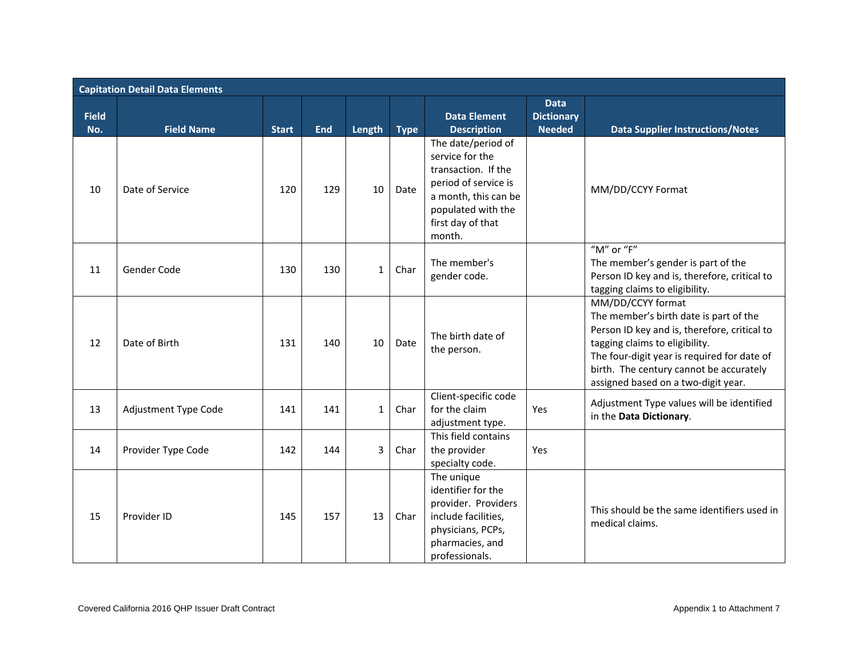|                     | <b>Capitation Detail Data Elements</b> |              |            |              |             |                                                                                                                                                                   |                                                   |                                                                                                                                                                                                                                                                                |  |  |  |  |
|---------------------|----------------------------------------|--------------|------------|--------------|-------------|-------------------------------------------------------------------------------------------------------------------------------------------------------------------|---------------------------------------------------|--------------------------------------------------------------------------------------------------------------------------------------------------------------------------------------------------------------------------------------------------------------------------------|--|--|--|--|
| <b>Field</b><br>No. | <b>Field Name</b>                      | <b>Start</b> | <b>End</b> | Length       | <b>Type</b> | <b>Data Element</b><br><b>Description</b>                                                                                                                         | <b>Data</b><br><b>Dictionary</b><br><b>Needed</b> | <b>Data Supplier Instructions/Notes</b>                                                                                                                                                                                                                                        |  |  |  |  |
| 10                  | Date of Service                        | 120          | 129        | 10           | Date        | The date/period of<br>service for the<br>transaction. If the<br>period of service is<br>a month, this can be<br>populated with the<br>first day of that<br>month. |                                                   | MM/DD/CCYY Format                                                                                                                                                                                                                                                              |  |  |  |  |
| 11                  | Gender Code                            | 130          | 130        | $\mathbf{1}$ | Char        | The member's<br>gender code.                                                                                                                                      |                                                   | "M" or "F"<br>The member's gender is part of the<br>Person ID key and is, therefore, critical to<br>tagging claims to eligibility.                                                                                                                                             |  |  |  |  |
| 12                  | Date of Birth                          | 131          | 140        | 10           | Date        | The birth date of<br>the person.                                                                                                                                  |                                                   | MM/DD/CCYY format<br>The member's birth date is part of the<br>Person ID key and is, therefore, critical to<br>tagging claims to eligibility.<br>The four-digit year is required for date of<br>birth. The century cannot be accurately<br>assigned based on a two-digit year. |  |  |  |  |
| 13                  | Adjustment Type Code                   | 141          | 141        | $\mathbf{1}$ | Char        | Client-specific code<br>for the claim<br>adjustment type.                                                                                                         | Yes                                               | Adjustment Type values will be identified<br>in the Data Dictionary.                                                                                                                                                                                                           |  |  |  |  |
| 14                  | Provider Type Code                     | 142          | 144        | 3            | Char        | This field contains<br>the provider<br>specialty code.                                                                                                            | <b>Yes</b>                                        |                                                                                                                                                                                                                                                                                |  |  |  |  |
| 15                  | Provider ID                            | 145          | 157        | 13           | Char        | The unique<br>identifier for the<br>provider. Providers<br>include facilities,<br>physicians, PCPs,<br>pharmacies, and<br>professionals.                          |                                                   | This should be the same identifiers used in<br>medical claims.                                                                                                                                                                                                                 |  |  |  |  |